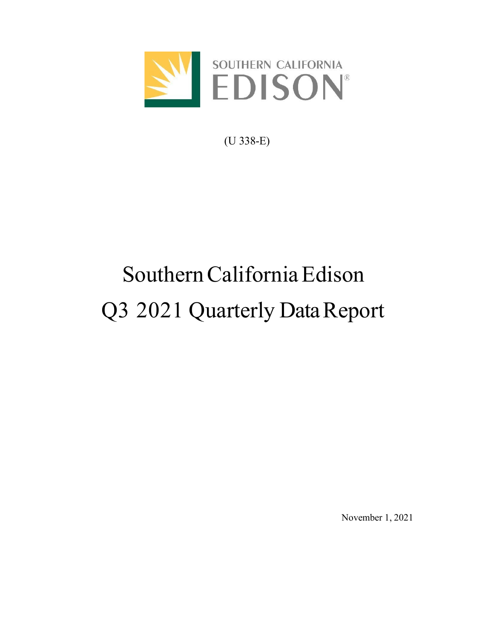

(U 338-E)

# Southern California Edison Q3 2021 Quarterly Data Report

November 1, 2021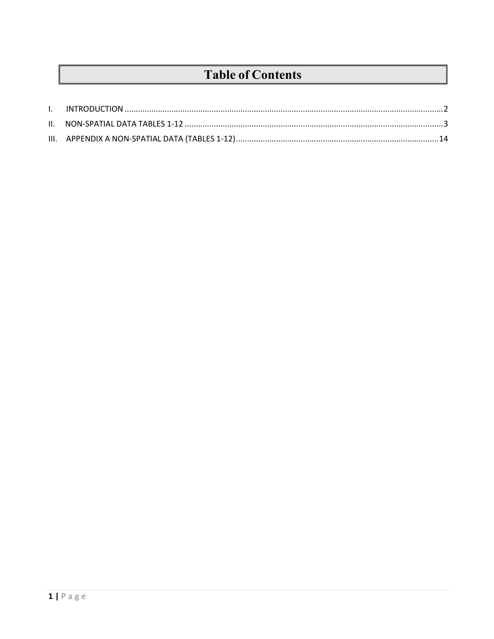### **Table of Contents**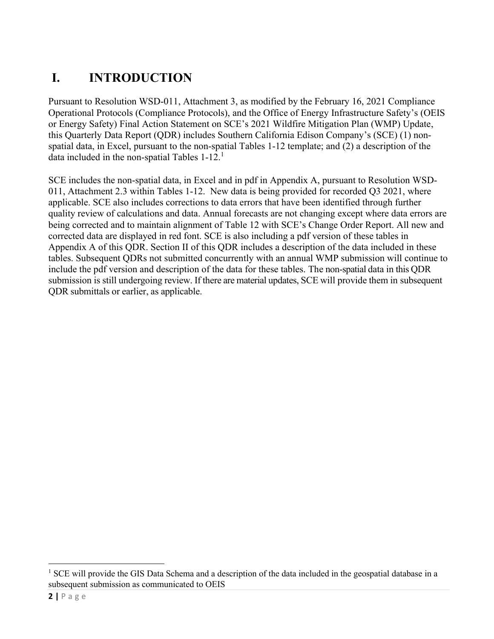### <span id="page-2-0"></span>**I. INTRODUCTION**

Pursuant to Resolution WSD-011, Attachment 3, as modified by the February 16, 2021 Compliance Operational Protocols (Compliance Protocols), and the Office of Energy Infrastructure Safety's (OEIS or Energy Safety) Final Action Statement on SCE's 2021 Wildfire Mitigation Plan (WMP) Update, this Quarterly Data Report (QDR) includes Southern California Edison Company's (SCE) (1) nonspatial data, in Excel, pursuant to the non-spatial Tables 1-12 template; and (2) a description of the data included in the non-spatial Tables 1-12.<sup>1</sup>

SCE includes the non-spatial data, in Excel and in pdf in Appendix A, pursuant to Resolution WSD-011, Attachment 2.3 within Tables 1-12. New data is being provided for recorded Q3 2021, where applicable. SCE also includes corrections to data errors that have been identified through further quality review of calculations and data. Annual forecasts are not changing except where data errors are being corrected and to maintain alignment of Table 12 with SCE's Change Order Report. All new and corrected data are displayed in red font. SCE is also including a pdf version of these tables in Appendix A of this QDR. Section II of this QDR includes a description of the data included in these tables. Subsequent QDRs not submitted concurrently with an annual WMP submission will continue to include the pdf version and description of the data for these tables. The non-spatial data in this QDR submission is still undergoing review. If there are material updates, SCE will provide them in subsequent QDR submittals or earlier, as applicable.

<sup>&</sup>lt;sup>1</sup> SCE will provide the GIS Data Schema and a description of the data included in the geospatial database in a subsequent submission as communicated to OEIS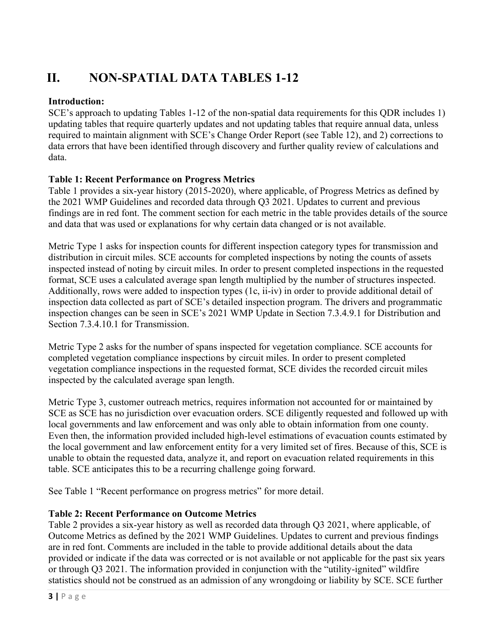### <span id="page-3-0"></span>**II. NON-SPATIAL DATA TABLES 1-12**

#### **Introduction:**

SCE's approach to updating Tables 1-12 of the non-spatial data requirements for this QDR includes 1) updating tables that require quarterly updates and not updating tables that require annual data, unless required to maintain alignment with SCE's Change Order Report (see Table 12), and 2) corrections to data errors that have been identified through discovery and further quality review of calculations and data.

### **Table 1: Recent Performance on Progress Metrics**

Table 1 provides a six-year history (2015-2020), where applicable, of Progress Metrics as defined by the 2021 WMP Guidelines and recorded data through Q3 2021. Updates to current and previous findings are in red font. The comment section for each metric in the table provides details of the source and data that was used or explanations for why certain data changed or is not available.

Metric Type 1 asks for inspection counts for different inspection category types for transmission and distribution in circuit miles. SCE accounts for completed inspections by noting the counts of assets inspected instead of noting by circuit miles. In order to present completed inspections in the requested format, SCE uses a calculated average span length multiplied by the number of structures inspected. Additionally, rows were added to inspection types (1c, ii-iv) in order to provide additional detail of inspection data collected as part of SCE's detailed inspection program. The drivers and programmatic inspection changes can be seen in SCE's 2021 WMP Update in Section 7.3.4.9.1 for Distribution and Section 7.3.4.10.1 for Transmission.

Metric Type 2 asks for the number of spans inspected for vegetation compliance. SCE accounts for completed vegetation compliance inspections by circuit miles. In order to present completed vegetation compliance inspections in the requested format, SCE divides the recorded circuit miles inspected by the calculated average span length.

Metric Type 3, customer outreach metrics, requires information not accounted for or maintained by SCE as SCE has no jurisdiction over evacuation orders. SCE diligently requested and followed up with local governments and law enforcement and was only able to obtain information from one county. Even then, the information provided included high-level estimations of evacuation counts estimated by the local government and law enforcement entity for a very limited set of fires. Because of this, SCE is unable to obtain the requested data, analyze it, and report on evacuation related requirements in this table. SCE anticipates this to be a recurring challenge going forward.

See Table 1 "Recent performance on progress metrics" for more detail.

### **Table 2: Recent Performance on Outcome Metrics**

Table 2 provides a six-year history as well as recorded data through Q3 2021, where applicable, of Outcome Metrics as defined by the 2021 WMP Guidelines. Updates to current and previous findings are in red font. Comments are included in the table to provide additional details about the data provided or indicate if the data was corrected or is not available or not applicable for the past six years or through Q3 2021. The information provided in conjunction with the "utility-ignited" wildfire statistics should not be construed as an admission of any wrongdoing or liability by SCE. SCE further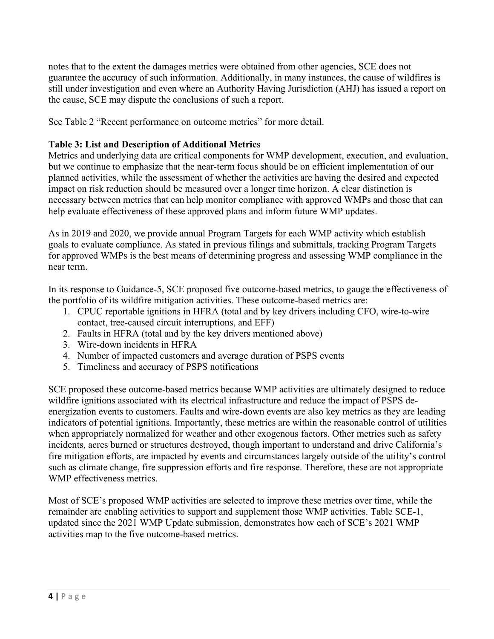notes that to the extent the damages metrics were obtained from other agencies, SCE does not guarantee the accuracy of such information. Additionally, in many instances, the cause of wildfires is still under investigation and even where an Authority Having Jurisdiction (AHJ) has issued a report on the cause, SCE may dispute the conclusions of such a report.

See Table 2 "Recent performance on outcome metrics" for more detail.

#### **Table 3: List and Description of Additional Metric**s

Metrics and underlying data are critical components for WMP development, execution, and evaluation, but we continue to emphasize that the near-term focus should be on efficient implementation of our planned activities, while the assessment of whether the activities are having the desired and expected impact on risk reduction should be measured over a longer time horizon. A clear distinction is necessary between metrics that can help monitor compliance with approved WMPs and those that can help evaluate effectiveness of these approved plans and inform future WMP updates.

As in 2019 and 2020, we provide annual Program Targets for each WMP activity which establish goals to evaluate compliance. As stated in previous filings and submittals, tracking Program Targets for approved WMPs is the best means of determining progress and assessing WMP compliance in the near term.

In its response to Guidance-5, SCE proposed five outcome-based metrics, to gauge the effectiveness of the portfolio of its wildfire mitigation activities. These outcome-based metrics are:

- 1. CPUC reportable ignitions in HFRA (total and by key drivers including CFO, wire-to-wire contact, tree-caused circuit interruptions, and EFF)
- 2. Faults in HFRA (total and by the key drivers mentioned above)
- 3. Wire-down incidents in HFRA
- 4. Number of impacted customers and average duration of PSPS events
- 5. Timeliness and accuracy of PSPS notifications

SCE proposed these outcome-based metrics because WMP activities are ultimately designed to reduce wildfire ignitions associated with its electrical infrastructure and reduce the impact of PSPS deenergization events to customers. Faults and wire-down events are also key metrics as they are leading indicators of potential ignitions. Importantly, these metrics are within the reasonable control of utilities when appropriately normalized for weather and other exogenous factors. Other metrics such as safety incidents, acres burned or structures destroyed, though important to understand and drive California's fire mitigation efforts, are impacted by events and circumstances largely outside of the utility's control such as climate change, fire suppression efforts and fire response. Therefore, these are not appropriate WMP effectiveness metrics.

Most of SCE's proposed WMP activities are selected to improve these metrics over time, while the remainder are enabling activities to support and supplement those WMP activities. Table SCE-1, updated since the 2021 WMP Update submission, demonstrates how each of SCE's 2021 WMP activities map to the five outcome-based metrics.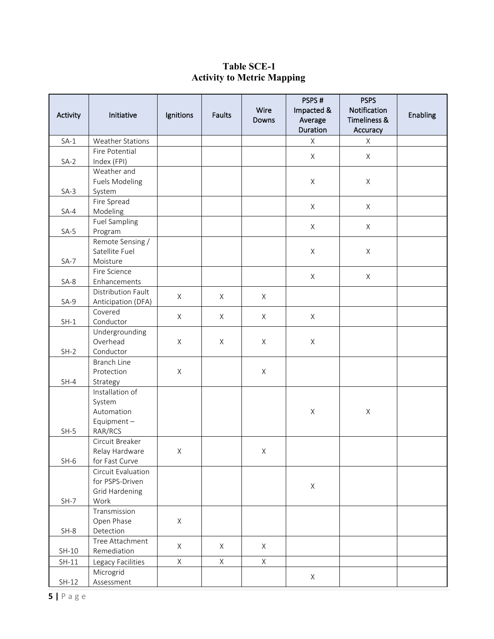### **Table SCE-1 Activity to Metric Mapping**

| Activity | Initiative                            | Ignitions   | <b>Faults</b> | Wire<br>Downs | PSPS#<br>Impacted &<br>Average | <b>PSPS</b><br>Notification<br>Timeliness & | Enabling |
|----------|---------------------------------------|-------------|---------------|---------------|--------------------------------|---------------------------------------------|----------|
|          |                                       |             |               |               | Duration                       | Accuracy                                    |          |
| $SA-1$   | <b>Weather Stations</b>               |             |               |               | X                              | $\mathsf X$                                 |          |
|          | Fire Potential                        |             |               |               | $\mathsf{X}$                   | $\mathsf{X}$                                |          |
| $SA-2$   | Index (FPI)                           |             |               |               |                                |                                             |          |
|          | Weather and                           |             |               |               |                                |                                             |          |
|          | <b>Fuels Modeling</b>                 |             |               |               | $\mathsf X$                    | $\mathsf X$                                 |          |
| $SA-3$   | System                                |             |               |               |                                |                                             |          |
|          | Fire Spread                           |             |               |               | X                              | X                                           |          |
| $SA-4$   | Modeling                              |             |               |               |                                |                                             |          |
|          | <b>Fuel Sampling</b>                  |             |               |               | X                              | X                                           |          |
| $SA-5$   | Program                               |             |               |               |                                |                                             |          |
|          | Remote Sensing /                      |             |               |               |                                |                                             |          |
|          | Satellite Fuel                        |             |               |               | $\mathsf X$                    | $\mathsf X$                                 |          |
| $SA-7$   | Moisture                              |             |               |               |                                |                                             |          |
|          | Fire Science                          |             |               |               | X                              | $\mathsf X$                                 |          |
| $SA-8$   | Enhancements<br>Distribution Fault    |             |               |               |                                |                                             |          |
| $SA-9$   | Anticipation (DFA)                    | X           | X             | X             |                                |                                             |          |
|          | Covered                               |             |               |               |                                |                                             |          |
| $SH-1$   | Conductor                             | X           | X             | Χ             | $\mathsf{X}$                   |                                             |          |
|          | Undergrounding                        |             |               |               |                                |                                             |          |
|          | Overhead                              | $\mathsf X$ | X             | $\mathsf X$   | Χ                              |                                             |          |
| $SH-2$   | Conductor                             |             |               |               |                                |                                             |          |
|          | Branch Line                           |             |               |               |                                |                                             |          |
|          | Protection                            | X           |               | X             |                                |                                             |          |
| $SH-4$   | Strategy                              |             |               |               |                                |                                             |          |
|          | Installation of                       |             |               |               |                                |                                             |          |
|          | System                                |             |               |               |                                |                                             |          |
|          | Automation                            |             |               |               | $\mathsf X$                    | $\mathsf X$                                 |          |
|          | Equipment-                            |             |               |               |                                |                                             |          |
| $SH-5$   | RAR/RCS                               |             |               |               |                                |                                             |          |
|          | Circuit Breaker                       |             |               |               |                                |                                             |          |
|          | Relay Hardware                        | Χ           |               | $\mathsf X$   |                                |                                             |          |
| $SH-6$   | for Fast Curve                        |             |               |               |                                |                                             |          |
|          | Circuit Evaluation<br>for PSPS-Driven |             |               |               |                                |                                             |          |
|          | Grid Hardening                        |             |               |               | $\mathsf X$                    |                                             |          |
| $SH-7$   | Work                                  |             |               |               |                                |                                             |          |
|          | Transmission                          |             |               |               |                                |                                             |          |
|          | Open Phase                            | Χ           |               |               |                                |                                             |          |
| $SH-8$   | Detection                             |             |               |               |                                |                                             |          |
|          | Tree Attachment                       |             |               |               |                                |                                             |          |
| $SH-10$  | Remediation                           | Χ           | X             | X             |                                |                                             |          |
| $SH-11$  | Legacy Facilities                     | $\mathsf X$ | X             | $\mathsf X$   |                                |                                             |          |
|          | Microgrid                             |             |               |               |                                |                                             |          |
| $SH-12$  | Assessment                            |             |               |               | X                              |                                             |          |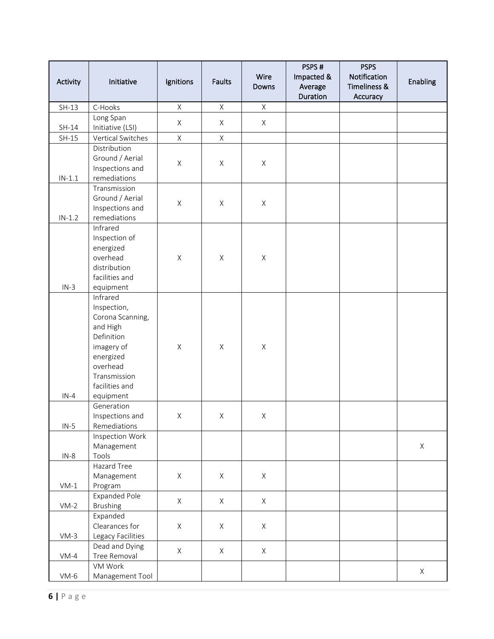| Activity | Initiative                                                                                                                                                  | Ignitions    | <b>Faults</b> | Wire<br>Downs | PSPS#<br>Impacted &<br>Average<br>Duration | <b>PSPS</b><br>Notification<br>Timeliness &<br>Accuracy | Enabling |
|----------|-------------------------------------------------------------------------------------------------------------------------------------------------------------|--------------|---------------|---------------|--------------------------------------------|---------------------------------------------------------|----------|
| $SH-13$  | C-Hooks                                                                                                                                                     | $\mathsf{X}$ | $\mathsf{X}$  | $\mathsf X$   |                                            |                                                         |          |
| $SH-14$  | Long Span<br>Initiative (LSI)                                                                                                                               | X            | X             | X             |                                            |                                                         |          |
| $SH-15$  | Vertical Switches                                                                                                                                           | $\mathsf X$  | $\mathsf X$   |               |                                            |                                                         |          |
| $IN-1.1$ | Distribution<br>Ground / Aerial<br>Inspections and<br>remediations                                                                                          | $\mathsf X$  | $\mathsf X$   | $\mathsf X$   |                                            |                                                         |          |
| $IN-1.2$ | Transmission<br>Ground / Aerial<br>Inspections and<br>remediations                                                                                          | $\mathsf X$  | $\mathsf X$   | $\mathsf X$   |                                            |                                                         |          |
| $IN-3$   | Infrared<br>Inspection of<br>energized<br>overhead<br>distribution<br>facilities and<br>equipment                                                           | $\mathsf X$  | $\mathsf X$   | $\mathsf X$   |                                            |                                                         |          |
| $IN-4$   | Infrared<br>Inspection,<br>Corona Scanning,<br>and High<br>Definition<br>imagery of<br>energized<br>overhead<br>Transmission<br>facilities and<br>equipment | $\mathsf X$  | $\mathsf X$   | $\mathsf X$   |                                            |                                                         |          |
| $IN-5$   | Generation<br>Inspections and<br>Remediations                                                                                                               | Χ            | X             | $\mathsf X$   |                                            |                                                         |          |
| $IN-8$   | Inspection Work<br>Management<br>Tools                                                                                                                      |              |               |               |                                            |                                                         | X        |
| $VM-1$   | Hazard Tree<br>Management<br>Program                                                                                                                        | X            | $\mathsf X$   | $\mathsf X$   |                                            |                                                         |          |
| $VM-2$   | <b>Expanded Pole</b><br><b>Brushing</b>                                                                                                                     | X            | X             | $\mathsf X$   |                                            |                                                         |          |
| $VM-3$   | Expanded<br>Clearances for<br>Legacy Facilities                                                                                                             | X            | X             | X             |                                            |                                                         |          |
| $VM-4$   | Dead and Dying<br>Tree Removal<br>VM Work                                                                                                                   | X            | X             | X             |                                            |                                                         |          |
| $VM-6$   | Management Tool                                                                                                                                             |              |               |               |                                            |                                                         | X        |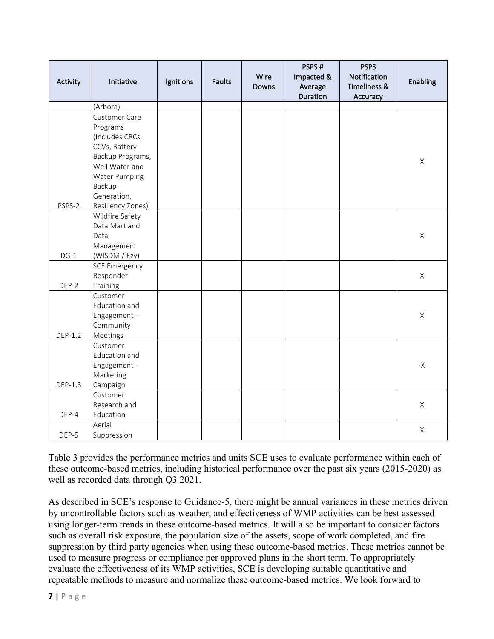| (Arbora)<br>Customer Care<br>Programs<br>(Includes CRCs,<br>CCVs, Battery<br>Backup Programs,<br>$\mathsf X$<br>Well Water and<br><b>Water Pumping</b><br>Backup<br>Generation,<br>PSPS-2<br>Resiliency Zones)<br>Wildfire Safety<br>Data Mart and<br>$\mathsf X$<br>Data<br>Management<br>$DG-1$<br>(WISDM / Ezy)<br><b>SCE Emergency</b><br>Responder<br>X<br>DEP-2<br>Training<br>Customer<br>Education and<br>$\mathsf X$<br>Engagement -<br>Community<br>DEP-1.2<br>Meetings<br>Customer<br>Education and<br>$\mathsf X$<br>Engagement -<br>Marketing<br>DEP-1.3<br>Campaign<br>Customer<br>Research and<br>$\mathsf X$<br>Education<br>DEP-4<br>Aerial<br>X | Activity | Initiative  | Ignitions | <b>Faults</b> | Wire<br>Downs | PSPS#<br>Impacted &<br>Average<br>Duration | <b>PSPS</b><br>Notification<br>Timeliness &<br>Accuracy | Enabling |
|-------------------------------------------------------------------------------------------------------------------------------------------------------------------------------------------------------------------------------------------------------------------------------------------------------------------------------------------------------------------------------------------------------------------------------------------------------------------------------------------------------------------------------------------------------------------------------------------------------------------------------------------------------------------|----------|-------------|-----------|---------------|---------------|--------------------------------------------|---------------------------------------------------------|----------|
|                                                                                                                                                                                                                                                                                                                                                                                                                                                                                                                                                                                                                                                                   |          |             |           |               |               |                                            |                                                         |          |
|                                                                                                                                                                                                                                                                                                                                                                                                                                                                                                                                                                                                                                                                   |          |             |           |               |               |                                            |                                                         |          |
|                                                                                                                                                                                                                                                                                                                                                                                                                                                                                                                                                                                                                                                                   |          |             |           |               |               |                                            |                                                         |          |
|                                                                                                                                                                                                                                                                                                                                                                                                                                                                                                                                                                                                                                                                   |          |             |           |               |               |                                            |                                                         |          |
|                                                                                                                                                                                                                                                                                                                                                                                                                                                                                                                                                                                                                                                                   |          |             |           |               |               |                                            |                                                         |          |
|                                                                                                                                                                                                                                                                                                                                                                                                                                                                                                                                                                                                                                                                   |          |             |           |               |               |                                            |                                                         |          |
|                                                                                                                                                                                                                                                                                                                                                                                                                                                                                                                                                                                                                                                                   |          |             |           |               |               |                                            |                                                         |          |
|                                                                                                                                                                                                                                                                                                                                                                                                                                                                                                                                                                                                                                                                   |          |             |           |               |               |                                            |                                                         |          |
|                                                                                                                                                                                                                                                                                                                                                                                                                                                                                                                                                                                                                                                                   |          |             |           |               |               |                                            |                                                         |          |
|                                                                                                                                                                                                                                                                                                                                                                                                                                                                                                                                                                                                                                                                   |          |             |           |               |               |                                            |                                                         |          |
|                                                                                                                                                                                                                                                                                                                                                                                                                                                                                                                                                                                                                                                                   |          |             |           |               |               |                                            |                                                         |          |
|                                                                                                                                                                                                                                                                                                                                                                                                                                                                                                                                                                                                                                                                   |          |             |           |               |               |                                            |                                                         |          |
|                                                                                                                                                                                                                                                                                                                                                                                                                                                                                                                                                                                                                                                                   |          |             |           |               |               |                                            |                                                         |          |
|                                                                                                                                                                                                                                                                                                                                                                                                                                                                                                                                                                                                                                                                   |          |             |           |               |               |                                            |                                                         |          |
|                                                                                                                                                                                                                                                                                                                                                                                                                                                                                                                                                                                                                                                                   |          |             |           |               |               |                                            |                                                         |          |
|                                                                                                                                                                                                                                                                                                                                                                                                                                                                                                                                                                                                                                                                   |          |             |           |               |               |                                            |                                                         |          |
|                                                                                                                                                                                                                                                                                                                                                                                                                                                                                                                                                                                                                                                                   |          |             |           |               |               |                                            |                                                         |          |
|                                                                                                                                                                                                                                                                                                                                                                                                                                                                                                                                                                                                                                                                   |          |             |           |               |               |                                            |                                                         |          |
|                                                                                                                                                                                                                                                                                                                                                                                                                                                                                                                                                                                                                                                                   |          |             |           |               |               |                                            |                                                         |          |
|                                                                                                                                                                                                                                                                                                                                                                                                                                                                                                                                                                                                                                                                   |          |             |           |               |               |                                            |                                                         |          |
|                                                                                                                                                                                                                                                                                                                                                                                                                                                                                                                                                                                                                                                                   |          |             |           |               |               |                                            |                                                         |          |
|                                                                                                                                                                                                                                                                                                                                                                                                                                                                                                                                                                                                                                                                   |          |             |           |               |               |                                            |                                                         |          |
|                                                                                                                                                                                                                                                                                                                                                                                                                                                                                                                                                                                                                                                                   |          |             |           |               |               |                                            |                                                         |          |
|                                                                                                                                                                                                                                                                                                                                                                                                                                                                                                                                                                                                                                                                   |          |             |           |               |               |                                            |                                                         |          |
|                                                                                                                                                                                                                                                                                                                                                                                                                                                                                                                                                                                                                                                                   |          |             |           |               |               |                                            |                                                         |          |
|                                                                                                                                                                                                                                                                                                                                                                                                                                                                                                                                                                                                                                                                   |          |             |           |               |               |                                            |                                                         |          |
|                                                                                                                                                                                                                                                                                                                                                                                                                                                                                                                                                                                                                                                                   |          |             |           |               |               |                                            |                                                         |          |
|                                                                                                                                                                                                                                                                                                                                                                                                                                                                                                                                                                                                                                                                   |          |             |           |               |               |                                            |                                                         |          |
|                                                                                                                                                                                                                                                                                                                                                                                                                                                                                                                                                                                                                                                                   |          |             |           |               |               |                                            |                                                         |          |
|                                                                                                                                                                                                                                                                                                                                                                                                                                                                                                                                                                                                                                                                   |          |             |           |               |               |                                            |                                                         |          |
|                                                                                                                                                                                                                                                                                                                                                                                                                                                                                                                                                                                                                                                                   |          |             |           |               |               |                                            |                                                         |          |
|                                                                                                                                                                                                                                                                                                                                                                                                                                                                                                                                                                                                                                                                   | DEP-5    | Suppression |           |               |               |                                            |                                                         |          |

Table 3 provides the performance metrics and units SCE uses to evaluate performance within each of these outcome-based metrics, including historical performance over the past six years (2015-2020) as well as recorded data through Q3 2021.

As described in SCE's response to Guidance-5, there might be annual variances in these metrics driven by uncontrollable factors such as weather, and effectiveness of WMP activities can be best assessed using longer-term trends in these outcome-based metrics. It will also be important to consider factors such as overall risk exposure, the population size of the assets, scope of work completed, and fire suppression by third party agencies when using these outcome-based metrics. These metrics cannot be used to measure progress or compliance per approved plans in the short term. To appropriately evaluate the effectiveness of its WMP activities, SCE is developing suitable quantitative and repeatable methods to measure and normalize these outcome-based metrics. We look forward to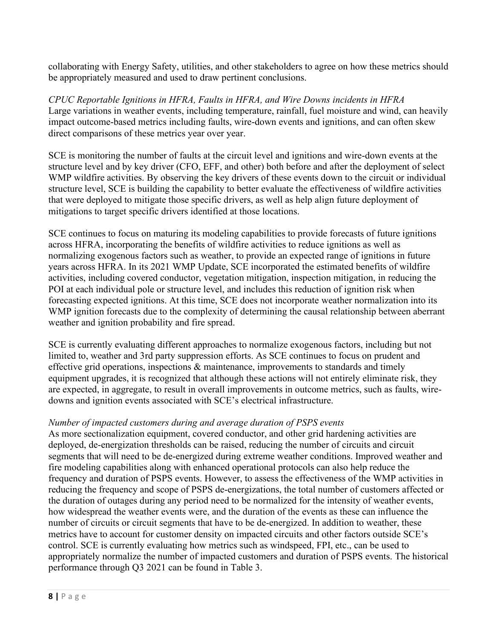collaborating with Energy Safety, utilities, and other stakeholders to agree on how these metrics should be appropriately measured and used to draw pertinent conclusions.

*CPUC Reportable Ignitions in HFRA, Faults in HFRA, and Wire Downs incidents in HFRA* Large variations in weather events, including temperature, rainfall, fuel moisture and wind, can heavily impact outcome-based metrics including faults, wire-down events and ignitions, and can often skew direct comparisons of these metrics year over year.

SCE is monitoring the number of faults at the circuit level and ignitions and wire-down events at the structure level and by key driver (CFO, EFF, and other) both before and after the deployment of select WMP wildfire activities. By observing the key drivers of these events down to the circuit or individual structure level, SCE is building the capability to better evaluate the effectiveness of wildfire activities that were deployed to mitigate those specific drivers, as well as help align future deployment of mitigations to target specific drivers identified at those locations.

SCE continues to focus on maturing its modeling capabilities to provide forecasts of future ignitions across HFRA, incorporating the benefits of wildfire activities to reduce ignitions as well as normalizing exogenous factors such as weather, to provide an expected range of ignitions in future years across HFRA. In its 2021 WMP Update, SCE incorporated the estimated benefits of wildfire activities, including covered conductor, vegetation mitigation, inspection mitigation, in reducing the POI at each individual pole or structure level, and includes this reduction of ignition risk when forecasting expected ignitions. At this time, SCE does not incorporate weather normalization into its WMP ignition forecasts due to the complexity of determining the causal relationship between aberrant weather and ignition probability and fire spread.

SCE is currently evaluating different approaches to normalize exogenous factors, including but not limited to, weather and 3rd party suppression efforts. As SCE continues to focus on prudent and effective grid operations, inspections & maintenance, improvements to standards and timely equipment upgrades, it is recognized that although these actions will not entirely eliminate risk, they are expected, in aggregate, to result in overall improvements in outcome metrics, such as faults, wiredowns and ignition events associated with SCE's electrical infrastructure.

#### *Number of impacted customers during and average duration of PSPS events*

As more sectionalization equipment, covered conductor, and other grid hardening activities are deployed, de-energization thresholds can be raised, reducing the number of circuits and circuit segments that will need to be de-energized during extreme weather conditions. Improved weather and fire modeling capabilities along with enhanced operational protocols can also help reduce the frequency and duration of PSPS events. However, to assess the effectiveness of the WMP activities in reducing the frequency and scope of PSPS de-energizations, the total number of customers affected or the duration of outages during any period need to be normalized for the intensity of weather events, how widespread the weather events were, and the duration of the events as these can influence the number of circuits or circuit segments that have to be de-energized. In addition to weather, these metrics have to account for customer density on impacted circuits and other factors outside SCE's control. SCE is currently evaluating how metrics such as windspeed, FPI, etc., can be used to appropriately normalize the number of impacted customers and duration of PSPS events. The historical performance through Q3 2021 can be found in Table 3.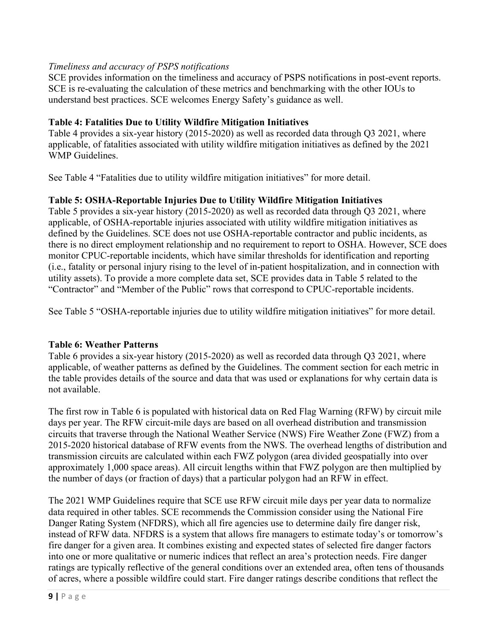#### *Timeliness and accuracy of PSPS notifications*

SCE provides information on the timeliness and accuracy of PSPS notifications in post-event reports. SCE is re-evaluating the calculation of these metrics and benchmarking with the other IOUs to understand best practices. SCE welcomes Energy Safety's guidance as well.

#### **Table 4: Fatalities Due to Utility Wildfire Mitigation Initiatives**

Table 4 provides a six-year history (2015-2020) as well as recorded data through Q3 2021, where applicable, of fatalities associated with utility wildfire mitigation initiatives as defined by the 2021 WMP Guidelines.

See Table 4 "Fatalities due to utility wildfire mitigation initiatives" for more detail.

#### **Table 5: OSHA-Reportable Injuries Due to Utility Wildfire Mitigation Initiatives**

Table 5 provides a six-year history (2015-2020) as well as recorded data through Q3 2021, where applicable, of OSHA-reportable injuries associated with utility wildfire mitigation initiatives as defined by the Guidelines. SCE does not use OSHA-reportable contractor and public incidents, as there is no direct employment relationship and no requirement to report to OSHA. However, SCE does monitor CPUC-reportable incidents, which have similar thresholds for identification and reporting (i.e., fatality or personal injury rising to the level of in-patient hospitalization, and in connection with utility assets). To provide a more complete data set, SCE provides data in Table 5 related to the "Contractor" and "Member of the Public" rows that correspond to CPUC-reportable incidents.

See Table 5 "OSHA-reportable injuries due to utility wildfire mitigation initiatives" for more detail.

#### **Table 6: Weather Patterns**

Table 6 provides a six-year history (2015-2020) as well as recorded data through Q3 2021, where applicable, of weather patterns as defined by the Guidelines. The comment section for each metric in the table provides details of the source and data that was used or explanations for why certain data is not available.

The first row in Table 6 is populated with historical data on Red Flag Warning (RFW) by circuit mile days per year. The RFW circuit-mile days are based on all overhead distribution and transmission circuits that traverse through the National Weather Service (NWS) Fire Weather Zone (FWZ) from a 2015-2020 historical database of RFW events from the NWS. The overhead lengths of distribution and transmission circuits are calculated within each FWZ polygon (area divided geospatially into over approximately 1,000 space areas). All circuit lengths within that FWZ polygon are then multiplied by the number of days (or fraction of days) that a particular polygon had an RFW in effect.

The 2021 WMP Guidelines require that SCE use RFW circuit mile days per year data to normalize data required in other tables. SCE recommends the Commission consider using the National Fire Danger Rating System (NFDRS), which all fire agencies use to determine daily fire danger risk, instead of RFW data. NFDRS is a system that allows fire managers to estimate today's or tomorrow's fire danger for a given area. It combines existing and expected states of selected fire danger factors into one or more qualitative or numeric indices that reflect an area's protection needs. Fire danger ratings are typically reflective of the general conditions over an extended area, often tens of thousands of acres, where a possible wildfire could start. Fire danger ratings describe conditions that reflect the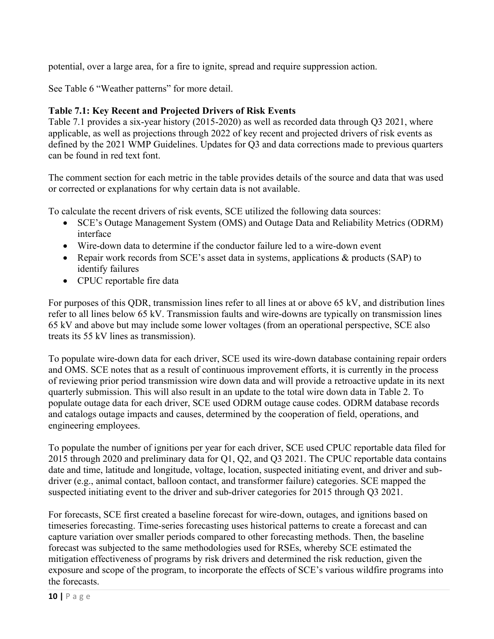potential, over a large area, for a fire to ignite, spread and require suppression action.

See Table 6 "Weather patterns" for more detail.

#### **Table 7.1: Key Recent and Projected Drivers of Risk Events**

Table 7.1 provides a six-year history (2015-2020) as well as recorded data through Q3 2021, where applicable, as well as projections through 2022 of key recent and projected drivers of risk events as defined by the 2021 WMP Guidelines. Updates for Q3 and data corrections made to previous quarters can be found in red text font.

The comment section for each metric in the table provides details of the source and data that was used or corrected or explanations for why certain data is not available.

To calculate the recent drivers of risk events, SCE utilized the following data sources:

- SCE's Outage Management System (OMS) and Outage Data and Reliability Metrics (ODRM) interface
- Wire-down data to determine if the conductor failure led to a wire-down event
- Repair work records from SCE's asset data in systems, applications & products (SAP) to identify failures
- CPUC reportable fire data

For purposes of this QDR, transmission lines refer to all lines at or above 65 kV, and distribution lines refer to all lines below 65 kV. Transmission faults and wire-downs are typically on transmission lines 65 kV and above but may include some lower voltages (from an operational perspective, SCE also treats its 55 kV lines as transmission).

To populate wire-down data for each driver, SCE used its wire-down database containing repair orders and OMS. SCE notes that as a result of continuous improvement efforts, it is currently in the process of reviewing prior period transmission wire down data and will provide a retroactive update in its next quarterly submission. This will also result in an update to the total wire down data in Table 2. To populate outage data for each driver, SCE used ODRM outage cause codes. ODRM database records and catalogs outage impacts and causes, determined by the cooperation of field, operations, and engineering employees.

To populate the number of ignitions per year for each driver, SCE used CPUC reportable data filed for 2015 through 2020 and preliminary data for Q1, Q2, and Q3 2021. The CPUC reportable data contains date and time, latitude and longitude, voltage, location, suspected initiating event, and driver and subdriver (e.g., animal contact, balloon contact, and transformer failure) categories. SCE mapped the suspected initiating event to the driver and sub-driver categories for 2015 through Q3 2021.

For forecasts, SCE first created a baseline forecast for wire-down, outages, and ignitions based on timeseries forecasting. Time-series forecasting uses historical patterns to create a forecast and can capture variation over smaller periods compared to other forecasting methods. Then, the baseline forecast was subjected to the same methodologies used for RSEs, whereby SCE estimated the mitigation effectiveness of programs by risk drivers and determined the risk reduction, given the exposure and scope of the program, to incorporate the effects of SCE's various wildfire programs into the forecasts.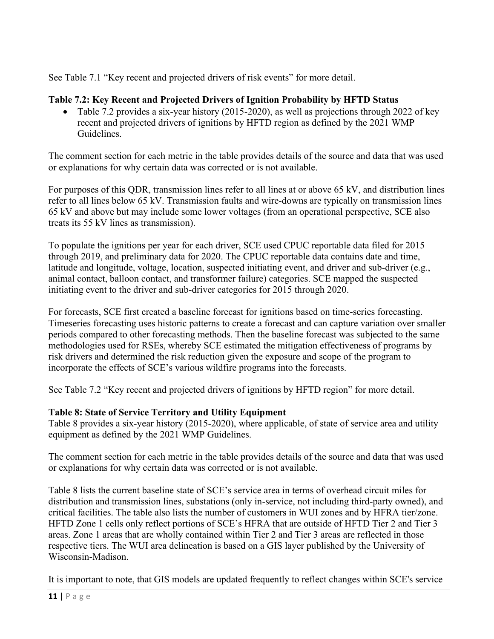See Table 7.1 "Key recent and projected drivers of risk events" for more detail.

#### **Table 7.2: Key Recent and Projected Drivers of Ignition Probability by HFTD Status**

• Table 7.2 provides a six-year history (2015-2020), as well as projections through 2022 of key recent and projected drivers of ignitions by HFTD region as defined by the 2021 WMP Guidelines.

The comment section for each metric in the table provides details of the source and data that was used or explanations for why certain data was corrected or is not available.

For purposes of this QDR, transmission lines refer to all lines at or above 65 kV, and distribution lines refer to all lines below 65 kV. Transmission faults and wire-downs are typically on transmission lines 65 kV and above but may include some lower voltages (from an operational perspective, SCE also treats its 55 kV lines as transmission).

To populate the ignitions per year for each driver, SCE used CPUC reportable data filed for 2015 through 2019, and preliminary data for 2020. The CPUC reportable data contains date and time, latitude and longitude, voltage, location, suspected initiating event, and driver and sub-driver (e.g., animal contact, balloon contact, and transformer failure) categories. SCE mapped the suspected initiating event to the driver and sub-driver categories for 2015 through 2020.

For forecasts, SCE first created a baseline forecast for ignitions based on time-series forecasting. Timeseries forecasting uses historic patterns to create a forecast and can capture variation over smaller periods compared to other forecasting methods. Then the baseline forecast was subjected to the same methodologies used for RSEs, whereby SCE estimated the mitigation effectiveness of programs by risk drivers and determined the risk reduction given the exposure and scope of the program to incorporate the effects of SCE's various wildfire programs into the forecasts.

See Table 7.2 "Key recent and projected drivers of ignitions by HFTD region" for more detail.

#### **Table 8: State of Service Territory and Utility Equipment**

Table 8 provides a six-year history (2015-2020), where applicable, of state of service area and utility equipment as defined by the 2021 WMP Guidelines.

The comment section for each metric in the table provides details of the source and data that was used or explanations for why certain data was corrected or is not available.

Table 8 lists the current baseline state of SCE's service area in terms of overhead circuit miles for distribution and transmission lines, substations (only in-service, not including third-party owned), and critical facilities. The table also lists the number of customers in WUI zones and by HFRA tier/zone. HFTD Zone 1 cells only reflect portions of SCE's HFRA that are outside of HFTD Tier 2 and Tier 3 areas. Zone 1 areas that are wholly contained within Tier 2 and Tier 3 areas are reflected in those respective tiers. The WUI area delineation is based on a GIS layer published by the University of Wisconsin-Madison.

It is important to note, that GIS models are updated frequently to reflect changes within SCE's service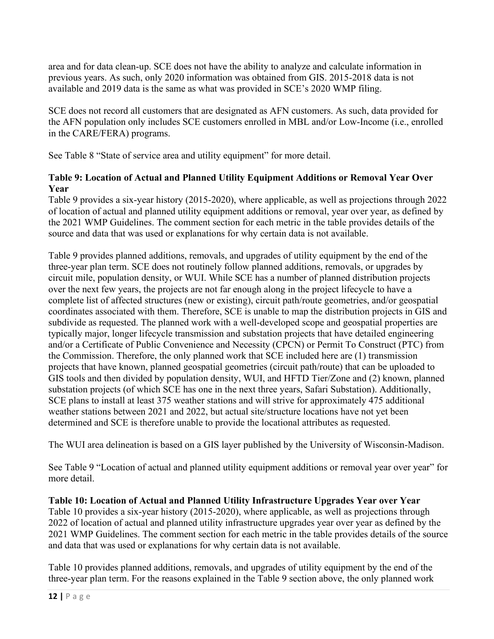area and for data clean-up. SCE does not have the ability to analyze and calculate information in previous years. As such, only 2020 information was obtained from GIS. 2015-2018 data is not available and 2019 data is the same as what was provided in SCE's 2020 WMP filing.

SCE does not record all customers that are designated as AFN customers. As such, data provided for the AFN population only includes SCE customers enrolled in MBL and/or Low-Income (i.e., enrolled in the CARE/FERA) programs.

See Table 8 "State of service area and utility equipment" for more detail.

#### **Table 9: Location of Actual and Planned Utility Equipment Additions or Removal Year Over Year**

Table 9 provides a six-year history (2015-2020), where applicable, as well as projections through 2022 of location of actual and planned utility equipment additions or removal, year over year, as defined by the 2021 WMP Guidelines. The comment section for each metric in the table provides details of the source and data that was used or explanations for why certain data is not available.

Table 9 provides planned additions, removals, and upgrades of utility equipment by the end of the three-year plan term. SCE does not routinely follow planned additions, removals, or upgrades by circuit mile, population density, or WUI. While SCE has a number of planned distribution projects over the next few years, the projects are not far enough along in the project lifecycle to have a complete list of affected structures (new or existing), circuit path/route geometries, and/or geospatial coordinates associated with them. Therefore, SCE is unable to map the distribution projects in GIS and subdivide as requested. The planned work with a well-developed scope and geospatial properties are typically major, longer lifecycle transmission and substation projects that have detailed engineering and/or a Certificate of Public Convenience and Necessity (CPCN) or Permit To Construct (PTC) from the Commission. Therefore, the only planned work that SCE included here are (1) transmission projects that have known, planned geospatial geometries (circuit path/route) that can be uploaded to GIS tools and then divided by population density, WUI, and HFTD Tier/Zone and (2) known, planned substation projects (of which SCE has one in the next three years, Safari Substation). Additionally, SCE plans to install at least 375 weather stations and will strive for approximately 475 additional weather stations between 2021 and 2022, but actual site/structure locations have not yet been determined and SCE is therefore unable to provide the locational attributes as requested.

The WUI area delineation is based on a GIS layer published by the University of Wisconsin-Madison.

See Table 9 "Location of actual and planned utility equipment additions or removal year over year" for more detail.

**Table 10: Location of Actual and Planned Utility Infrastructure Upgrades Year over Year** Table 10 provides a six-year history (2015-2020), where applicable, as well as projections through 2022 of location of actual and planned utility infrastructure upgrades year over year as defined by the 2021 WMP Guidelines. The comment section for each metric in the table provides details of the source and data that was used or explanations for why certain data is not available.

Table 10 provides planned additions, removals, and upgrades of utility equipment by the end of the three-year plan term. For the reasons explained in the Table 9 section above, the only planned work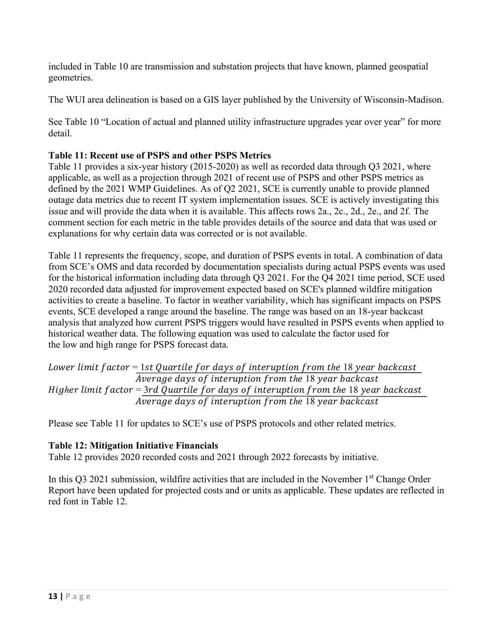included in Table 10 are transmission and substation projects that have known, planned geospatial geometries.

The WUI area delineation is based on a GIS layer published by the University of Wisconsin-Madison.

See Table 10 "Location of actual and planned utility infrastructure upgrades year over year" for more detail.

#### **Table 11: Recent use of PSPS and other PSPS Metrics**

Table 11 provides a six-year history (2015-2020) as well as recorded data through Q3 2021, where applicable, as well as a projection through 2021 of recent use of PSPS and other PSPS metrics as defined by the 2021 WMP Guidelines. As of Q2 2021, SCE is currently unable to provide planned outage data metrics due to recent IT system implementation issues. SCE is actively investigating this issue and will provide the data when it is available. This affects rows 2a., 2c., 2d., 2e., and 2f. The comment section for each metric in the table provides details of the source and data that was used or explanations for why certain data was corrected or is not available.

Table 11 represents the frequency, scope, and duration of PSPS events in total. A combination of data from SCE's OMS and data recorded by documentation specialists during actual PSPS events was used for the historical information including data through Q3 2021. For the Q4 2021 time period, SCE used 2020 recorded data adjusted for improvement expected based on SCE's planned wildfire mitigation activities to create a baseline. To factor in weather variability, which has significant impacts on PSPS events, SCE developed a range around the baseline. The range was based on an 18-year backcast analysis that analyzed how current PSPS triggers would have resulted in PSPS events when applied to historical weather data. The following equation was used to calculate the factor used for the low and high range for PSPS forecast data.

Lower limit factor = 1st Quartile for days of interuption from the 18 year backcast Average days of interuption from the 18 year backcast Higher limit  $factor = 3rd$  Quartile for days of interuption from the 18 year backcast Average days of interuption from the 18 year backcast

Please see Table 11 for updates to SCE's use of PSPS protocols and other related metrics.

#### **Table 12: Mitigation Initiative Financials**

Table 12 provides 2020 recorded costs and 2021 through 2022 forecasts by initiative.

In this Q3 2021 submission, wildfire activities that are included in the November  $1<sup>st</sup>$  Change Order Report have been updated for projected costs and or units as applicable. These updates are reflected in red font in Table 12.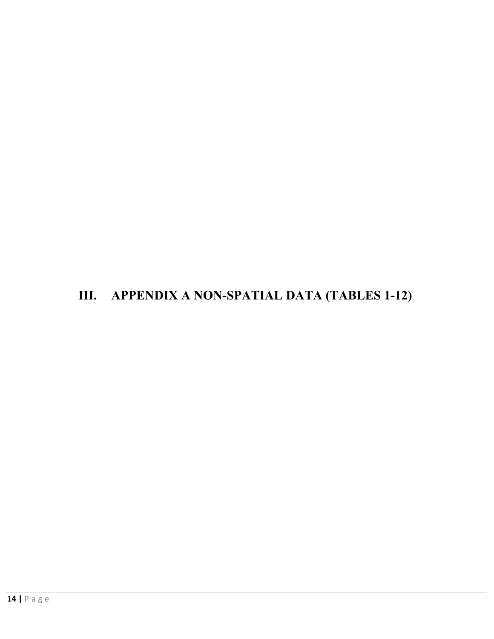## <span id="page-14-0"></span>**III. APPENDIX A NON-SPATIAL DATA (TABLES 1-12)**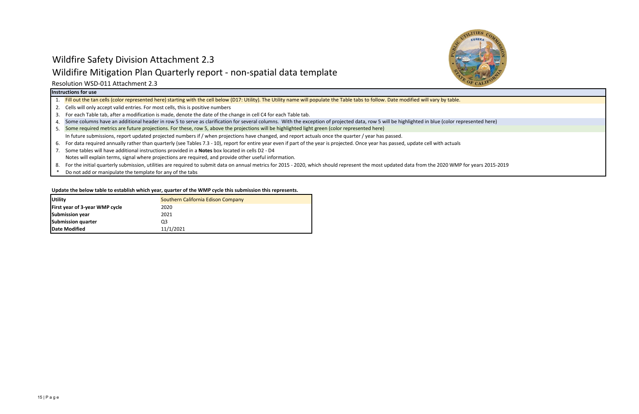## Wildfire Safety Division Attachment 2.3

## Wildifire Mitigation Plan Quarterly report ‐ non‐spatial data template



Resolution WSD‐011 Attachment 2.3

#### **Instructions for use**

- 1. Fill out the tan cells (color represented here) starting with the cell below (D17: Utility). The Utility name will populate the Table tabs to follow. Date modified will vary by table.
- 2. Cells will only accept valid entries. For most cells, this is positive numbers
- 3. For each Table tab, after a modification is made, denote the date of the change in cell C4 for each Table tab.
- 4. Some columns have an additional header in row 5 to serve as clarification for several columns. With the exception of projected data, row 5 will be highlighted in blue (color represented here)
- 5. Some required metrics are future projections. For these, row 5, above the projections will be highlighted light green (color represented here)
- In future submissions, report updated projected numbers if / when projections have changed, and report actuals once the quarter / year has passed.
- 6. For data required annually rather than quarterly (see Tables 7.3 ‐ 10), report for entire year even if part of the year is projected. Once year has passed, update cell with actuals
- 7. Some tables will have additional instructions provided in a **Notes** box located in cells D2 ‐ D4
- Notes will explain terms, signal where projections are required, and provide other useful information.
- 8. For the initial quarterly submission, utilities are required to submit data on annual metrics for 2015 2020, which should represent the most updated data from the 2020 WMP for years 2015-2019
- Do not add or manipulate the template for any of the tabs

#### **Update the below table to establish which year, quarter of the WMP cycle this submission this represents.**

| Utility                        | Southern California Edison Company |
|--------------------------------|------------------------------------|
| First year of 3-year WMP cycle | 2020                               |
| <b>Submission year</b>         | 2021                               |
| <b>Submission quarter</b>      | O3                                 |
| <b>Date Modified</b>           | 11/1/2021                          |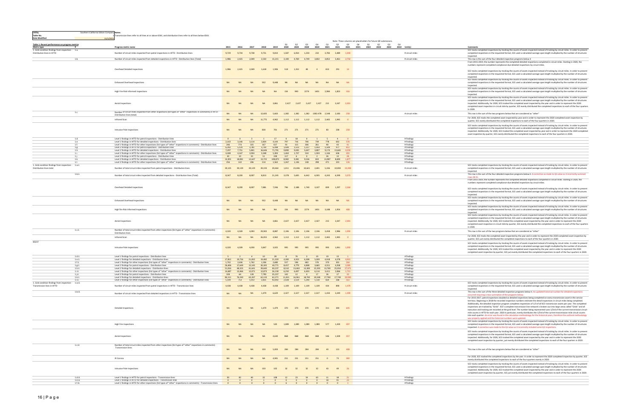| Table No.                                                             | Southern California Edison Company |                                                                                                                                                                                               |                 |                 |                 |                 |                  |                |                                     |                |                                                                        |                     |                                                                    |                                                                |    |                          |                                                                                                                                                                                                                                                                          |
|-----------------------------------------------------------------------|------------------------------------|-----------------------------------------------------------------------------------------------------------------------------------------------------------------------------------------------|-----------------|-----------------|-----------------|-----------------|------------------|----------------|-------------------------------------|----------------|------------------------------------------------------------------------|---------------------|--------------------------------------------------------------------|----------------------------------------------------------------|----|--------------------------|--------------------------------------------------------------------------------------------------------------------------------------------------------------------------------------------------------------------------------------------------------------------------|
| <b>Date Modified</b>                                                  | 11/1/2021                          | ransmission lines refer to all lines at or above 65kV, and distribution lines refer to all lines below 65kV.                                                                                  |                 |                 |                 |                 |                  |                |                                     |                |                                                                        |                     |                                                                    |                                                                |    |                          |                                                                                                                                                                                                                                                                          |
|                                                                       |                                    |                                                                                                                                                                                               |                 |                 |                 |                 |                  |                |                                     |                |                                                                        |                     |                                                                    | Note: These columns are placeholders for future QR submissions |    |                          |                                                                                                                                                                                                                                                                          |
| Table 1: Recent performance on progress metrics<br><b>Metric type</b> |                                    | Progress metric name                                                                                                                                                                          | 2015            | 2016            |                 |                 |                  | Q1             | Q2                                  | Q3             | Q4 Q1                                                                  |                     |                                                                    | Q2 Q3 Q4 Q1 Q2 Q3                                              | Q4 |                          | <b>Comments</b>                                                                                                                                                                                                                                                          |
| 1. Grid condition findings from inspection - 1.a.                     |                                    |                                                                                                                                                                                               |                 |                 |                 |                 |                  |                |                                     |                |                                                                        |                     |                                                                    |                                                                |    |                          | SCE tracks completed inspections by tracking the counts of assets inspected instead of tracking by circuit miles. In order to present                                                                                                                                    |
| Distribution lines in HFTD                                            |                                    | Number of circuit miles inspected from patrol inspections in HFTD - Distribution lines                                                                                                        | 9,729 9,734     |                 |                 |                 |                  |                |                                     |                |                                                                        |                     | 9,738 9,751 9,814 1,587 6,954 1,250 233 3,783 5,489 1,040          |                                                                |    | # circuit miles          | completed inspections in the requested format, SCE used a calculated average span length multiplied by the number of structures                                                                                                                                          |
|                                                                       |                                    |                                                                                                                                                                                               |                 |                 |                 |                 |                  |                |                                     |                |                                                                        |                     |                                                                    |                                                                |    |                          | inspected                                                                                                                                                                                                                                                                |
|                                                                       | 1.b.                               | Number of circuit miles inspected from detailed inspections in HFTD - Distribution lines (Total)                                                                                              | 1,986           | 2,425           | 2,049           |                 |                  |                |                                     |                |                                                                        |                     | 2,550 15,215 3,100 4,769 4,749 3,832 3,852 5,461 2,732             |                                                                |    | # circuit miles          | This row is the sum of the four detailed inspection programs below it<br>From 2015-2019, the number represents the completed detailed inspections completed in circuit miles. Starting in 2020, the                                                                      |
|                                                                       |                                    |                                                                                                                                                                                               |                 |                 |                 |                 |                  |                |                                     |                |                                                                        |                     |                                                                    |                                                                |    |                          | numbers represent completed compliance-due detailed inspections by circuit miles.                                                                                                                                                                                        |
|                                                                       |                                    | <b>Overhead Detailed Inspections</b>                                                                                                                                                          | 1.986           | 2.425           | 2.049           | 1.618           | 1.906            | 518            | 1,352                               | 48             | $\overline{4}$                                                         | 653                 | 291<br>14                                                          |                                                                |    |                          |                                                                                                                                                                                                                                                                          |
|                                                                       |                                    |                                                                                                                                                                                               |                 |                 |                 |                 |                  |                |                                     |                |                                                                        |                     |                                                                    |                                                                |    |                          | SCE tracks completed inspections by tracking the counts of assets inspected instead of tracking by circuit miles. In order to presen                                                                                                                                     |
|                                                                       |                                    |                                                                                                                                                                                               |                 |                 |                 |                 |                  |                |                                     |                |                                                                        |                     |                                                                    |                                                                |    |                          | completed inspections in the requested format, SCE used a calculated average span length multiplied by the number of structures                                                                                                                                          |
|                                                                       |                                    |                                                                                                                                                                                               |                 |                 |                 |                 |                  |                |                                     |                |                                                                        |                     |                                                                    |                                                                |    |                          | inspected<br>SCE tracks completed inspections by tracking the counts of assets inspected instead of tracking by circuit miles. In order to present                                                                                                                       |
|                                                                       |                                    | <b>Enhanced Overhead Inspections</b>                                                                                                                                                          | <b>NA</b>       |                 | <b>NA</b>       | 932             | 9.448            | <b>NA</b>      | <b>NA</b>                           | <b>NA</b>      | <b>NA</b>                                                              | <b>NA</b>           | <b>NA</b><br><b>NA</b>                                             |                                                                |    |                          | completed inspections in the requested format, SCE used a calculated average span length multiplied by the number of structures                                                                                                                                          |
|                                                                       |                                    |                                                                                                                                                                                               |                 |                 |                 |                 |                  |                |                                     |                |                                                                        |                     |                                                                    |                                                                |    |                          | inspected.                                                                                                                                                                                                                                                               |
|                                                                       |                                    |                                                                                                                                                                                               |                 |                 |                 |                 |                  |                |                                     |                |                                                                        |                     |                                                                    |                                                                |    |                          | SCE tracks completed inspections by tracking the counts of assets inspected instead of tracking by circuit miles. In order to presen                                                                                                                                     |
|                                                                       |                                    | High Fire Risk Informed Inspections                                                                                                                                                           | <b>NA</b>       | <b>NA</b>       | <b>NA</b>       | <b>NA</b>       | <b>NA</b>        | 154            | 990                                 | 2274           | 1401                                                                   | 2.984               | 1,823 316                                                          |                                                                |    |                          | completed inspections in the requested format, SCE used a calculated average span length multiplied by the number of structures<br>inspected.                                                                                                                            |
|                                                                       |                                    |                                                                                                                                                                                               |                 |                 |                 |                 |                  |                |                                     |                |                                                                        |                     |                                                                    |                                                                |    |                          | SCE tracks completed inspections by tracking the counts of assets inspected instead of tracking by circuit miles. In order to present                                                                                                                                    |
|                                                                       |                                    |                                                                                                                                                                                               |                 |                 |                 |                 |                  |                |                                     |                |                                                                        |                     |                                                                    |                                                                |    |                          | completed inspections in the requested format, SCE used a calculated average span length multiplied by the number of structures                                                                                                                                          |
|                                                                       |                                    | Aerial Inspections                                                                                                                                                                            | <b>NA</b>       |                 | <b>NA</b>       | <b>NA</b>       | 3,861            | 2,427          |                                     |                | 2,427 2,427 2,427 215                                                  |                     | 3.347 2.401                                                        |                                                                |    |                          | inspected. Additionally, for 2020, SCE tracked the completed asset inspected by the year and in order to represent the 2020                                                                                                                                              |
|                                                                       |                                    |                                                                                                                                                                                               |                 |                 |                 |                 |                  |                |                                     |                |                                                                        |                     |                                                                    |                                                                |    |                          | completed asset inspection in circuit mile by quarter, SCE evenly distributed the completed inspections to each of the four quarter                                                                                                                                      |
|                                                                       | 1.c.                               | Number of circuit miles inspected from other inspections (list types of "other" inspections in comments) in HFTD                                                                              |                 |                 |                 |                 |                  |                |                                     |                |                                                                        |                     |                                                                    |                                                                |    |                          | in 2020.                                                                                                                                                                                                                                                                 |
|                                                                       |                                    | Distribution lines (total)                                                                                                                                                                    |                 |                 | <b>NA</b>       | 12.605          | 5,663            | 1,382          |                                     |                |                                                                        |                     | 1,382 1,382 1382.478 2,548 2,183 258                               |                                                                |    | # circuit miles          | This row is the sum of the two programs below that are considered as "other"                                                                                                                                                                                             |
|                                                                       |                                    | Infrared Scan                                                                                                                                                                                 | <b>NA</b>       | <b>NA</b>       | <b>NA</b>       | 11,775          |                  |                |                                     |                |                                                                        |                     |                                                                    |                                                                |    |                          | For 2020, SCE tracks the completed asset inspected by year and in order to represent the 2020 completed asset inspection by                                                                                                                                              |
|                                                                       |                                    |                                                                                                                                                                                               |                 |                 |                 |                 | 4,962            |                |                                     |                |                                                                        |                     | 1,112 1,112 1,112 1,112 2,465 1,945 0                              |                                                                |    |                          | quarter, SCE evenly distributed the completed inspections to each of the four quarters in 2020.                                                                                                                                                                          |
|                                                                       |                                    |                                                                                                                                                                                               |                 |                 |                 |                 |                  |                |                                     |                |                                                                        |                     |                                                                    |                                                                |    |                          | SCE tracks completed inspections by tracking the counts of assets inspected instead of tracking by circuit miles. In order to present                                                                                                                                    |
|                                                                       |                                    | Intrusive Pole Inspections                                                                                                                                                                    | <b>NA</b>       | <b>NA</b>       | <b>NA</b>       | 830             | 701              | 271            | 271                                 | 271            | 271                                                                    | 83                  | 238<br>258                                                         |                                                                |    |                          | completed inspections in the requested format, SCE used a calculated average span length multiplied by the number of structures                                                                                                                                          |
|                                                                       |                                    |                                                                                                                                                                                               |                 |                 |                 |                 |                  |                |                                     |                |                                                                        |                     |                                                                    |                                                                |    |                          | inspected. Additionally, for 2020, SCE tracked the completed asset inspected by year and in order to represent the 2020 complete                                                                                                                                         |
|                                                                       |                                    |                                                                                                                                                                                               |                 |                 |                 |                 |                  |                |                                     |                |                                                                        |                     |                                                                    |                                                                |    |                          | asset inspection by quarter, SCE evenly distributed the completed inspections to each of the four quarters in 2020.                                                                                                                                                      |
|                                                                       | 1.d.                               | Level 1 findings in HFTD for patrol inspections - Distribution lines                                                                                                                          |                 |                 |                 |                 |                  |                |                                     |                |                                                                        |                     |                                                                    |                                                                |    | # findings               |                                                                                                                                                                                                                                                                          |
|                                                                       | 1.e                                | Level 1 findings in HFTD for detailed inspections - Distribution lines                                                                                                                        | 2,163           | 3,146           | 3,114<br>325    | 2.834           | 4.144<br>617     |                | 716                                 | 706            | 739                                                                    | 778                 | 632                                                                |                                                                |    | # findings               |                                                                                                                                                                                                                                                                          |
|                                                                       | 1.f.<br>1.g.                       | Level 1 findings in HFTD for other inspections (list types of "other" inspections in comments) - Distribution lines<br>Level 2 findings in HFTD for patrol inspections - Distribution lines   | 246<br>6,392    | 773<br>5.124    | 3.781           | 167<br>3.730    | 6.498            | 1.028          | 115<br>1.513                        | 306<br>1,227   | 261<br>1.054                                                           | 90<br>1.509         | 43<br>- 41<br>977<br>-851                                          |                                                                |    | # findings<br># findings |                                                                                                                                                                                                                                                                          |
|                                                                       | 1.h.                               | Level 2 findings in HFTD for detailed inspections - Distribution lines                                                                                                                        | 7.297           | 7,751           | 5.841           | 16,646          | 71,791           | 9.890          | 9.045                               | 5,647          | 3.807                                                                  | 9.174               | 13.665<br>-4.25                                                    |                                                                |    | # findings               |                                                                                                                                                                                                                                                                          |
|                                                                       |                                    | Level 2 findings in HFTD for other inspections (list types of "other" inspections in comments) - Distribution lines                                                                           | 4,448           | 4,167           | 3,934           | 3,348           | 5,304            | 1,463          | 1,737                               | 534            | 1,924                                                                  | 1,166               | 636                                                                |                                                                |    | # findings               |                                                                                                                                                                                                                                                                          |
|                                                                       |                                    | Level 3 findings in HFTD for patrol inspections - Distribution lines                                                                                                                          | 43              | 10              | 33              | 51              | 228              | 117            | -6                                  |                | $\overline{z}$                                                         | 26                  | 13<br>78                                                           |                                                                |    | # findings               |                                                                                                                                                                                                                                                                          |
|                                                                       | - 1.k                              | Level 3 findings in HFTD for detailed inspections - Distribution lines<br>Level 3 findings in HFTD for other inspections (list types of "other" inspections in comments) - Distribution lines | 14,301<br>256   | 18,081<br>142   | 12.647<br>206   | 13,725<br>214   | 108,873<br>1,563 | 8.982<br>1,267 | 9,381<br>1,136                      | 9,536<br>138   | 824<br>298                                                             | 13,987 8,690<br>471 | 1.877<br>223<br>126                                                |                                                                |    | # findings<br># findings |                                                                                                                                                                                                                                                                          |
| 1. Grid condition findings from inspection - 1.a.ii.                  |                                    |                                                                                                                                                                                               |                 |                 |                 |                 |                  |                |                                     |                |                                                                        |                     |                                                                    |                                                                |    |                          | SCE tracks completed inspections by tracking the counts of assets inspected instead of tracking by circuit miles. In order to present                                                                                                                                    |
| Distribution lines total                                              |                                    | Number of total circuit miles inspected from patrol inspections - Distribution lines                                                                                                          | 39,125          | 39,139          |                 |                 |                  |                |                                     |                |                                                                        |                     | 39,129 39,193 39,464 1,011 23,406 10,641 2,691 5,336 10,004 13,208 |                                                                |    | # circuit miles          | completed inspections in the requested format, SCE used a calculated average span length multiplied by the number of structures                                                                                                                                          |
|                                                                       |                                    |                                                                                                                                                                                               |                 |                 |                 |                 |                  |                |                                     |                |                                                                        |                     |                                                                    |                                                                |    |                          | inspected.                                                                                                                                                                                                                                                               |
|                                                                       | 1.b.ii.                            | Number of total circuit miles inspected from detailed inspections - Distribution lines (Total)                                                                                                | 8.347           | 8.200           | 8.007           |                 |                  |                |                                     |                |                                                                        |                     | 8,813 21,245 3,378 5,605 6,442 6,935 4,243 6,599 5,073             |                                                                |    | # circuit miles          | This row is the sum of the four detailed inspection programs below it. A correction as made to Q1 value as it incorrectly summed                                                                                                                                         |
|                                                                       |                                    |                                                                                                                                                                                               |                 |                 |                 |                 |                  |                |                                     |                |                                                                        |                     |                                                                    |                                                                |    |                          | rows 28-31<br>From 2015-2019, the number represents the completed detailed inspections completed in circuit miles. Starting in 2020, the                                                                                                                                 |
|                                                                       |                                    |                                                                                                                                                                                               |                 |                 |                 |                 |                  |                |                                     |                |                                                                        |                     |                                                                    |                                                                |    |                          | numbers represent completed compliance-due detailed inspections by circuit miles.                                                                                                                                                                                        |
|                                                                       |                                    | <b>Overhead Detailed Inspections</b>                                                                                                                                                          | 8.347           | 8.200           | 8.007           | 7,881           | 7.936            | 796            | 2.188                               | 1.740          | 3,107                                                                  | 839                 | 1.297 2.264                                                        |                                                                |    |                          |                                                                                                                                                                                                                                                                          |
|                                                                       |                                    |                                                                                                                                                                                               |                 |                 |                 |                 |                  |                |                                     |                |                                                                        |                     |                                                                    |                                                                |    |                          | SCE tracks completed inspections by tracking the counts of assets inspected instead of tracking by circuit miles. In order to present                                                                                                                                    |
|                                                                       |                                    |                                                                                                                                                                                               |                 |                 |                 |                 |                  |                |                                     |                |                                                                        |                     |                                                                    |                                                                |    |                          | completed inspections in the requested format, SCE used a calculated average span length multiplied by the number of structures<br>inspected.                                                                                                                            |
|                                                                       |                                    |                                                                                                                                                                                               |                 |                 |                 |                 |                  |                |                                     |                |                                                                        |                     |                                                                    |                                                                |    |                          | SCE tracks completed inspections by tracking the counts of assets inspected instead of tracking by circuit miles. In order to present                                                                                                                                    |
|                                                                       |                                    | <b>Enhanced Overhead Inspections</b>                                                                                                                                                          |                 |                 |                 | 932             | 9.448            |                | <b>NA</b>                           | <b>NA</b>      | <b>NA</b>                                                              |                     | <b>NA</b><br><b>NA</b>                                             |                                                                |    |                          | completed inspections in the requested format, SCE used a calculated average span length multiplied by the number of structures                                                                                                                                          |
|                                                                       |                                    |                                                                                                                                                                                               |                 |                 |                 |                 |                  |                |                                     |                |                                                                        |                     |                                                                    |                                                                |    |                          |                                                                                                                                                                                                                                                                          |
|                                                                       |                                    | High fire Risk Informed Inspections                                                                                                                                                           | <b>NA</b>       | <b>NA</b>       | <b>NA</b>       | <b>NA</b>       | <b>NA</b>        | 154            | 990                                 | 2274           | 1401                                                                   | 3.188               | 1.954 408                                                          |                                                                |    |                          | SCE tracks completed inspections by tracking the counts of assets inspected instead of tracking by circuit miles. In order to presen                                                                                                                                     |
|                                                                       |                                    |                                                                                                                                                                                               |                 |                 |                 |                 |                  |                |                                     |                |                                                                        |                     |                                                                    |                                                                |    |                          | completed inspections in the requested format, SCE used a calculated average span length multiplied by the number of structures<br>inspected.                                                                                                                            |
|                                                                       |                                    |                                                                                                                                                                                               |                 |                 |                 |                 |                  |                |                                     |                |                                                                        |                     |                                                                    |                                                                |    |                          | SCE tracks completed inspections by tracking the counts of assets inspected instead of tracking by circuit miles. In order to presen                                                                                                                                     |
|                                                                       |                                    |                                                                                                                                                                                               |                 |                 |                 |                 |                  |                |                                     |                |                                                                        |                     |                                                                    |                                                                |    |                          | completed inspections in the requested format, SCE used a calculated average span length multiplied by the number of structures                                                                                                                                          |
|                                                                       |                                    | Aerial Inspections                                                                                                                                                                            | <b>NA</b>       | <b>NA</b>       | <b>NA</b>       | <b>NA</b>       | 3.861            |                |                                     |                |                                                                        |                     | 2,427 2,427 2,427 2,427 215 3,347 2,401                            |                                                                |    |                          | inspected. Additionally, for 2020, SCE tracked the completed asset inspected by the year and in order to represent the 2020                                                                                                                                              |
|                                                                       |                                    |                                                                                                                                                                                               |                 |                 |                 |                 |                  |                |                                     |                |                                                                        |                     |                                                                    |                                                                |    |                          | completed asset inspection in circuit mile by quarter, SCE evenly distributed the completed inspections to each of the four quarter<br>in 2020.                                                                                                                          |
|                                                                       | 1.c.ii.                            | Number of total circuit miles inspected from other inspections (list types of "other" inspections in comments)                                                                                |                 |                 |                 |                 |                  |                |                                     |                |                                                                        |                     |                                                                    |                                                                |    |                          |                                                                                                                                                                                                                                                                          |
|                                                                       |                                    | <b>Distribution lines</b>                                                                                                                                                                     | 4,320           | 4,509           | 4.093           | 29,902          | 8.887            |                | 2,106 2,106 2,106 2,106             |                |                                                                        | 3.458               | 2.986 1.092                                                        |                                                                |    | # circuit miles          | This row is the sum of the two programs below that are considered as "other"                                                                                                                                                                                             |
|                                                                       |                                    | Infrared Scan                                                                                                                                                                                 | <b>NA</b>       | <b>NA</b>       | <b>NA</b>       | 26,055          | 4,962            |                |                                     |                |                                                                        |                     | 1,112 1,112 1,112 1,112 2,465 1,945 0                              |                                                                |    |                          | For 2020, SCE tracks the completed asset inspected by the year and in order to represent the 2020 completed asset inspection by                                                                                                                                          |
| 83237                                                                 |                                    |                                                                                                                                                                                               |                 |                 |                 |                 |                  |                |                                     |                |                                                                        |                     |                                                                    |                                                                |    |                          | quarter, SCE just evenly distributed the completed inspections to each of the four quarters in 2020.                                                                                                                                                                     |
|                                                                       |                                    |                                                                                                                                                                                               |                 |                 |                 |                 |                  |                |                                     |                |                                                                        |                     |                                                                    |                                                                |    |                          | SCE tracks completed inspections by tracking the counts of assets inspected instead of tracking by circuit miles. In order to presen                                                                                                                                     |
|                                                                       |                                    | Intrusive Pole Inspections                                                                                                                                                                    | 4,320           | 4.509           | 4.093           | 3.847           | 3,925            | 995            | 995                                 | 995            | 995                                                                    | 993                 | 1.041<br>1,092                                                     |                                                                |    |                          | completed inspections in the requested format, SCE used a calculated average span length multiplied by the number of structures                                                                                                                                          |
|                                                                       |                                    |                                                                                                                                                                                               |                 |                 |                 |                 |                  |                |                                     |                |                                                                        |                     |                                                                    |                                                                |    |                          | inspected. Additionally, for 2020, SCE tracked the completed asset inspected by the year and in order to represent the 2020                                                                                                                                              |
|                                                                       |                                    |                                                                                                                                                                                               |                 |                 |                 |                 |                  |                |                                     |                |                                                                        |                     |                                                                    |                                                                |    |                          | completed asset inspection by quarter, SCE just evenly distributed the completed inspections to each of the four quarters in 2020.                                                                                                                                       |
|                                                                       | 1.d.ii.                            | Level 1 findings for patrol inspections - Distribution lines                                                                                                                                  |                 |                 |                 |                 | 28               |                | 76                                  |                | 19                                                                     | 19                  | 13                                                                 |                                                                |    | # findings               |                                                                                                                                                                                                                                                                          |
|                                                                       | 1.e.ii.<br>1.f.ii.                 | Level 1 findings for detailed inspections - Distribution lines<br>Level 1 findings for other inspections (list types of "other" inspections in comments) - Distribution lines                 | 17,812<br>1,742 | 19,726<br>2,636 | 21.832<br>1,762 | 19.482<br>1,506 | 21,320<br>2,680  | 4,300<br>557   | 4,923<br>596                        | 6,308<br>682   | 5,039<br>576 370                                                       | 4,918               | 4.578<br>4.921<br>301<br>264                                       |                                                                |    | # findings<br># findings |                                                                                                                                                                                                                                                                          |
|                                                                       | 1.g.ii.                            | Level 2 findings for patrol inspections - Distribution lines                                                                                                                                  |                 |                 |                 |                 |                  |                |                                     |                | 26,406 17,649 15,545 30,305 40,771 8,457 4,779 4,808 3,665 4,551 4,358 |                     |                                                                    |                                                                |    | # findings               |                                                                                                                                                                                                                                                                          |
|                                                                       | 1.h.ii.                            | Level 2 findings for detailed inspections - Distribution lines                                                                                                                                | 51.016          | 48,323          | 41.641          | 39,640          | 83,237           |                |                                     |                |                                                                        |                     | 8,510 13,463 13,300 15,593 13,769 25,954 27,971                    |                                                                |    | # findings               |                                                                                                                                                                                                                                                                          |
|                                                                       | 1.i.ii.                            | Level 2 findings for other inspections (list types of "other" inspections in comments) - Distribution lines                                                                                   | 14.687          | 13.466          | 12.071          | 12,873          | 26,158           | 6.250          | 6.497                               | 4.403          |                                                                        |                     | 6,114 3,411 2,066 1,711                                            |                                                                |    | # findings               |                                                                                                                                                                                                                                                                          |
|                                                                       | 1.j.ii.                            | Level 3 findings for patrol inspections - Distribution lines                                                                                                                                  | 328             | 64              | 128             | 7,790           | 35,237           | 142            | 12                                  | $\overline{4}$ | 17                                                                     | 26                  | 17<br>11,811  16,961  18,740  19,548  17,760  17,749  19,940       |                                                                |    | # findings               |                                                                                                                                                                                                                                                                          |
|                                                                       | 1.k.ii.<br>1.I.ii.                 | Level 3 findings for detailed inspections - Distribution lines<br>Level 3 findings for other inspections (list types of "other" inspections in comments) - Distribution lines                 | 84,111<br>1,149 | 76,240<br>753   | 63,267<br>1,013 | 62,133          | 62,271           |                |                                     |                |                                                                        |                     | 2,851 92,092 2,428 2,514 1,240 1,510 664 268 561                   |                                                                |    | # findings<br># findings |                                                                                                                                                                                                                                                                          |
| 1. Grid condition findings from inspection - 1.a.iii.                 |                                    |                                                                                                                                                                                               |                 |                 |                 |                 |                  |                |                                     |                |                                                                        |                     |                                                                    |                                                                |    |                          | SCE tracks completed inspections by tracking the counts of assets inspected instead of tracking by circuit miles. In order to present                                                                                                                                    |
| Transmission lines in HFTD                                            |                                    | Number of circuit miles inspected from patrol inspections in HFTD - Transmission lines                                                                                                        | 4,438           | 4,438           | 4,438           |                 |                  |                | 4,438 4,438 1,109 1,109 1,109 1,109 |                | 434                                                                    |                     | 890 1.479                                                          |                                                                |    | # circuit miles          | completed inspections in the requested format, SCE used a calculated average span length multiplied by the number of structures                                                                                                                                          |
|                                                                       |                                    |                                                                                                                                                                                               |                 |                 |                 |                 |                  |                |                                     |                |                                                                        |                     |                                                                    |                                                                |    |                          | inspected.                                                                                                                                                                                                                                                               |
|                                                                       | 1.b.iii.                           | Number of circuit miles inspected from detailed inspections in HFTD - Transmission lines                                                                                                      | <b>NA</b>       | <b>NA</b>       | <b>NA</b>       |                 |                  |                |                                     |                |                                                                        |                     | 1.479 6.629 2.327 2.327 2.327 2.327 1.434 3.249 1.499              |                                                                |    | # circuit miles          | This row is the sum of the three detailed inspection programs below it. An updated historical number for detailed inspections                                                                                                                                            |
|                                                                       |                                    |                                                                                                                                                                                               |                 |                 |                 |                 |                  |                |                                     |                |                                                                        |                     |                                                                    |                                                                |    |                          | occurred requiring a new summation of the programs below.<br>For 2015-2017, patrol inspections doubled as detailed inspections being completed on every transmission asset in the service                                                                                |
|                                                                       |                                    |                                                                                                                                                                                               |                 |                 |                 |                 |                  |                |                                     |                |                                                                        |                     |                                                                    |                                                                |    |                          | territory. Beginning in 2018 the recorded inspection numbers estimate the detail inspections in circuit miles being completed.                                                                                                                                           |
|                                                                       |                                    |                                                                                                                                                                                               |                 |                 |                 |                 |                  |                |                                     |                |                                                                        |                     |                                                                    |                                                                |    |                          | Additionally, the detailed inspection program completes inspections of 1/3 of all SCE transmission assets per year. The completed                                                                                                                                        |
|                                                                       |                                    | Detailed Inspections                                                                                                                                                                          |                 |                 | <b>NA</b>       | 1.479           | 1,479            | 370            | 370                                 | 370            | 370                                                                    | 311                 | 300 645                                                            |                                                                |    |                          | inspections are tracked by "Grids". SCE's complete transmission line network is broken out into large areas called "Grids" and all<br>execution and tracking are recorded at the grid level. The number being represented uses 1/3rd of the current transmission circuit |
|                                                                       |                                    |                                                                                                                                                                                               |                 |                 |                 |                 |                  |                |                                     |                |                                                                        |                     |                                                                    |                                                                |    |                          | mile counts in HFTD for each year. 2020 in particular, evenly distributes the 1/3rd of the current transmission mile circuit counts                                                                                                                                      |
|                                                                       |                                    |                                                                                                                                                                                               |                 |                 |                 |                 |                  |                |                                     |                |                                                                        |                     |                                                                    |                                                                |    |                          | into each quarter. An error was found in the calculation methodology for the historical years, therefore the outlined methodology                                                                                                                                        |
|                                                                       |                                    |                                                                                                                                                                                               |                 |                 |                 |                 |                  |                |                                     |                |                                                                        |                     |                                                                    |                                                                |    |                          | was properly applied and the historical numbers were updated.                                                                                                                                                                                                            |
|                                                                       |                                    |                                                                                                                                                                                               |                 |                 |                 |                 |                  |                |                                     |                |                                                                        |                     |                                                                    |                                                                |    |                          | SCE tracks completed inspections by tracking the counts of assets inspected instead of tracking by circuit miles. In order to present                                                                                                                                    |
|                                                                       |                                    | High Fire Inspections                                                                                                                                                                         | <b>NA</b>       |                 |                 |                 | 520              | 1.089          | 1,089                               | 1,089          |                                                                        |                     | 1,089 577 1,439 497                                                |                                                                |    |                          | completed inspections in the requested format, SCE used a calculated average span length multiplied by the number of structures                                                                                                                                          |
|                                                                       |                                    |                                                                                                                                                                                               |                 |                 |                 |                 |                  |                |                                     |                |                                                                        |                     |                                                                    |                                                                |    |                          | inspected. A correction was made to the Q1 value as it incorrectly included some Q2 inspections.                                                                                                                                                                         |
|                                                                       |                                    |                                                                                                                                                                                               |                 |                 |                 |                 |                  |                |                                     |                |                                                                        |                     |                                                                    |                                                                |    |                          | SCE tracks completed inspections by tracking the counts of assets inspected instead of tracking by circuit miles. In order to presen<br>completed inspections in the requested format, SCE used a calculated average span length multiplied by the number of structures  |
|                                                                       |                                    | Aerial Inspections                                                                                                                                                                            |                 |                 |                 |                 |                  |                |                                     |                |                                                                        |                     | 1.509<br>357                                                       |                                                                |    |                          | inspected. Additionally, for 2020, SCE tracked the completed asset inspected by the year and in order to represent the 2020                                                                                                                                              |
|                                                                       |                                    |                                                                                                                                                                                               |                 |                 |                 |                 |                  |                |                                     |                |                                                                        |                     |                                                                    |                                                                |    |                          | completed asset inspection by quarter, just evenly distributed the completed inspections to each of the four quarters in 2020.                                                                                                                                           |
|                                                                       | 1.c.iii                            | Number of total circuit miles inspected from other inspections (list types of "other" inspections in comments) -                                                                              |                 |                 |                 |                 |                  |                |                                     |                |                                                                        |                     |                                                                    |                                                                |    |                          |                                                                                                                                                                                                                                                                          |
|                                                                       |                                    | <b>Transmission lines</b>                                                                                                                                                                     |                 |                 |                 |                 |                  |                |                                     |                |                                                                        |                     |                                                                    |                                                                |    |                          |                                                                                                                                                                                                                                                                          |
|                                                                       |                                    |                                                                                                                                                                                               |                 |                 |                 | 103             | 5.003            |                |                                     |                | 284                                                                    | 43                  | 121<br>408                                                         |                                                                |    |                          | This row is the sum of the two programs below that are considered as "other"                                                                                                                                                                                             |
|                                                                       |                                    |                                                                                                                                                                                               |                 |                 |                 |                 |                  |                |                                     |                |                                                                        |                     |                                                                    |                                                                |    |                          |                                                                                                                                                                                                                                                                          |
|                                                                       |                                    | IR Corona                                                                                                                                                                                     |                 |                 |                 |                 | 4.901            | 251            | 251                                 | 251            | 251                                                                    |                     | 73 382                                                             |                                                                |    |                          | For 2020, SCE tracked the completed inspections by the year. In order to represent the 2020 completed inspection by quarter, SCE                                                                                                                                         |
|                                                                       |                                    |                                                                                                                                                                                               |                 |                 |                 |                 |                  |                |                                     |                |                                                                        |                     |                                                                    |                                                                |    |                          | evenly distributed the completed inspections to each of the four quarters evenly in 2020.                                                                                                                                                                                |
|                                                                       |                                    |                                                                                                                                                                                               |                 |                 |                 |                 |                  |                |                                     |                |                                                                        |                     |                                                                    |                                                                |    |                          | SCE tracks completed inspections by tracking the counts of assets inspected instead of tracking by circuit miles. In order to present                                                                                                                                    |
|                                                                       |                                    | Intrusive Pole Inspections                                                                                                                                                                    | <b>NA</b>       |                 | <b>NA</b>       | 103             | 102              | 32             | 32                                  | 32             | 32                                                                     | 43                  | 49<br>26                                                           |                                                                |    |                          | completed inspections in the requested format, SCE used a calculated average span length multiplied by the number of structures<br>inspected. Additionally, for 2020, SCE tracked the completed asset inspected by the year and in order to represent the 2020           |
|                                                                       |                                    |                                                                                                                                                                                               |                 |                 |                 |                 |                  |                |                                     |                |                                                                        |                     |                                                                    |                                                                |    |                          | completed asset inspection by quarter, SCE just evenly distributed the completed inspections to each of the four quarters in 2020.                                                                                                                                       |
|                                                                       | 1.d.iii.                           | Level 1 findings in HFTD for patrol inspections - Transmission lines                                                                                                                          |                 |                 |                 |                 |                  |                |                                     |                |                                                                        |                     | 18                                                                 |                                                                |    | # findings               |                                                                                                                                                                                                                                                                          |
|                                                                       | 1.e.iii.                           | Level 1 findings in HFTD for detailed inspections - Transmission lines                                                                                                                        |                 |                 |                 |                 |                  |                |                                     |                |                                                                        |                     |                                                                    |                                                                |    | # findings               |                                                                                                                                                                                                                                                                          |
|                                                                       | 1.f.iii.                           | Level 1 findings in HFTD for other inspections (list types of "other" inspections in comments) - Transmission lines                                                                           |                 |                 |                 |                 |                  |                |                                     |                |                                                                        |                     |                                                                    |                                                                |    | # findings               |                                                                                                                                                                                                                                                                          |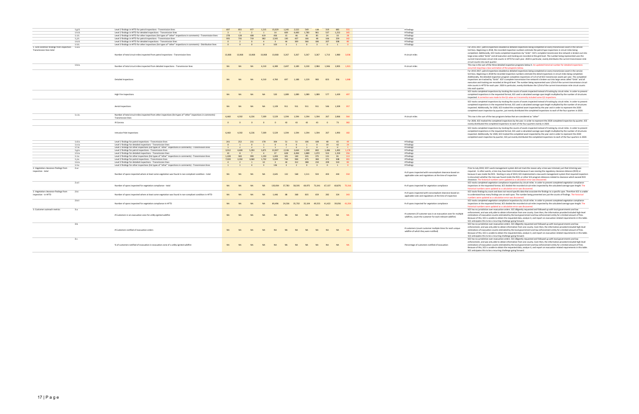|                                                                                  | 1.g.iii.  | Level 2 findings in HFTD for patrol inspections - Transmission lines                                                                          |                 | 855                     |                         |                | 15.029                  | 1.245                                            | 2.522                                            | 549       | 138       | 319            | 685           |           | # findings      |                                                                                                                              |                                                                                                                                                                                                                                                                                                                                                                                                                                                                                                                                                                                                                                                                                                                                                                                                                                             |
|----------------------------------------------------------------------------------|-----------|-----------------------------------------------------------------------------------------------------------------------------------------------|-----------------|-------------------------|-------------------------|----------------|-------------------------|--------------------------------------------------|--------------------------------------------------|-----------|-----------|----------------|---------------|-----------|-----------------|------------------------------------------------------------------------------------------------------------------------------|---------------------------------------------------------------------------------------------------------------------------------------------------------------------------------------------------------------------------------------------------------------------------------------------------------------------------------------------------------------------------------------------------------------------------------------------------------------------------------------------------------------------------------------------------------------------------------------------------------------------------------------------------------------------------------------------------------------------------------------------------------------------------------------------------------------------------------------------|
|                                                                                  | 1.h.iii.  | Level 2 findings in HFTD for detailed inspections - Transmission lines                                                                        |                 |                         |                         |                |                         | 609                                              | 4.400                                            | 1.783     | 961       | 537            | 1.252         |           | # findings      |                                                                                                                              |                                                                                                                                                                                                                                                                                                                                                                                                                                                                                                                                                                                                                                                                                                                                                                                                                                             |
|                                                                                  | 1.i.iii.  |                                                                                                                                               | 278             | 128                     | 408                     | 419            | 456                     |                                                  |                                                  |           |           |                | 33            |           |                 |                                                                                                                              |                                                                                                                                                                                                                                                                                                                                                                                                                                                                                                                                                                                                                                                                                                                                                                                                                                             |
|                                                                                  |           | Level 2 findings in HFTD for other inspections (list types of "other" inspections in comments) - Transmission lines                           |                 |                         |                         |                |                         |                                                  |                                                  |           |           |                |               |           | # findings      |                                                                                                                              |                                                                                                                                                                                                                                                                                                                                                                                                                                                                                                                                                                                                                                                                                                                                                                                                                                             |
|                                                                                  | 1.j.iii.  | Level 3 findings in HFTD for patrol inspections - Transmission lines                                                                          | 935             | 735                     | 719                     | 382            | 2,545                   | 130                                              | 437                                              | 166       | 48        | 166            | 259           | 162       | # findings      |                                                                                                                              |                                                                                                                                                                                                                                                                                                                                                                                                                                                                                                                                                                                                                                                                                                                                                                                                                                             |
|                                                                                  | 1.k.iii.  | Level 3 findings in HFTD for detailed inspections - Transmission lines                                                                        |                 |                         |                         |                |                         | 44                                               | 309                                              | 366       | 186       | 207            | 508           |           | # findings      |                                                                                                                              |                                                                                                                                                                                                                                                                                                                                                                                                                                                                                                                                                                                                                                                                                                                                                                                                                                             |
|                                                                                  | 1.l.iii.  | Level 3 findings in HFTD for other inspections (list types of "other" inspections in comments) - Distribution lines                           |                 |                         |                         |                | 103                     |                                                  |                                                  |           |           |                |               |           | # findings      |                                                                                                                              |                                                                                                                                                                                                                                                                                                                                                                                                                                                                                                                                                                                                                                                                                                                                                                                                                                             |
| 1. Grid condition findings from inspection - 1.a.iv.<br>Transmission lines total |           | Number of total circuit miles inspected from patrol inspections - Transmission lines                                                          | 13,068          | 13,068                  | 13,068                  | 13,068         |                         | 13,068 3,267 3,267 3,267 3,267 1,713 1,980 3,036 |                                                  |           |           |                |               |           | # circuit miles |                                                                                                                              | For 2015-2017, patrol inspections doubled as detailed inspections being completed on every transmission asset in the service<br>territory. Beginning in 2018, the recorded inspection numbers estimate the patrol type inspections in circuit miles being<br>completed. Additionally, SCE tracks completed inspections by "Grids". SCE's complete transmission line network is broken out into<br>large areas called "Grids" and all execution and tracking are recorded at the grid level. The number being represented uses the<br>current transmission circuit mile counts in HFTD for each year. 2020 in particular, evenly distributes the current transmission mile<br>circuit counts into each quarter                                                                                                                               |
|                                                                                  | 1.b.iv.   | Number of total circuit miles inspected from detailed inspections - Transmission lines                                                        | <b>NA</b>       | <b>NA</b>               | <b>NA</b>               | 4.210          | 6.389                   | 2.697                                            | 3,189 3,230 2,984 1,946 3,905 1,921              |           |           |                |               |           | # circuit miles |                                                                                                                              | This row is the sum of the three detailed inspection programs below it. An updated historical number for detailed inspections<br>occurred requiring a new summation of the programs below.                                                                                                                                                                                                                                                                                                                                                                                                                                                                                                                                                                                                                                                  |
|                                                                                  |           | <b>Detailed Inspections</b>                                                                                                                   | <b>NA</b>       | <b>NA</b>               | <b>NA</b>               | 4.210          | 4.760                   | 697                                              | 1.188 1.229                                      |           | 983       | 823            | 956 1.068     |           |                 |                                                                                                                              | For 2015-2017, patrol inspections doubled as detailed inspections being completed on every transmission asset in the service<br>territory. Beginning in 2018 the recorded inspection numbers estimate the detail inspections in circuit miles being completed.<br>Additionally, the detailed inspection program completes inspections of 1/3 of all SCE transmission assets per year. The completed<br>inspections are tracked by "Grids". SCE's complete transmission line network is broken out into large areas called "Grids" and all<br>execution and tracking are recorded at the grid level. The number being represented uses 1/3rd of the current transmission circuit<br>mile counts in HFTD for each year. 2020 in particular, evenly distributes the 1/3rd of the current transmission mile circuit counts<br>into each quarter |
|                                                                                  |           | High Fire Inspections                                                                                                                         | <b>NA</b>       | <b>NA</b>               | <b>NA</b>               | <b>NA</b>      | 520                     | 1.089                                            | 1.089                                            | 1.089     | 1.089     | 577            | 1.439 497     |           |                 |                                                                                                                              | SCE tracks completed inspections by tracking the counts of assets inspected instead of tracking by circuit miles. In order to present<br>completed inspections in the requested format, SCE used a calculated average span length multiplied by the number of structures<br>inspected. A correction was made to the Q1 value as it incorrectly included some Q2 inspections                                                                                                                                                                                                                                                                                                                                                                                                                                                                 |
|                                                                                  |           | Aerial Inspections                                                                                                                            | <b>NA</b>       |                         |                         |                | 1.109                   | 911                                              | 911                                              | 911       | 911       | 546            | 1.509         | 357       |                 |                                                                                                                              | SCE tracks completed inspections by tracking the counts of assets inspected instead of tracking by circuit miles. In order to present<br>completed inspections in the requested format, SCE used a calculated average span length multiplied by the number of structures<br>inspected. Additionally, for 2020, SCE tracked the completed asset inspected by the year and in order to represent the 2020<br>completed asset inspection by quarter, just evenly distributed the completed inspections to each of the four quarters in 2020.                                                                                                                                                                                                                                                                                                   |
|                                                                                  | 1.c.iv.   | Number of total circuit miles inspected from other inspections (list types of "other" inspections in comments) -<br><b>Transmission lines</b> | 6.460           | 4.592                   | 6,226                   | 7,309          | 5,529                   | 1,594                                            | 1,594                                            | 1,594     | 1.594     | 267            | 2,066 564     |           | # circuit miles |                                                                                                                              | This row is the sum of the two programs below that are considered as "other"                                                                                                                                                                                                                                                                                                                                                                                                                                                                                                                                                                                                                                                                                                                                                                |
|                                                                                  |           | IR Corona                                                                                                                                     | $\overline{0}$  | $\overline{\mathbf{0}}$ | $\overline{\mathbf{0}}$ | $\overline{0}$ | $\overline{\mathbf{0}}$ | 43                                               | 43                                               | 43        | 43        | $\overline{0}$ | 73 382        |           |                 |                                                                                                                              | For 2020, SCE tracked the completed inspections by the year. In order to represent the 2020 completed inspection by quarter, SCE<br>evenly distributed the completed inspections to each of the four quarters evenly in 2020.                                                                                                                                                                                                                                                                                                                                                                                                                                                                                                                                                                                                               |
|                                                                                  |           | Intrusive Pole Inspections                                                                                                                    | 6,460           | 4,592                   | 6,226                   | 7.309          | 5,529                   | 1.594                                            | 1,594                                            | 1,594     | 1,594     | 267            | 1,993         | 182       |                 |                                                                                                                              | SCE tracks completed inspections by tracking the counts of assets inspected instead of tracking by circuit miles. In order to present<br>completed inspections in the requested format, SCE used a calculated average span length multiplied by the number of structures<br>inspected. Additionally, for 2020, SCE tracked the completed asset inspected by the year and in order to represent the 2020<br>completed asset inspection by quarter, SCE just evenly distributed the completed inspections to each of the four quarters in 2020.                                                                                                                                                                                                                                                                                               |
|                                                                                  | 1.d.iv.   | Level 1 findings for patrol inspections - Transmission lines                                                                                  | 241             | 252                     | 211                     |                |                         |                                                  |                                                  |           |           |                |               |           | # findings      |                                                                                                                              |                                                                                                                                                                                                                                                                                                                                                                                                                                                                                                                                                                                                                                                                                                                                                                                                                                             |
|                                                                                  | 1.e.iv.   | Level 1 findings for detailed inspections - Transmission lines                                                                                | $\Omega$        |                         |                         |                |                         |                                                  |                                                  |           |           |                | 42            | 24        | # findings      |                                                                                                                              |                                                                                                                                                                                                                                                                                                                                                                                                                                                                                                                                                                                                                                                                                                                                                                                                                                             |
|                                                                                  | 1.f.iv.   | Level 1 findings for other inspections (list types of "other" inspections in comments) - Transmission lines                                   |                 |                         |                         |                |                         |                                                  |                                                  |           |           |                |               |           | # findings      |                                                                                                                              |                                                                                                                                                                                                                                                                                                                                                                                                                                                                                                                                                                                                                                                                                                                                                                                                                                             |
|                                                                                  |           |                                                                                                                                               | 3,912           | 4.600                   | 5.393                   | 5.871          | 22,007                  | 2.536                                            | 3.644                                            | 1.200     | 802       | 1.486          | 1.492         | 1.176     |                 |                                                                                                                              |                                                                                                                                                                                                                                                                                                                                                                                                                                                                                                                                                                                                                                                                                                                                                                                                                                             |
|                                                                                  | 1.g.iv.   | Level 2 findings for patrol inspections - Transmission lines                                                                                  | 10 <sup>1</sup> |                         |                         |                |                         | 628                                              | 4.494                                            | 1.889     | 1.072     | 553            | 1.259         |           | # findings      |                                                                                                                              |                                                                                                                                                                                                                                                                                                                                                                                                                                                                                                                                                                                                                                                                                                                                                                                                                                             |
|                                                                                  | 1.h.iv.   | Level 2 findings for detailed inspections - Transmission lines                                                                                |                 |                         |                         |                |                         |                                                  |                                                  |           |           |                |               | 356       | # findings      |                                                                                                                              |                                                                                                                                                                                                                                                                                                                                                                                                                                                                                                                                                                                                                                                                                                                                                                                                                                             |
|                                                                                  | 1.i.v.    | Level 2 findings for other inspections (list types of "other" inspections in comments) - Transmission lines                                   | 1.428           | 583                     | 999                     | 1.150          | 1.003                   | 101                                              | 140                                              | 245       | 375       | 131            | 81            | 113       | # findings      |                                                                                                                              |                                                                                                                                                                                                                                                                                                                                                                                                                                                                                                                                                                                                                                                                                                                                                                                                                                             |
|                                                                                  | 1.j.iv.   | Level 3 findings for patrol inspections - Transmission lines                                                                                  | 7,020           | 3,350                   | 3.060                   | 1,732          | 5,049                   | 744                                              | 904                                              | 475       | 383       | 371            | 508           | 301       | # findings      |                                                                                                                              |                                                                                                                                                                                                                                                                                                                                                                                                                                                                                                                                                                                                                                                                                                                                                                                                                                             |
|                                                                                  | 1.k.iv.   | Level 3 findings for detailed inspections - Transmission lines                                                                                |                 |                         |                         |                |                         | 44                                               | 312                                              | 388       | 210       | 209            | 510           |           | # findings      |                                                                                                                              |                                                                                                                                                                                                                                                                                                                                                                                                                                                                                                                                                                                                                                                                                                                                                                                                                                             |
|                                                                                  | $1.1$ iv. | Level 3 findings for other inspections (list types of "other" inspections in comments) - Transmission lines                                   |                 |                         |                         |                | 136                     |                                                  |                                                  |           |           |                |               |           | # findings      |                                                                                                                              |                                                                                                                                                                                                                                                                                                                                                                                                                                                                                                                                                                                                                                                                                                                                                                                                                                             |
| 2. Vegetation clearance findings from<br>inspection - total                      | 2.a.i     | Number of spans inspected where at least some vegetation was found in non-compliant condition - total                                         | <b>NA</b>       | <b>NA</b>               | <b>NA</b>               | <b>NA</b>      | 2,645                   | 132                                              | 568                                              | 1,511     | 924       | 403            | 444           | 550       |                 | # of spans inspected with noncompliant clearance based on<br>applicable rules and regulations at the time of inspection      | Prior to July 2019, SCE's work management system did not track the reason why a tree was trimmed, just that trimming was<br>required. In other words, a tree may have been trimmed because it was nearing the regulatory clearance distance (RCD) or<br>because it was inside the RCD. Starting in July of 2019, SCE implemented a new work management system that required inspecto<br>to document whether the tree was found inside the RCD, or other SCE program distances related to clearance which exceed RCD<br>clearance. The historical numbers were updated as a calculation error was discovered.                                                                                                                                                                                                                                |
|                                                                                  | 2.a.ii    | Number of spans inspected for vegetation compliance - total                                                                                   | <b>NA</b>       | <b>NA</b>               | <b>NA</b>               | <b>NA</b>      | 130,934                 | 37,783                                           | 58,595 69,975 73,341                             |           |           | 67,137         | 60,876 75,316 |           |                 | # of spans inspected for vegetation compliance                                                                               | SCE tracks completed vegetation compliance inspections by circuit miles. In order to present completed vegetation compliance<br>inspections in the requested format, SCE divided the recorded circuit miles inspected by the calculated average span length. The<br>historical numbers were updated as a calculation error was discovered.                                                                                                                                                                                                                                                                                                                                                                                                                                                                                                  |
| 2. Vegetation clearance findings from<br>inspection - in HFTD                    | 2.b.i     | Number of spans inspected where at least some vegetation was found in non-compliant condition in HFTD                                         |                 | <b>NA</b>               | <b>NA</b>               | <b>NA</b>      | 1.446                   |                                                  | 368                                              | 835       | 659       | 282            | 324           | 343       |                 | # of spans inspected with noncompliant clearance based on<br>applicable rules and regulations at the time of inspection      | SCE tracks findings by count and does not record specific data that associate the findings to a specific span. Therefore SCE is unabl<br>to understand how many findings are on each span. The number being presented are just the counts of findings. The historical<br>numbers were undated as a calculation error was discovered.                                                                                                                                                                                                                                                                                                                                                                                                                                                                                                        |
|                                                                                  | 2.b.ii    | Number of spans inspected for vegetation compliance in HFTD                                                                                   |                 | <b>NA</b>               | <b>NA</b>               | <b>NA</b>      | 69.496                  |                                                  | 24,536 35,702 35,104 49,555 41,422 39,056 41,354 |           |           |                |               |           |                 | # of spans inspected for vegetation compliance                                                                               | SCE tracks completed vegetation compliance inspections by circuit miles. In order to present completed vegetation compliance<br>inspections in the requested format, SCE divided the recorded circuit miles inspected by the calculated average span length. The<br>historical numbers were updated as a calculation error was discovered                                                                                                                                                                                                                                                                                                                                                                                                                                                                                                   |
| 3. Customer outreach metrics                                                     | 3.a.      | # Customers in an evacuation zone for utility-ignited wildfire                                                                                | <b>NA</b>       | <b>NA</b>               |                         |                |                         |                                                  | <b>NA</b>                                        | <b>NA</b> | <b>NA</b> |                | <b>NA</b>     | <b>NA</b> |                 | # customers (if customer was in an evacuation zone for multiple<br>wildfires, count the customer for each relevant wildfire) | SCE has no jurisdiction over evacuation orders. SCE diligently requested and followed up with local governments and law<br>enforcement, and was only able to obtain information from one county. Even then, the information provided included high-level<br>estimations of evacuation counts estimated by the local government and law enforcement entity for a limited amount of fires.<br>Because of this, SCE is unable to obtain the requested data, analyze it, and report on evacuation related requirements in this table<br>SCE anticipates this to be a recurring challenge going forward.                                                                                                                                                                                                                                         |
|                                                                                  | 3.b.      | # Customers notified of evacuation orders                                                                                                     | $N\Delta$       | $N\Delta$               | <b>NA</b>               |                |                         |                                                  | <b>NA</b>                                        | <b>NA</b> | <b>NA</b> | $N\Delta$      | <b>NA</b>     | <b>NA</b> |                 | # customers (count customer multiple times for each unique<br>wildfire of which they were notified)                          | SCE has no jurisdiction over evacuation orders. SCE diligently requested and followed up with local governments and law<br>enforcement, and was only able to obtain information from one county. Even then, the information provided included high-level<br>estimations of evacuation counts estimated by the local government and law enforcement entity for a limited amount of fires.<br>Because of this, SCE is unable to obtain the requested data, analyze it, and report on evacuation related requirements in this table<br>SCE anticipates this to be a recurring challenge going forward.                                                                                                                                                                                                                                         |
|                                                                                  | 3.c.      | % of customers notified of evacuation in evacuation zone of a utility-ignited wildfire                                                        | <b>NA</b>       |                         |                         |                | <b>NA</b>               | <b>NA</b>                                        | <b>NA</b>                                        | <b>NA</b> | <b>NA</b> | <b>NA</b>      | <b>NA</b>     | <b>NA</b> |                 | Percentage of customers notified of evacuation                                                                               | SCE has no jurisdiction over evacuation orders. SCE diligently requested and followed up with local governments and law<br>enforcement, and was only able to obtain information from one county. Even then, the information provided included high-level<br>estimations of evacuation counts estimated by the local government and law enforcement entity for a limited amount of fires.<br>Because of this, SCE is unable to obtain the requested data, analyze it, and report on evacuation related requirements in this table<br>SCE anticipates this to be a recurring challenge going forward.                                                                                                                                                                                                                                         |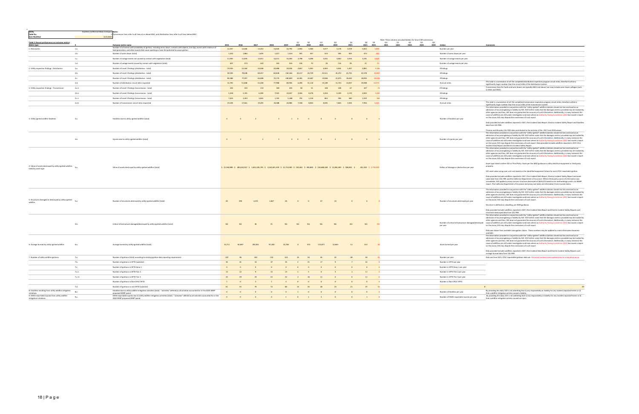| Table No<br><b>Date Modified</b>                                                       |          | mission lines refer to all lines at or above 65kV, and distribution lines refer to all lines below 65kV.                                                                                                                            |                |                            |                |                                                                                                                                                        |         | Q1                  | Q <sub>2</sub> | Q3                      | Q4                      | Q1                       | Q <sub>2</sub>          | Q3                       | Note: These columns are placeholders for future QR submissions.<br>Q4<br>Q1<br>Q2<br>Q3<br>04 |                                                                                                                                                                                                                                                                                                                                                                                                                                                                                                                                                                                                                                                                                                                                                                                                                                                                                                                                                                                                                                                                                                                                                                                                                                                                                                                          |
|----------------------------------------------------------------------------------------|----------|-------------------------------------------------------------------------------------------------------------------------------------------------------------------------------------------------------------------------------------|----------------|----------------------------|----------------|--------------------------------------------------------------------------------------------------------------------------------------------------------|---------|---------------------|----------------|-------------------------|-------------------------|--------------------------|-------------------------|--------------------------|-----------------------------------------------------------------------------------------------|--------------------------------------------------------------------------------------------------------------------------------------------------------------------------------------------------------------------------------------------------------------------------------------------------------------------------------------------------------------------------------------------------------------------------------------------------------------------------------------------------------------------------------------------------------------------------------------------------------------------------------------------------------------------------------------------------------------------------------------------------------------------------------------------------------------------------------------------------------------------------------------------------------------------------------------------------------------------------------------------------------------------------------------------------------------------------------------------------------------------------------------------------------------------------------------------------------------------------------------------------------------------------------------------------------------------------|
| Table 2: Recent performance on outcome metrics<br><b>Metric type</b>                   |          | Outcome metric name                                                                                                                                                                                                                 | 2015           | 2016                       | 2017           | 2018                                                                                                                                                   | 2019    | 2020                | 2020           |                         | 2020                    | 2021                     | 2021                    | 2021                     | 2021<br>2022<br>2022<br>2022<br>2022<br>Unitls                                                |                                                                                                                                                                                                                                                                                                                                                                                                                                                                                                                                                                                                                                                                                                                                                                                                                                                                                                                                                                                                                                                                                                                                                                                                                                                                                                                          |
| 1. Risk events                                                                         | 1.a.     | Number of all events with probability of ignition, including wires down, contacts with objects, line slap, events with evidence of<br>heat generation, and other events that cause sparking or have the potential to cause ignition | 12,337         | 12,406                     | 13,243         | 14,635                                                                                                                                                 | 16,794  | 2,902               | 3,368          | 5,077                   | 3,178                   | 3,578                    | 3,652                   | 3,838                    | Number per year                                                                               |                                                                                                                                                                                                                                                                                                                                                                                                                                                                                                                                                                                                                                                                                                                                                                                                                                                                                                                                                                                                                                                                                                                                                                                                                                                                                                                          |
|                                                                                        | 1.b.     | Number of wires down (total)                                                                                                                                                                                                        | 1,532          | 1,865                      | 1,639          | 1.217                                                                                                                                                  | 1,524   | 391                 | 537            | 523                     | 593                     | 503                      | 374                     | 342                      | Number of wires down per year                                                                 |                                                                                                                                                                                                                                                                                                                                                                                                                                                                                                                                                                                                                                                                                                                                                                                                                                                                                                                                                                                                                                                                                                                                                                                                                                                                                                                          |
|                                                                                        | 1.c.     | Number of outage events not caused by contact with vegetation (total)                                                                                                                                                               | 11,930         | 11,833                     | 12,621         | 14,211                                                                                                                                                 | 16,260  | 2,798               | 3,298          | 5.051                   | 3,062                   | 3,554                    | 3,191                   | 3,418                    | Number of outage events per year                                                              |                                                                                                                                                                                                                                                                                                                                                                                                                                                                                                                                                                                                                                                                                                                                                                                                                                                                                                                                                                                                                                                                                                                                                                                                                                                                                                                          |
|                                                                                        | 1.d.     | Number of outage events caused by contact with vegetation (total)                                                                                                                                                                   | 407            | 573                        | 622            | 424                                                                                                                                                    | 534     | 104                 | 70             |                         | 116                     | 95                       | 21                      | $-33$                    | Number of outage events per year                                                              |                                                                                                                                                                                                                                                                                                                                                                                                                                                                                                                                                                                                                                                                                                                                                                                                                                                                                                                                                                                                                                                                                                                                                                                                                                                                                                                          |
| 2. Utility inspection findings - Distribution                                          | 2.a.     | Number of Level 1 findings (distribution - total)                                                                                                                                                                                   | 19,559         | 22,364                     | 23,598         | 20,998                                                                                                                                                 | 24,028  | 4,857               | 5,595          | 6,993                   | 5,634                   | 5,307                    | 4,892                   | 5,186                    | # findings                                                                                    |                                                                                                                                                                                                                                                                                                                                                                                                                                                                                                                                                                                                                                                                                                                                                                                                                                                                                                                                                                                                                                                                                                                                                                                                                                                                                                                          |
|                                                                                        | 2.b.     | Number of Level 2 findings (distribution - total)                                                                                                                                                                                   | 92.109         | 79.438                     | 69,257         | 82.818                                                                                                                                                 | 150,166 | 23,217              | 24,739         | 22.511                  | 25.372                  | 21.731                   | 32.378                  | 33,067                   | # findings                                                                                    |                                                                                                                                                                                                                                                                                                                                                                                                                                                                                                                                                                                                                                                                                                                                                                                                                                                                                                                                                                                                                                                                                                                                                                                                                                                                                                                          |
|                                                                                        | 2.c.     | Number of Level 3 findings (distribution - total)                                                                                                                                                                                   | 85,588         | 77.057                     | 64,408         | 72,774                                                                                                                                                 | 189,600 | 14.381              | 19,487         | 19.984                  | 21.075                  | 18,450                   | 18.034                  | 20,534                   | # findings                                                                                    |                                                                                                                                                                                                                                                                                                                                                                                                                                                                                                                                                                                                                                                                                                                                                                                                                                                                                                                                                                                                                                                                                                                                                                                                                                                                                                                          |
|                                                                                        | 2.d.     | Number of distribution circuit miles inspected                                                                                                                                                                                      | 51,792         | 51,848                     | 51,228         | 77,908                                                                                                                                                 | 69,596  | 6,496               | 31,118         | 19,189                  | 11,733                  | 13,037                   | 19,588                  | 19,373                   | # circuit miles                                                                               | This total is a summation of all the completed distribution inspection program circuit miles, therefore will be a<br>significantly larger number than the circuit miles of the distribution systen                                                                                                                                                                                                                                                                                                                                                                                                                                                                                                                                                                                                                                                                                                                                                                                                                                                                                                                                                                                                                                                                                                                       |
| 2. Utility inspection findings - Transmission                                          | 2.a.ii   | Number of Level 1 findings (transmission - total)                                                                                                                                                                                   | 242            | 255                        | 213            | 180                                                                                                                                                    | 305     |                     |                | 108                     | 108                     |                          | 107                     |                          | # findings                                                                                    | Transmission lines for faults and wire downs are typically 65kV and above, but may include some lower voltages (such<br>as 55kV and 33kV).                                                                                                                                                                                                                                                                                                                                                                                                                                                                                                                                                                                                                                                                                                                                                                                                                                                                                                                                                                                                                                                                                                                                                                               |
|                                                                                        | 2.b.ii   | Number of Level 2 findings (transmission - total)                                                                                                                                                                                   | 5.350          | 5.191                      | 6.399          | 7.025                                                                                                                                                  | 23.047  | 3.265               | 8.278          | 3.334                   | 2.249                   | 2.170                    | 2.832                   | 1.645                    | # findings                                                                                    |                                                                                                                                                                                                                                                                                                                                                                                                                                                                                                                                                                                                                                                                                                                                                                                                                                                                                                                                                                                                                                                                                                                                                                                                                                                                                                                          |
|                                                                                        | 2.c.ii   | Number of Level 3 findings (transmission - total)                                                                                                                                                                                   | 7,025          | 3,353                      | 3.065          | 1.745                                                                                                                                                  | 5,188   | 791                 | 1,218          | 863                     | 596                     | 580                      | 1,019                   | 384                      | # findings                                                                                    |                                                                                                                                                                                                                                                                                                                                                                                                                                                                                                                                                                                                                                                                                                                                                                                                                                                                                                                                                                                                                                                                                                                                                                                                                                                                                                                          |
|                                                                                        | 2.d.ii   | Number of transmission circuit miles inspected                                                                                                                                                                                      | 19.528         | 17.661                     | 19.295         | 24,588                                                                                                                                                 | 24.986  | 7.558               | 8.050          | 8.091                   | 7.845                   | 3.926                    | 7.950                   | 5.521                    | # circuit miles                                                                               | This total is a summation of all the completed transmission inspection program circuit miles, therefore will be a                                                                                                                                                                                                                                                                                                                                                                                                                                                                                                                                                                                                                                                                                                                                                                                                                                                                                                                                                                                                                                                                                                                                                                                                        |
| 3. Utility ignited wildfire fatalities                                                 | 3.a.     | Fatalities due to utility-ignited wildfire (total)                                                                                                                                                                                  | $\circ$        | $\Omega$                   | $\overline{2}$ |                                                                                                                                                        |         | $1 \quad 0 \quad 0$ |                | $\overline{0}$          | $\overline{0}$          | $\overline{0}$           | $\overline{0}$          |                          | Number of fatalities per year                                                                 | significantly larger number than the circuit miles of the transmission system.<br>The information provided in conjunction with the "utility-ignited" wildfire statistics should not be construed as an<br>admission of any wrongdoing or liability by SCE. SCE further notes that the damages metrics provided may be tracked by<br>other agencies and thus. SCE does not guarantee the accuracy of such information. Additionally, in many instances the<br>cause of wildfires are still under investigation and even where an Authority Having Jurisdiction (AHJ) has issued a report<br>on the cause, SCE may dispute the conclusions of such report.<br>Data provided includes wildfires reported in SCE's Fire Incident Data Report, Electric Incident Safety Report and fatalities<br>data from CAL FIRE                                                                                                                                                                                                                                                                                                                                                                                                                                                                                                           |
|                                                                                        | 3.b.     | Injuries due to utility-ignited wildfire (total)                                                                                                                                                                                    | $\bullet$      | $\overline{\phantom{a}}$ 3 | $\overline{2}$ | $3^{\circ}$                                                                                                                                            |         |                     |                | $3 \t 0 \t 0 \t 6 \t 2$ |                         | $\overline{\phantom{0}}$ | $\bullet$               |                          | Number of injuries per year                                                                   | Thomas and Woosley CAL FIRE data contributed to the entirety of the 2017 and 2018 values.<br>The information provided in conjunction with the "utility-ignited" wildfire statistics should not be construed as an<br>admission of any wrongdoing or liability by SCE. SCE further notes that the damages metrics provided may be tracked by<br>other agencies and thus, SCE does not guarantee the accuracy of such information. Additionally, in many instances the<br>cause of wildfires are still under investigation and even where an Authority Having Jurisdiction (AHJ) has issued a report<br>on the cause, SCE may dispute the conclusions of such report. Data provided includes wildfires reported in SCE's Fire<br>Incident Data Report and Electric Incident Safety Report.                                                                                                                                                                                                                                                                                                                                                                                                                                                                                                                                 |
| 4. Value of assets destroyed by utility-ignited wildfire, 4.a.<br>listed by asset type |          | Value of assets destroyed by utility-ignited wildfire (total)                                                                                                                                                                       |                |                            |                | \$21,944,989 \$483,632,927 \$1,601,205,795 \$3,342,821,539 \$21,714,000 \$150,400 \$300,800 \$120,688,284 \$12,082,300 \$188,000 \$451,200 \$2,739,090 |         |                     |                |                         |                         |                          |                         |                          | Dollars of damage or destruction per year                                                     | The information provided in conjunction with the "utility-ignited" wildfire statistics should not be construed as an<br>admission of any wrongdoing or liability by SCE. SCE further notes that the damages metrics provided may be tracked by<br>other agencies and thus, SCE does not guarantee the accuracy of such information. Additionally, in many instances the<br>cause of wildfires are still under investigation and even where an Authority Having Jurisdiction (AHJ) has issued a report<br>on the cause, SCE may dispute the conclusions of such report.<br>Asset type listed is either SCE or Third Party. Asset per the WSD guidance is utility electrical equipment or third party<br>property.<br>SCE asset value using a per unit cost based on the identified equipment failure for each CPUC reportable ignition.<br>Data provided includes wildfires reported in SCE's Fire Incident Data Report, Electric Incident Safety Report and asset<br>value data from CAL FIRE and the California Department of Insurance. Where third party source of information was<br>unavailable, SCE applied a proxy cost per structure destroyed of \$819,472 based on its methodology used in its RAMP<br>report. The California Department of Insurance and proxy cost data use information from insured claims. |
| 5. Structures damaged or destroyed by utility-ignited 5.a.<br>wildfire                 |          | Number of structures destroyed by utility-ignited wildfire (total)                                                                                                                                                                  |                | 290                        | 1,072          | 1.667                                                                                                                                                  | 26      |                     | $\overline{0}$ | 47                      | 13                      |                          | $\overline{0}$          |                          | Number of structures destroyed per year                                                       | The information provided in conjunction with the "utility-ignited" wildfire statistics should not be construed as an<br>admission of any wrongdoing or liability by SCE. SCE further notes that the damages metrics provided may be tracked by<br>other agencies and thus, SCE does not guarantee the accuracy of such information. Additionally, in many instances the<br>cause of wildfires are still under investigation and even where an Authority Having Jurisdiction (AHJ) has issued a report<br>on the cause, SCE may dispute the conclusions of such report.<br>Structure is defined as a dwelling, per WSD guidance.<br>Data provided includes wildfires reported in SCE's Fire Incident Data Report and Electric Incident Safety Reports and<br>structures destroyed data from CAL FIRE.<br>The information provided in conjunction with the "utility-ignited" wildfire statistics should not be construed as an<br>admission of any wrongdoing or liability by SCE. SCE further notes that the damages metrics provided may be tracked by<br>other agencies and thus, SCE does not guarantee the accuracy of such information. Additionally, in many instances the                                                                                                                                          |
|                                                                                        | 5.b.     | Critical infrastructure damaged/destroved by utility-ignited wildfire (total)                                                                                                                                                       |                |                            |                |                                                                                                                                                        |         |                     |                |                         |                         |                          | <b>NA</b>               |                          | per year                                                                                      | Number of critical infrastructure damaged/destroyed cause of wildfires are still under investigation and even where an Authority Having Jurisdiction (AHJ) has issued a report<br>on the cause, SCE may dispute the conclusions of such report.<br>Data was drawn from available subrogation claims. These numbers may be updated as more information becomes<br>available.<br>The information provided in conjunction with the "utility-ignited" wildfire statistics should not be construed as an<br>admission of any wrongdoing or liability by SCE. SCE further notes that the damages metrics provided may be tracked by<br>other agencies and thus, SCE does not guarantee the accuracy of such information. Additionally, in many instances the                                                                                                                                                                                                                                                                                                                                                                                                                                                                                                                                                                   |
| 6. Acreage burned by utility-ignited wildfire                                          | 6.a.     | Acreage burned by utility-ignited wildfire (total)                                                                                                                                                                                  | 15,711         | 82897                      | 292,051        | 97,240                                                                                                                                                 | 22,784  |                     | 574            | 115,871                 | 12,863                  | 12                       | 513                     |                          | Acres burned per year                                                                         | cause of wildfires are still under investigation and even where an Authority Having Jurisdiction (AHJ) has issued a report<br>on the cause, SCE may dispute the conclusions of such report.<br>Data provided includes wildfires reported in SCE's Fire Incident Data Report and Electric Incident Safety Reports and<br>acreage burned data from CAL FIRE.                                                                                                                                                                                                                                                                                                                                                                                                                                                                                                                                                                                                                                                                                                                                                                                                                                                                                                                                                               |
| 7. Number of utility wildfire ignitions                                                | 7.a.     | Number of ignitions (total) according to existing ignition data reporting requirement                                                                                                                                               | 107            | 96                         | 105            | 110                                                                                                                                                    | 124     | 16                  | 56             | 45                      | 32                      | 28                       | 59                      | $-45$                    | Number per year                                                                               | Data are from SCE's CPUC reportable ignitions data set. Historical numbers were updated due to a tabulation error.                                                                                                                                                                                                                                                                                                                                                                                                                                                                                                                                                                                                                                                                                                                                                                                                                                                                                                                                                                                                                                                                                                                                                                                                       |
|                                                                                        | 7.b.     | Number of ignitions in HFTD (subtotal)                                                                                                                                                                                              | 45             | 41                         | 32             |                                                                                                                                                        |         |                     | 21             | 17                      | 9                       | $\overline{7}$           | 22                      | - 9                      | Number in HFTD per year                                                                       |                                                                                                                                                                                                                                                                                                                                                                                                                                                                                                                                                                                                                                                                                                                                                                                                                                                                                                                                                                                                                                                                                                                                                                                                                                                                                                                          |
|                                                                                        | 7.c.     | Number of ignitions in HFTD Zone 1                                                                                                                                                                                                  | $\Omega$       | $\Omega$                   | $\Omega$       |                                                                                                                                                        |         |                     | $\Omega$       | $\Omega$                | $\sqrt{a}$              | $\Omega$                 | $\sqrt{2}$              | - 0                      | Number in HFTD Zone 1 per year                                                                |                                                                                                                                                                                                                                                                                                                                                                                                                                                                                                                                                                                                                                                                                                                                                                                                                                                                                                                                                                                                                                                                                                                                                                                                                                                                                                                          |
|                                                                                        | 7.c.ii.  | Number of ignitions in HFTD Tier 2                                                                                                                                                                                                  | 13             | $12\,$                     |                | 15                                                                                                                                                     | 13      |                     | 5              | $6\overline{6}$         | $\overline{\mathbf{3}}$ | $\mathbf{1}$             | 11                      | $\overline{\phantom{a}}$ | Number in HFTD Tier 2 per year                                                                |                                                                                                                                                                                                                                                                                                                                                                                                                                                                                                                                                                                                                                                                                                                                                                                                                                                                                                                                                                                                                                                                                                                                                                                                                                                                                                                          |
|                                                                                        | 7.c.iii. | Number of ignitions in HFTD Tier 3                                                                                                                                                                                                  | 32             | 29                         | 23             |                                                                                                                                                        | 22      |                     | 16             | 11                      | 6                       | 6                        | 11                      | - 6                      | Number in HFTD Tier 3 per year                                                                |                                                                                                                                                                                                                                                                                                                                                                                                                                                                                                                                                                                                                                                                                                                                                                                                                                                                                                                                                                                                                                                                                                                                                                                                                                                                                                                          |
|                                                                                        |          | Number of ignitions in Non-CPUC HFTD                                                                                                                                                                                                | $\overline{1}$ | $\circ$                    |                |                                                                                                                                                        |         | $\mathbf{0}$        | $\circ$        | $\circ$                 | $\mathbf{0}$            | $\overline{0}$           | $\overline{\mathbf{0}}$ | $\overline{\phantom{0}}$ | Number in Non-CPUC HFTD                                                                       |                                                                                                                                                                                                                                                                                                                                                                                                                                                                                                                                                                                                                                                                                                                                                                                                                                                                                                                                                                                                                                                                                                                                                                                                                                                                                                                          |
|                                                                                        | 7.d.     | Number of ignitions in non-HFTD (subtotal)                                                                                                                                                                                          | 61             | 55                         | 70             |                                                                                                                                                        | 86      | 13                  | 35             | 28                      | 23                      | 21                       | 37                      | 36                       |                                                                                               | 2 <sup>5</sup>                                                                                                                                                                                                                                                                                                                                                                                                                                                                                                                                                                                                                                                                                                                                                                                                                                                                                                                                                                                                                                                                                                                                                                                                                                                                                                           |
| 8. Fatalities resulting from utility wildfire mitigation                               | 8a       | Fatalities due to utility wildfire mitigation activities (total) - "activities" defined as all activities accounted for in the 2020 WMP                                                                                             | $\Omega$       | $\overline{0}$             | $\overline{0}$ |                                                                                                                                                        |         | $\overline{1}$      | $\overline{0}$ | $\circ$                 | $\overline{0}$          | $\overline{0}$           | $\mathbf{0}$            | $\overline{\phantom{0}}$ | Number of fatalities per year                                                                 | By providing this data, SCE is not admitting that 1) any responsibility or liability for any incident reported herein or 2)                                                                                                                                                                                                                                                                                                                                                                                                                                                                                                                                                                                                                                                                                                                                                                                                                                                                                                                                                                                                                                                                                                                                                                                              |
| initiatives<br>9. OSHA-reportable injuries from utility wildfire                       | 9a       | proposed WMP spend<br>OSHA-reportable injuries due to utility wildfire mitigation activities (total) - "activities" defined as all activities accounted for in the<br>2020 WMP proposed WMP spend                                   | $\Omega$       | $\Omega$                   | $\Omega$       |                                                                                                                                                        | 1       | $\mathbf{0}$        | 1              | $\mathbf{R}$            | $\sqrt{a}$              | $\Omega$                 | $\overline{1}$          | - 0                      | Number of OSHA-reportable injuries per year                                                   | that a wildfire mitigation activity caused a fatality.<br>By providing this data, SCE is not admitting that 1) any responsibility or liability for any incident reported herein or 2)<br>that a wildfire mitigation activity caused an injury.                                                                                                                                                                                                                                                                                                                                                                                                                                                                                                                                                                                                                                                                                                                                                                                                                                                                                                                                                                                                                                                                           |

|                       | Comments                                                                                                                                                                                                                                                                                                                                                                                                                                                                                                                                                                                                                                                                                                                                                                                 |
|-----------------------|------------------------------------------------------------------------------------------------------------------------------------------------------------------------------------------------------------------------------------------------------------------------------------------------------------------------------------------------------------------------------------------------------------------------------------------------------------------------------------------------------------------------------------------------------------------------------------------------------------------------------------------------------------------------------------------------------------------------------------------------------------------------------------------|
|                       |                                                                                                                                                                                                                                                                                                                                                                                                                                                                                                                                                                                                                                                                                                                                                                                          |
| ear                   |                                                                                                                                                                                                                                                                                                                                                                                                                                                                                                                                                                                                                                                                                                                                                                                          |
| r year                |                                                                                                                                                                                                                                                                                                                                                                                                                                                                                                                                                                                                                                                                                                                                                                                          |
| r year                |                                                                                                                                                                                                                                                                                                                                                                                                                                                                                                                                                                                                                                                                                                                                                                                          |
|                       |                                                                                                                                                                                                                                                                                                                                                                                                                                                                                                                                                                                                                                                                                                                                                                                          |
|                       |                                                                                                                                                                                                                                                                                                                                                                                                                                                                                                                                                                                                                                                                                                                                                                                          |
|                       |                                                                                                                                                                                                                                                                                                                                                                                                                                                                                                                                                                                                                                                                                                                                                                                          |
|                       | This total is a summation of all the completed distribution inspection program circuit miles, therefore will be a<br>significantly larger number than the circuit miles of the distribution system.                                                                                                                                                                                                                                                                                                                                                                                                                                                                                                                                                                                      |
|                       | Transmission lines for faults and wire downs are typically 65kV and above, but may include some lower voltages (such                                                                                                                                                                                                                                                                                                                                                                                                                                                                                                                                                                                                                                                                     |
|                       | as 55kV and 33kV).                                                                                                                                                                                                                                                                                                                                                                                                                                                                                                                                                                                                                                                                                                                                                                       |
|                       |                                                                                                                                                                                                                                                                                                                                                                                                                                                                                                                                                                                                                                                                                                                                                                                          |
|                       | This total is a summation of all the completed transmission inspection program circuit miles, therefore will be a                                                                                                                                                                                                                                                                                                                                                                                                                                                                                                                                                                                                                                                                        |
|                       | significantly larger number than the circuit miles of the transmission system.<br>The information provided in conjunction with the "utility-ignited" wildfire statistics should not be construed as an                                                                                                                                                                                                                                                                                                                                                                                                                                                                                                                                                                                   |
|                       | admission of any wrongdoing or liability by SCE. SCE further notes that the damages metrics provided may be tracked by<br>other agencies and thus, SCE does not guarantee the accuracy of such information. Additionally, in many instances the<br>cause of wildfires are still under investigation and even where an Authority Having Jurisdiction (AHJ) has issued a report<br>on the cause, SCE may dispute the conclusions of such report.                                                                                                                                                                                                                                                                                                                                           |
|                       | Data provided includes wildfires reported in SCE's Fire Incident Data Report, Electric Incident Safety Report and fatalities<br>data from CAL FIRE.                                                                                                                                                                                                                                                                                                                                                                                                                                                                                                                                                                                                                                      |
|                       |                                                                                                                                                                                                                                                                                                                                                                                                                                                                                                                                                                                                                                                                                                                                                                                          |
|                       | Thomas and Woosley CAL FIRE data contributed to the entirety of the 2017 and 2018 values.<br>The information provided in conjunction with the "utility-ignited" wildfire statistics should not be construed as an<br>admission of any wrongdoing or liability by SCE. SCE further notes that the damages metrics provided may be tracked by<br>other agencies and thus, SCE does not guarantee the accuracy of such information. Additionally, in many instances the<br>cause of wildfires are still under investigation and even where an Authority Having Jurisdiction (AHJ) has issued a report<br>on the cause, SCE may dispute the conclusions of such report. Data provided includes wildfires reported in SCE's Fire<br>Incident Data Report and Electric Incident Safety Report. |
|                       | The information provided in conjunction with the "utility-ignited" wildfire statistics should not be construed as an<br>admission of any wrongdoing or liability by SCE. SCE further notes that the damages metrics provided may be tracked by<br>other agencies and thus, SCE does not guarantee the accuracy of such information. Additionally, in many instances the<br>cause of wildfires are still under investigation and even where an Authority Having Jurisdiction (AHJ) has issued a report<br>on the cause, SCE may dispute the conclusions of such report.                                                                                                                                                                                                                   |
| tion per year         | Asset type listed is either SCE or Third Party. Asset per the WSD guidance is utility electrical equipment or third party<br>property.                                                                                                                                                                                                                                                                                                                                                                                                                                                                                                                                                                                                                                                   |
|                       | SCE asset value using a per unit cost based on the identified equipment failure for each CPUC reportable ignition.                                                                                                                                                                                                                                                                                                                                                                                                                                                                                                                                                                                                                                                                       |
|                       | Data provided includes wildfires reported in SCE's Fire Incident Data Report, Electric Incident Safety Report and asset<br>value data from CAL FIRE and the California Department of Insurance. Where third party source of information was<br>unavailable, SCE applied a proxy cost per structure destroyed of \$819,472 based on its methodology used in its RAMP<br>report. The California Department of Insurance and proxy cost data use information from insured claims.                                                                                                                                                                                                                                                                                                           |
| yed per year          | The information provided in conjunction with the "utility-ignited" wildfire statistics should not be construed as an<br>admission of any wrongdoing or liability by SCE. SCE further notes that the damages metrics provided may be tracked by<br>other agencies and thus. SCE does not guarantee the accuracy of such information. Additionally, in many instances the<br>cause of wildfires are still under investigation and even where an Authority Having Jurisdiction (AHJ) has issued a report<br>on the cause, SCE may dispute the conclusions of such report.                                                                                                                                                                                                                   |
|                       | Structure is defined as a dwelling, per WSD guidance.                                                                                                                                                                                                                                                                                                                                                                                                                                                                                                                                                                                                                                                                                                                                    |
|                       | Data provided includes wildfires reported in SCE's Fire Incident Data Report and Electric Incident Safety Reports and                                                                                                                                                                                                                                                                                                                                                                                                                                                                                                                                                                                                                                                                    |
|                       | structures destroyed data from CAL FIRE.<br>The information provided in conjunction with the "utility-ignited" wildfire statistics should not be construed as an                                                                                                                                                                                                                                                                                                                                                                                                                                                                                                                                                                                                                         |
| ure damaged/destroyed | admission of any wrongdoing or liability by SCE. SCE further notes that the damages metrics provided may be tracked by<br>other agencies and thus, SCE does not guarantee the accuracy of such information. Additionally, in many instances the<br>cause of wildfires are still under investigation and even where an Authority Having Jurisdiction (AHJ) has issued a report<br>on the cause, SCE may dispute the conclusions of such report.                                                                                                                                                                                                                                                                                                                                           |
|                       | Data was drawn from available subrogation claims. These numbers may be updated as more information becomes                                                                                                                                                                                                                                                                                                                                                                                                                                                                                                                                                                                                                                                                               |
|                       | available.<br>The information provided in conjunction with the "utility-ignited" wildfire statistics should not be construed as an<br>admission of any wrongdoing or liability by SCE. SCE further notes that the damages metrics provided may be tracked by<br>other agencies and thus. SCE does not guarantee the accuracy of such information. Additionally, in many instances the<br>cause of wildfires are still under investigation and even where an Authority Having Jurisdiction (AHJ) has issued a report                                                                                                                                                                                                                                                                      |
|                       | on the cause, SCE may dispute the conclusions of such report.<br>Data provided includes wildfires reported in SCE's Fire Incident Data Report and Electric Incident Safety Reports and                                                                                                                                                                                                                                                                                                                                                                                                                                                                                                                                                                                                   |
|                       | acreage burned data from CAL FIRE<br>Data are from SCE's CPUC reportable ignitions data set. Historical numbers were updated due to a tabulation error.                                                                                                                                                                                                                                                                                                                                                                                                                                                                                                                                                                                                                                  |
|                       |                                                                                                                                                                                                                                                                                                                                                                                                                                                                                                                                                                                                                                                                                                                                                                                          |
| vear                  |                                                                                                                                                                                                                                                                                                                                                                                                                                                                                                                                                                                                                                                                                                                                                                                          |
|                       |                                                                                                                                                                                                                                                                                                                                                                                                                                                                                                                                                                                                                                                                                                                                                                                          |
| ear                   |                                                                                                                                                                                                                                                                                                                                                                                                                                                                                                                                                                                                                                                                                                                                                                                          |
| ear                   |                                                                                                                                                                                                                                                                                                                                                                                                                                                                                                                                                                                                                                                                                                                                                                                          |
|                       |                                                                                                                                                                                                                                                                                                                                                                                                                                                                                                                                                                                                                                                                                                                                                                                          |
|                       | 29                                                                                                                                                                                                                                                                                                                                                                                                                                                                                                                                                                                                                                                                                                                                                                                       |
|                       | By providing this data, SCE is not admitting that 1) any responsibility or liability for any incident reported herein or 2)                                                                                                                                                                                                                                                                                                                                                                                                                                                                                                                                                                                                                                                              |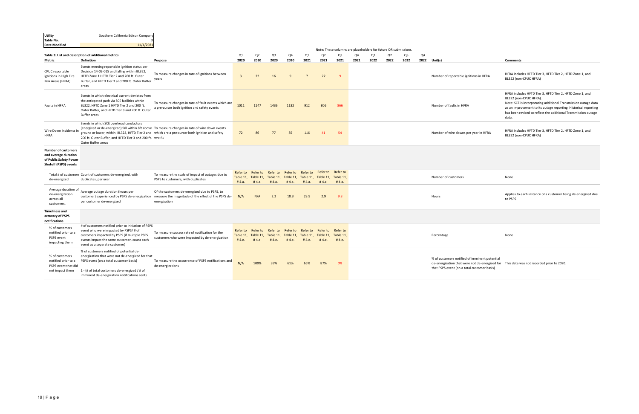| Utility              | Southern California Edison Company |
|----------------------|------------------------------------|
| Table No.            |                                    |
| <b>Date Modified</b> | 11/1/2021                          |

| Date Modified                                                                                                | 11/1202                                                                                                                                                                                                                                 |                                                                                                                                                                                                    |                                |                                |                                |                   |                    |                                                              |                                |      |                |                |  | Note: These columns are placeholders for future QR submissions. |    |                                                                                                                                                                                          |                                                                                                                                                                                                                                                                                                    |  |  |  |  |
|--------------------------------------------------------------------------------------------------------------|-----------------------------------------------------------------------------------------------------------------------------------------------------------------------------------------------------------------------------------------|----------------------------------------------------------------------------------------------------------------------------------------------------------------------------------------------------|--------------------------------|--------------------------------|--------------------------------|-------------------|--------------------|--------------------------------------------------------------|--------------------------------|------|----------------|----------------|--|-----------------------------------------------------------------|----|------------------------------------------------------------------------------------------------------------------------------------------------------------------------------------------|----------------------------------------------------------------------------------------------------------------------------------------------------------------------------------------------------------------------------------------------------------------------------------------------------|--|--|--|--|
|                                                                                                              | Table 3: List and description of additional metrics                                                                                                                                                                                     |                                                                                                                                                                                                    | Q1                             | Q2                             | Q <sub>3</sub>                 | Q4                | Q1                 | Q <sub>2</sub>                                               | Q <sub>3</sub>                 | Q4   | O <sub>1</sub> | Q <sub>2</sub> |  | Q3                                                              | Q4 |                                                                                                                                                                                          |                                                                                                                                                                                                                                                                                                    |  |  |  |  |
| Metric                                                                                                       | <b>Definition</b>                                                                                                                                                                                                                       | Purpose                                                                                                                                                                                            | 2020                           | 2020                           | 2020                           | 2020              | 2021               | 2021                                                         | 2021                           | 2021 | 2022           | 2022           |  | 2022                                                            |    | 2022 Unit(s)                                                                                                                                                                             | <b>Comments</b>                                                                                                                                                                                                                                                                                    |  |  |  |  |
| CPUC reportable<br>ignitions in High Fire<br>Risk Areas (HFRA)                                               | Events meeting reportable ignition status per<br>Decision 14-02-015 and falling within BL322,<br>HFTD Zone 1 HFTD Tier 2 and 200 ft. Outer<br>Buffer, and HFTD Tier 3 and 200 ft. Outer Buffer<br>areas                                 | To measure changes in rate of ignitions between<br>years                                                                                                                                           | $\overline{3}$                 | 22                             | 16                             | $\mathbf{q}$      | $\overline{7}$     | 22                                                           | $\mathsf{q}$                   |      |                |                |  |                                                                 |    | Number of reportable ignitions in HFRA                                                                                                                                                   | HFRA includes HFTD Tier 3, HFTD Tier 2, HFTD Zone 1, and<br>BL322 (non-CPUC HFRA)                                                                                                                                                                                                                  |  |  |  |  |
| Faults in HFRA                                                                                               | Events in which electrical current deviates from<br>the anticpated path via SCE facilities within<br>BL322, HFTD Zone 1 HFTD Tier 2 and 200 ft.<br>Outer Buffer, and HFTD Tier 3 and 200 ft. Outer<br>Buffer areas                      | To measure changes in rate of fault events which are<br>a pre-cursor both ignition and safety events                                                                                               | 1011                           | 1147                           | 1436                           | 1132              | 912                | 806                                                          | 866                            |      |                |                |  |                                                                 |    | Number of faults in HFRA                                                                                                                                                                 | HFRA includes HFTD Tier 3, HFTD Tier 2, HFTD Zone 1, and<br>BL322 (non-CPUC HFRA).<br>Note: SCE is incorporating additional Transmission outage data<br>as an improvement to its outage reporting. Historical reporting<br>has been revised to reflect the additional Transmission outage<br>data. |  |  |  |  |
| Wire Down Incidents in<br><b>HFRA</b>                                                                        | Events in which SCE overhead conductors<br>200 ft. Outer Buffer, and HFTD Tier 3 and 200 ft. events<br>Outer Buffer areas                                                                                                               | (energized or de-energized) fall within 8ft above To measure changes in rate of wire down events<br>ground or lower, within BL322, HFTD Tier 2 and which are a pre-cursor both ignition and safety | 72                             | 86                             | 77                             | 85                | 116                | 41                                                           | 54                             |      |                |                |  |                                                                 |    | Number of wire downs per year in HFRA                                                                                                                                                    | HFRA includes HFTD Tier 3, HFTD Tier 2, HFTD Zone 1, and<br>BL322 (non-CPUC HFRA)                                                                                                                                                                                                                  |  |  |  |  |
| <b>Number of customers</b><br>and average duration<br>of Public Safety Power<br><b>Shutoff (PSPS) events</b> |                                                                                                                                                                                                                                         |                                                                                                                                                                                                    |                                |                                |                                |                   |                    |                                                              |                                |      |                |                |  |                                                                 |    |                                                                                                                                                                                          |                                                                                                                                                                                                                                                                                                    |  |  |  |  |
| de-energized                                                                                                 | Total # of customers Count of customers de-energized, with<br>duplicates, per year                                                                                                                                                      | To measure the scale of impact of outages due to<br>PSPS to customers, with duplicates                                                                                                             | Refer to<br>Table 11,<br>#4.a. | Refer to<br>Table 11,<br>#4.a. | Refer to<br>Table 11,<br>#4.a. | Refer to<br>#4.a. | Refer to<br># 4.a. | Refer to<br>Table 11, Table 11, Table 11, Table 11,<br>#4.a. | Refer to<br># 4.a.             |      |                |                |  |                                                                 |    | Number of customers                                                                                                                                                                      | None                                                                                                                                                                                                                                                                                               |  |  |  |  |
| Average duration of<br>de-energization<br>across all<br>customers.                                           | Average outage duration (hours per<br>per customer de-energized                                                                                                                                                                         | Of the customers de-energized due to PSPS, to<br>customer) experienced by PSPS de-energization measure the magnitude of the effect of the PSPS de-<br>energization                                 | N/A                            | N/A                            | 2.2                            | 18.3              | 23.9               | 2.9                                                          | 9.8                            |      |                |                |  |                                                                 |    | Hours                                                                                                                                                                                    | Applies to each instance of a customer being de-energized due<br>to PSPS                                                                                                                                                                                                                           |  |  |  |  |
| <b>Timeliness and</b><br>accuracy of PSPS<br>notifications                                                   |                                                                                                                                                                                                                                         |                                                                                                                                                                                                    |                                |                                |                                |                   |                    |                                                              |                                |      |                |                |  |                                                                 |    |                                                                                                                                                                                          |                                                                                                                                                                                                                                                                                                    |  |  |  |  |
| % of customers<br>notified prior to<br>PSPS event<br>impacting them                                          | # of customers notified prior to initiation of PSPS<br>event who were impacted by PSPS/# of<br>customers impacted by PSPS (if multiple PSPS<br>events impact the same customer, count each<br>event as a separate customer)             | To measure success rate of notification for the<br>customers who were impacted by de-energization                                                                                                  | Refer to<br>Table 11,<br>#4.e. | Refer to<br>Table 11,<br>#4.e  | Refer to<br>Table 11,<br>#4.e. | Refer to<br>#4.e. | Refer to<br>#4.e.  | Refer to<br>Table 11, Table 11, Table 11,<br>#4e.            | Refer to<br>Table 11,<br>#4.e. |      |                |                |  |                                                                 |    | Percentage                                                                                                                                                                               | None                                                                                                                                                                                                                                                                                               |  |  |  |  |
| % of customers<br>notified prior to a<br>PSPS event that did<br>not impact them                              | % of customers notified of potential de-<br>energization that were not de-energized for that<br>PSPS event (on a total customer basis)<br>1 - (# of total customers de-energized / # of<br>imminent de-energization notifications sent) | To measure the occurrence of PSPS notifications and<br>de-energizations                                                                                                                            | N/A                            | 100%                           | 39%                            | 61%               | 65%                | 87%                                                          | 0%                             |      |                |                |  |                                                                 |    | % of customers notified of imminent potential<br>de-energization that were not de-energized for This data was not recorded prior to 2020.<br>that PSPS event (on a total customer basis) |                                                                                                                                                                                                                                                                                                    |  |  |  |  |

| Unit(s)                                                                                                                                        | <b>Comments</b>                                                                                                                                                                                                                                                                                    |
|------------------------------------------------------------------------------------------------------------------------------------------------|----------------------------------------------------------------------------------------------------------------------------------------------------------------------------------------------------------------------------------------------------------------------------------------------------|
| Number of reportable ignitions in HFRA                                                                                                         | HFRA includes HFTD Tier 3, HFTD Tier 2, HFTD Zone 1, and<br>BL322 (non-CPUC HFRA)                                                                                                                                                                                                                  |
| Number of faults in HFRA                                                                                                                       | HFRA includes HFTD Tier 3, HFTD Tier 2, HFTD Zone 1, and<br>BL322 (non-CPUC HFRA).<br>Note: SCE is incorporating additional Transmission outage data<br>as an improvement to its outage reporting. Historical reporting<br>has been revised to reflect the additional Transmission outage<br>data. |
| Number of wire downs per year in HFRA                                                                                                          | HFRA includes HFTD Tier 3, HFTD Tier 2, HFTD Zone 1, and<br>BL322 (non-CPUC HFRA)                                                                                                                                                                                                                  |
|                                                                                                                                                |                                                                                                                                                                                                                                                                                                    |
| Number of customers                                                                                                                            | None                                                                                                                                                                                                                                                                                               |
| Hours                                                                                                                                          | Applies to each instance of a customer being de-energized due<br>to PSPS                                                                                                                                                                                                                           |
|                                                                                                                                                |                                                                                                                                                                                                                                                                                                    |
| Percentage                                                                                                                                     | None                                                                                                                                                                                                                                                                                               |
| % of customers notified of imminent potential<br>de-energization that were not de-energized for<br>that PSPS event (on a total customer basis) | This data was not recorded prior to 2020.                                                                                                                                                                                                                                                          |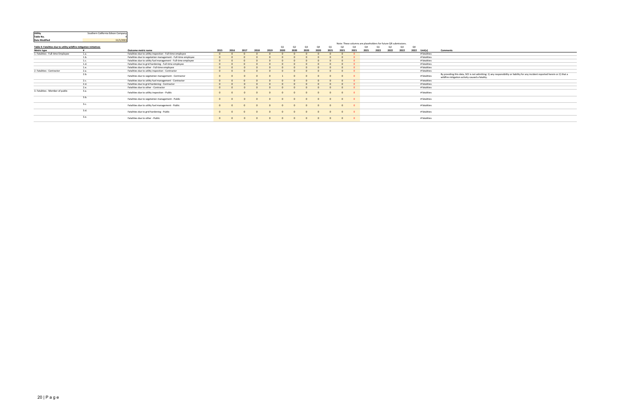| <b>Utility</b><br>Table No.                                        | Southern California Edison Company |                                                                |                          |      |      |      |          |      |                |  |  |                         |                                                                 |      |      |      |                |              |                                                                                                                                                                                   |
|--------------------------------------------------------------------|------------------------------------|----------------------------------------------------------------|--------------------------|------|------|------|----------|------|----------------|--|--|-------------------------|-----------------------------------------------------------------|------|------|------|----------------|--------------|-----------------------------------------------------------------------------------------------------------------------------------------------------------------------------------|
| <b>Date Modified</b>                                               |                                    | 11/1/2021                                                      |                          |      |      |      |          |      |                |  |  |                         |                                                                 |      |      |      |                |              |                                                                                                                                                                                   |
|                                                                    |                                    |                                                                |                          |      |      |      |          |      |                |  |  |                         | Note: These columns are placeholders for future QR submissions. |      |      |      |                |              |                                                                                                                                                                                   |
| Table 4: Fatalities due to utility wildfire mitigation initiatives |                                    |                                                                |                          |      |      |      |          | Q1   | Q <sub>2</sub> |  |  |                         |                                                                 |      | O2   |      | Q <sub>4</sub> |              |                                                                                                                                                                                   |
| <b>Metric type</b>                                                 |                                    | Outcome metric name                                            | 2015                     | 2016 | 2017 | 2018 | 2019     | 2020 | 2020           |  |  | 2021                    | 2021                                                            | 2022 | 2022 | 2022 | 2022           | Unit(s)      | <b>Comments</b>                                                                                                                                                                   |
| 1. Fatalities - Full-time Employee                                 | 1.a.                               | Fatalities due to utility inspection - Full-time employee      | $\overline{\phantom{0}}$ |      |      |      |          |      |                |  |  |                         |                                                                 |      |      |      |                | # fatalities |                                                                                                                                                                                   |
|                                                                    | 1.b.                               | Fatalities due to vegetation management - Full-time employee   |                          |      |      |      |          |      |                |  |  |                         |                                                                 |      |      |      |                | # fatalities |                                                                                                                                                                                   |
|                                                                    | 1.c.                               | Fatalities due to utility fuel management - Full-time employee |                          |      |      |      |          |      |                |  |  |                         |                                                                 |      |      |      |                | # fatalities |                                                                                                                                                                                   |
|                                                                    | 1.d.                               | Fatalities due to grid hardening - Full-time employee          |                          |      |      |      |          |      |                |  |  |                         |                                                                 |      |      |      |                | # fatalities |                                                                                                                                                                                   |
|                                                                    | 1.e.                               | Fatalities due to other - Full-time employee                   |                          |      |      |      |          |      |                |  |  |                         |                                                                 |      |      |      |                | # fatalities |                                                                                                                                                                                   |
| 2. Fatalities - Contractor                                         | 2.a.                               | Fatalities due to utility inspection - Contractor              |                          |      |      |      |          |      |                |  |  | $\sqrt{ }$              |                                                                 |      |      |      |                | # fatalities |                                                                                                                                                                                   |
|                                                                    | 2.b.                               | Fatalities due to vegetation management - Contractor           | $\Omega$                 |      |      |      |          |      |                |  |  | $\Omega$                |                                                                 |      |      |      |                | # fatalities | By providing this data, SCE is not admitting: 1) any responsibility or liability for any incident reported herein or 2) that a<br>wildfire mitigation activity caused a fatality. |
|                                                                    | 2.c.                               | Fatalities due to utility fuel management - Contractor         |                          |      |      |      |          |      |                |  |  |                         |                                                                 |      |      |      |                | # fatalities |                                                                                                                                                                                   |
|                                                                    | 2.d.                               | Fatalities due to grid hardening - Contractor                  |                          |      |      |      |          |      |                |  |  |                         |                                                                 |      |      |      |                | # fatalities |                                                                                                                                                                                   |
|                                                                    | 2.e.                               | Fatalities due to other - Contractor                           |                          |      |      |      |          |      |                |  |  |                         |                                                                 |      |      |      |                | # fatalities |                                                                                                                                                                                   |
| 3. Fatalities - Member of public                                   | 3.a.                               | Fatalities due to utility inspection - Public                  |                          |      |      |      |          |      |                |  |  |                         |                                                                 |      |      |      |                | # fatalities |                                                                                                                                                                                   |
|                                                                    | 3.b.                               | Fatalities due to vegetation management - Public               |                          |      |      |      |          |      |                |  |  | $\sqrt{2}$              |                                                                 |      |      |      |                | # fatalities |                                                                                                                                                                                   |
|                                                                    | 3.c.                               | Fatalities due to utility fuel management - Public             | $\Omega$                 |      |      |      |          |      |                |  |  | $\Omega$                |                                                                 |      |      |      |                | # fatalities |                                                                                                                                                                                   |
|                                                                    | 3.d.                               | Fatalities due to grid hardening - Public                      |                          |      |      |      | $\Omega$ |      |                |  |  | $\sqrt{2}$              |                                                                 |      |      |      |                | # fatalities |                                                                                                                                                                                   |
|                                                                    | 3.e.                               | Fatalities due to other - Public                               | $\mathbf{0}$             |      |      |      |          |      |                |  |  | $\overline{\mathbf{0}}$ |                                                                 |      |      |      |                | # fatalities |                                                                                                                                                                                   |
|                                                                    |                                    |                                                                |                          |      |      |      |          |      |                |  |  |                         |                                                                 |      |      |      |                |              |                                                                                                                                                                                   |

| is not admitting: 1) any responsibility or liability for any incident reported herein or 2) that a<br>aused a fatality. |  |
|-------------------------------------------------------------------------------------------------------------------------|--|
|                                                                                                                         |  |
|                                                                                                                         |  |
|                                                                                                                         |  |
|                                                                                                                         |  |
|                                                                                                                         |  |
|                                                                                                                         |  |
|                                                                                                                         |  |
|                                                                                                                         |  |
|                                                                                                                         |  |
|                                                                                                                         |  |
|                                                                                                                         |  |
|                                                                                                                         |  |
|                                                                                                                         |  |
|                                                                                                                         |  |
|                                                                                                                         |  |
|                                                                                                                         |  |
|                                                                                                                         |  |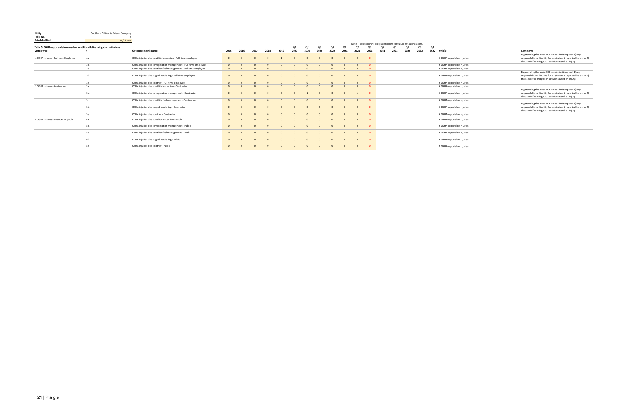| <b>Comments</b>                                                    |
|--------------------------------------------------------------------|
| By providing this data, SCE is not admitting that 1) any           |
| responsibility or liability for any incident reported herein or 2) |
| that a wildfire mitigation activity caused an injury.              |
|                                                                    |
|                                                                    |
| By providing this data, SCE is not admitting that 1) any           |
| responsibility or liability for any incident reported herein or 2) |
| that a wildfire mitigation activity caused an injury.              |
|                                                                    |
| By providing this data, SCE is not admitting that 1) any           |
| responsibility or liability for any incident reported herein or 2) |
| that a wildfire mitigation activity caused an injury.              |
|                                                                    |
| By providing this data, SCE is not admitting that 1) any           |
| responsibility or liability for any incident reported herein or 2) |
| that a wildfire mitigation activity caused an injury.              |
|                                                                    |
|                                                                    |
|                                                                    |
|                                                                    |
|                                                                    |
|                                                                    |
|                                                                    |
|                                                                    |
|                                                                    |
|                                                                    |

| <b>Utility</b>                                                                   | Southern California Edison Company |                                                                   |                |          |          |        |            |            |            |            |            |            |                |          |                |                                                                 |      |                |      |                            |                 |
|----------------------------------------------------------------------------------|------------------------------------|-------------------------------------------------------------------|----------------|----------|----------|--------|------------|------------|------------|------------|------------|------------|----------------|----------|----------------|-----------------------------------------------------------------|------|----------------|------|----------------------------|-----------------|
| Table No.                                                                        |                                    |                                                                   |                |          |          |        |            |            |            |            |            |            |                |          |                |                                                                 |      |                |      |                            |                 |
| <b>Date Modified</b>                                                             | 11/1/2021                          |                                                                   |                |          |          |        |            |            |            |            |            |            |                |          |                |                                                                 |      |                |      |                            |                 |
|                                                                                  |                                    |                                                                   |                |          |          |        |            |            |            |            |            |            |                |          |                | Note: These columns are placeholders for future QR submissions. |      |                |      |                            |                 |
| Table 5: OSHA-reportable injuries due to utility wildfire mitigation initiatives |                                    |                                                                   |                |          |          |        |            | Q1         | Q2         | Q3         | Q4         | Q1         | Q <sub>2</sub> |          | O <sub>4</sub> | Q <sub>1</sub>                                                  | Q2   | Q <sub>3</sub> | Q4   |                            |                 |
| <b>Metric type</b>                                                               |                                    | Outcome metric name                                               | 2015           | 2016     | 2017     | 2018   | 2019       | 2020       | 2020       | 2020       | 2020       | 2021       | 2021           | 2021     | 2021           | 2022                                                            | 2022 | 2022           | 2022 | Unit(s)                    | <b>Comments</b> |
|                                                                                  |                                    |                                                                   |                |          |          |        |            |            |            |            |            |            |                |          |                |                                                                 |      |                |      |                            | By providir     |
| 1. OSHA injuries - Full-time Employee                                            | 1.a.                               | OSHA injuries due to utility inspection - Full-time employee      | $\overline{0}$ | $\Omega$ | $\Omega$ |        |            | $\Omega$   | $\Omega$   | $\Omega$   | $\Omega$   | $\Omega$   | $\Omega$       | $\Omega$ |                |                                                                 |      |                |      | # OSHA-reportable injuries | responsibi      |
|                                                                                  |                                    |                                                                   |                |          |          |        |            |            |            |            |            |            |                |          |                |                                                                 |      |                |      |                            | that a wild     |
|                                                                                  | 1.b.                               | OSHA injuries due to vegetation management - Full-time employee   | $\overline{0}$ |          |          |        |            |            |            |            |            |            |                | $\Omega$ |                |                                                                 |      |                |      | # OSHA-reportable injuries |                 |
|                                                                                  | 1.c.                               | OSHA injuries due to utility fuel management - Full-time employee | $\overline{0}$ |          | $\Omega$ |        |            |            |            |            | $\sqrt{2}$ |            |                | $\Omega$ |                |                                                                 |      |                |      | # OSHA-reportable injuries |                 |
|                                                                                  |                                    |                                                                   |                |          |          |        |            |            |            |            |            |            |                |          |                |                                                                 |      |                |      |                            | By providir     |
|                                                                                  | 1.d.                               | OSHA injuries due to grid hardening - Full-time employee          | $\overline{0}$ |          |          |        |            |            |            |            |            |            |                | $\Omega$ |                |                                                                 |      |                |      | # OSHA-reportable injuries | responsibi      |
|                                                                                  |                                    |                                                                   |                |          |          |        |            |            |            |            |            |            |                |          |                |                                                                 |      |                |      |                            | that a wild     |
|                                                                                  | 1.e.                               | OSHA injuries due to other - Full-time employee                   | $\circ$        |          | $\Omega$ |        |            |            |            |            | $\Omega$   |            |                | $\Omega$ |                |                                                                 |      |                |      | # OSHA-reportable injuries |                 |
| 2. OSHA injuries - Contractor                                                    | 2.a.                               | OSHA injuries due to utility inspection - Contractor              | $\overline{0}$ | $\Omega$ | $\Omega$ | $\sim$ | $\sqrt{2}$ | $\sqrt{2}$ | $\sqrt{ }$ | $\sqrt{2}$ | $\sqrt{ }$ | $\sqrt{2}$ | $\Omega$       | $\Omega$ |                |                                                                 |      |                |      | # OSHA-reportable injuries |                 |
|                                                                                  |                                    |                                                                   |                |          |          |        |            |            |            |            |            |            |                |          |                |                                                                 |      |                |      |                            | By providir     |
|                                                                                  | 2.b.                               | OSHA injuries due to vegetation management - Contractor           | $\overline{0}$ |          | $\Omega$ |        |            |            |            |            | $\Omega$   |            |                | $\Omega$ |                |                                                                 |      |                |      | # OSHA-reportable injuries | responsibi      |
|                                                                                  |                                    |                                                                   |                |          |          |        |            |            |            |            |            |            |                |          |                |                                                                 |      |                |      |                            | that a wild     |
|                                                                                  | 2.c.                               | OSHA injuries due to utility fuel management - Contractor         | $\circ$        |          |          |        |            |            |            |            |            |            |                | $\Omega$ |                |                                                                 |      |                |      | # OSHA-reportable injuries |                 |
|                                                                                  |                                    |                                                                   |                |          |          |        |            |            |            |            |            |            |                |          |                |                                                                 |      |                |      |                            | By providir     |
|                                                                                  | 2.d.                               | OSHA injuries due to grid hardening - Contractor                  | $\mathbf{0}$   |          | $\Omega$ |        | $\Omega$   | $\Omega$   | $\Omega$   |            | $\Omega$   | $\Omega$   | $\Omega$       | $\Omega$ |                |                                                                 |      |                |      | # OSHA-reportable injuries | responsibi      |
|                                                                                  |                                    |                                                                   |                |          |          |        |            |            |            |            |            |            |                |          |                |                                                                 |      |                |      |                            | that a wild     |
|                                                                                  | 2.e.                               | OSHA injuries due to other - Contractor                           | $\overline{0}$ |          | $\Omega$ |        |            |            |            |            | $\Omega$   |            |                | $\Omega$ |                |                                                                 |      |                |      | # OSHA-reportable injuries |                 |
| 3. OSHA injuries - Member of public                                              | 3.a.                               | OSHA injuries due to utility inspection - Public                  | $\mathbf{0}$   |          |          |        |            |            |            |            | $\Omega$   |            |                | $\Omega$ |                |                                                                 |      |                |      | # OSHA-reportable injuries |                 |
|                                                                                  |                                    |                                                                   |                |          |          |        |            |            |            |            |            |            |                |          |                |                                                                 |      |                |      |                            |                 |
|                                                                                  | 3.b.                               | OSHA injuries due to vegetation management - Public               | $\circ$        |          | $\Omega$ |        |            |            |            |            | $\Omega$   | $\Omega$   |                | $\Omega$ |                |                                                                 |      |                |      | # OSHA-reportable injuries |                 |
|                                                                                  |                                    |                                                                   |                |          |          |        |            |            |            |            |            |            |                |          |                |                                                                 |      |                |      |                            |                 |
|                                                                                  | 3.c.                               | OSHA injuries due to utility fuel management - Public             | $\overline{0}$ |          | $\Omega$ |        | $\sqrt{ }$ | $\sqrt{ }$ | $\Omega$   | $\sqrt{ }$ | $\Omega$   | $\Omega$   | $\Omega$       | $\Omega$ |                |                                                                 |      |                |      | # OSHA-reportable injuries |                 |
|                                                                                  |                                    |                                                                   |                |          |          |        |            |            |            |            |            |            |                |          |                |                                                                 |      |                |      |                            |                 |
|                                                                                  | 3.d.                               | OSHA injuries due to grid hardening - Public                      | $\mathbf{0}$   |          |          |        |            |            |            |            | $\Omega$   |            |                | $\Omega$ |                |                                                                 |      |                |      | # OSHA-reportable injuries |                 |
|                                                                                  |                                    |                                                                   |                |          |          |        |            |            |            |            |            |            |                |          |                |                                                                 |      |                |      |                            |                 |
|                                                                                  | 3.e.                               | OSHA injuries due to other - Public                               | $\overline{0}$ |          |          |        |            |            |            |            |            |            |                |          |                |                                                                 |      |                |      | # OSHA-reportable injuries |                 |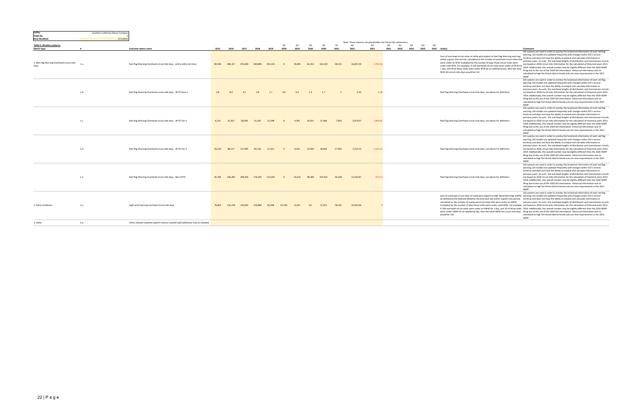| Utility<br>Table No.<br><b>Date Modified</b>      | Southern California Edison Company | 11/1/2021                                                                      |        |         |         |         |         |            |        |        |         |            |                                                                      |                |      |      |      |      |                                                                                                                                                                                                                                                                                                                                                                                                                                                                             |                                                                                                                                                                                                                                                                                                                                                                                                                                                                                                                                                                                                                                                                                                                                                                                                                                                                                                                                                                                                                                                                                                                                                                                                                      |
|---------------------------------------------------|------------------------------------|--------------------------------------------------------------------------------|--------|---------|---------|---------|---------|------------|--------|--------|---------|------------|----------------------------------------------------------------------|----------------|------|------|------|------|-----------------------------------------------------------------------------------------------------------------------------------------------------------------------------------------------------------------------------------------------------------------------------------------------------------------------------------------------------------------------------------------------------------------------------------------------------------------------------|----------------------------------------------------------------------------------------------------------------------------------------------------------------------------------------------------------------------------------------------------------------------------------------------------------------------------------------------------------------------------------------------------------------------------------------------------------------------------------------------------------------------------------------------------------------------------------------------------------------------------------------------------------------------------------------------------------------------------------------------------------------------------------------------------------------------------------------------------------------------------------------------------------------------------------------------------------------------------------------------------------------------------------------------------------------------------------------------------------------------------------------------------------------------------------------------------------------------|
| Table 6: Weather patterns                         |                                    |                                                                                |        |         |         |         |         | $\Omega$ 1 | Q2     | Q3     | Q4      | $\Omega$ 1 | Note: These columns are placeholders for future QR submissions<br>Q2 | O <sub>3</sub> | Q4   | Q1   | Q2   | Q3   | Q4                                                                                                                                                                                                                                                                                                                                                                                                                                                                          |                                                                                                                                                                                                                                                                                                                                                                                                                                                                                                                                                                                                                                                                                                                                                                                                                                                                                                                                                                                                                                                                                                                                                                                                                      |
| <b>Metric type</b>                                | #                                  | Outcome metric name                                                            | 2015   | 2016    | 2017    | 2018    | 2019    | 2020       | 2020   | 2020   | 2020    | 2021       | 2021                                                                 | 2021           | 2021 | 2022 | 2022 | 2022 | 2022 Unit(s)                                                                                                                                                                                                                                                                                                                                                                                                                                                                | <b>Comments</b>                                                                                                                                                                                                                                                                                                                                                                                                                                                                                                                                                                                                                                                                                                                                                                                                                                                                                                                                                                                                                                                                                                                                                                                                      |
| 1. Red Flag Warning Overhead circuit mile<br>Days | 1.a.                               | Red Flag Warning Overhead circuit mile days - entire utility territory         | 80.504 | 286.327 | 476,404 | 283,806 | 201,423 |            | 24.845 | 62.241 | 162,422 | 58.515     | 16.825.39                                                            | 5,764.50       |      |      |      |      | Sum of overhead circuit miles of utility grid subject to Red Flag Warning each day<br>within a given time period, calculated as the number of overhead circuit miles that<br>were under an RFW multiplied by the number of days those circuit miles were<br>under said RFW. For example, if 100 overhead circuit miles were under an RFW for<br>1 day, and 10 of those miles were under RFW for an additional day, then the total<br>RFW OH circuit mile days would be 110. | GIS systems are used in order to overlay the locational information of each red flag<br>warning. GIS models are updated frequently with changes within SCE's service<br>territroy and does not have the ability to analyze and calculate information in<br>previous years. As such, the overhead lengths of distribution and transmission circuits<br>are based on 2020 circuit mile information for the calculation of historical years 2015-<br>2019. Additionally, this overall number may be slightly different than the 2020 WMP<br>filing due to the use of the 2020 GIS information. Historical information was re-<br>calculated as high fire threat district break outs are new requirements in the 2021<br>WMP.                                                                                                                                                                                                                                                                                                                                                                                                                                                                                            |
|                                                   | 1.b.                               | Red Flag Warning Overhead circuit mile days - HFTD Zone 1                      | 0.8    | 8.0     | 4.1     | 2.8     | 1.7     | 0.0        | 0.4    | 1.3    | 1.7     |            | 0.32                                                                 | 0.28           |      |      |      |      | Red Flag Warning Overhead circuit mile days, see above for definition                                                                                                                                                                                                                                                                                                                                                                                                       | GIS systems are used in order to overlay the locational information of each red flag<br>warning. GIS models are updated frequently with changes within SCE's service<br>territroy and does not have the ability to analyze and calculate information in<br>previous years. As such, the overhead lengths of distribution and transmission circuits<br>are based on 2020 circuit mile information for the calculation of historical years 2015-<br>2019. Additionally, this overall number may be slightly different than the 2020 WMP<br>filing due to the use of the 2020 GIS information. Historical information was re-<br>calculated as high fire threat district break outs are new requirements in the 2021<br>WMP.                                                                                                                                                                                                                                                                                                                                                                                                                                                                                            |
|                                                   | 1.c.                               | Red Flag Warning Overhead circuit mile days - HFTD Tier 2                      | 9,214  | 31,921  | 50,039  | 31,295  | 21,598  |            | 4,391  | 10,011 | 17.964  | 7.003      | 3.074.07                                                             | 2,859.56       |      |      |      |      | Red Flag Warning Overhead circuit mile days, see above for definition                                                                                                                                                                                                                                                                                                                                                                                                       | GIS systems are used in order to overlay the locational information of each red flag<br>warning. GIS models are updated frequently with changes within SCE's service<br>territroy and does not have the ability to analyze and calculate information in<br>previous years. As such, the overhead lengths of distribution and transmission circuits<br>are based on 2020 circuit mile information for the calculation of historical years 2015-<br>2019. Additionally, this overall number may be slightly different than the 2020 WMP<br>filing due to the use of the 2020 GIS information. Historical information was re-<br>calculated as high fire threat district break outs are new requirements in the 2021<br>WMP.                                                                                                                                                                                                                                                                                                                                                                                                                                                                                            |
|                                                   | 1.d.                               | Red Flag Warning Overhead circuit mile days - HFTD Tier 3                      | 25.523 | 88.117  | 127,005 | 82,216  | 57,321  |            |        | 13.920 |         | 17,404     | 1,214.14                                                             | 2,029.13       |      |      |      |      | Red Flag Warning Overhead circuit mile days, see above for definition                                                                                                                                                                                                                                                                                                                                                                                                       | GIS systems are used in order to overlay the locational information of each red flag<br>warning. GIS models are updated frequently with changes within SCE's service<br>territroy and does not have the ability to analyze and calculate information in<br>previous years. As such, the overhead lengths of distribution and transmission circuits<br>are based on 2020 circuit mile information for the calculation of historical years 2015-<br>2019. Additionally, this overall number may be slightly different than the 2020 WMP<br>filing due to the use of the 2020 GIS information. Historical information was re-<br>calculated as high fire threat district break outs are new requirements in the 2021<br>WMP.                                                                                                                                                                                                                                                                                                                                                                                                                                                                                            |
|                                                   | 1.e.                               | Red Flag Warning Overhead circuit mile days - Non-HFTD                         | 45,766 | 166,281 | 299,356 | 170,293 | 122,502 |            | 16,423 | 38,309 | 107,651 | 34.108     | 12,536.87                                                            | 875.53         |      |      |      |      | Red Flag Warning Overhead circuit mile days, see above for definition                                                                                                                                                                                                                                                                                                                                                                                                       | GIS systems are used in order to overlay the locational information of each red flag<br>warning. GIS models are updated frequently with changes within SCE's service<br>territroy and does not have the ability to analyze and calculate information in<br>previous years. As such, the overhead lengths of distribution and transmission circuits<br>are based on 2020 circuit mile information for the calculation of historical years 2015-<br>2019. Additionally, this overall number may be slightly different than the 2020 WMP<br>filing due to the use of the 2020 GIS information. Historical information was re-<br>calculated as high fire threat district break outs are new requirements in the 2021<br>WMP.                                                                                                                                                                                                                                                                                                                                                                                                                                                                                            |
| 2. Wind conditions                                | 2.a.                               | High wind warning overhead circuit mile days                                   | 78.965 | 116,378 | 144,820 | 133,880 | 95.208  | 61.545     | 9.235  | 62     | 57.072  | 78.101     | 10.502.66                                                            |                |      |      |      |      | would be 110.                                                                                                                                                                                                                                                                                                                                                                                                                                                               | GIS systems are used in order to overlay the locational information of each red flag<br>Sum of overhead circuit miles of utility grid subject to High Wind Warnings (HWW, warning. GIS models are updated frequently with changes within SCE's service<br>as defined by the National Weather Service) each day within a given time period, territroy and does not have the ability to analyze and calculate information in<br>calculated as the number of overhead circuit miles that were under an HWW previous years. As such, the overhead lengths of distribution and transmission circuits<br>multiplied by the number of days those miles were under said HWW. For example, are based on 2020 circuit mile information for the calculation of historical years 2015-<br>if 100 overhead circuit miles were under an HWW for 1 day, and 10 of those miles 2019. Additionally, this overall number may be slightly different than the 2020 WMP<br>were under HWW for an additional day, then the total HWW OH circuit mile days filing due to the use of the 2020 GIS information. Historical information was re-<br>calculated as high fire threat district break outs are new requirements in the 2021<br>WMP. |
| 3. Other                                          | 3.a.                               | Other relevant weather pattern metrics tracked (add additional rows as needed) |        |         |         |         |         |            |        |        |         |            |                                                                      |                |      |      |      |      |                                                                                                                                                                                                                                                                                                                                                                                                                                                                             |                                                                                                                                                                                                                                                                                                                                                                                                                                                                                                                                                                                                                                                                                                                                                                                                                                                                                                                                                                                                                                                                                                                                                                                                                      |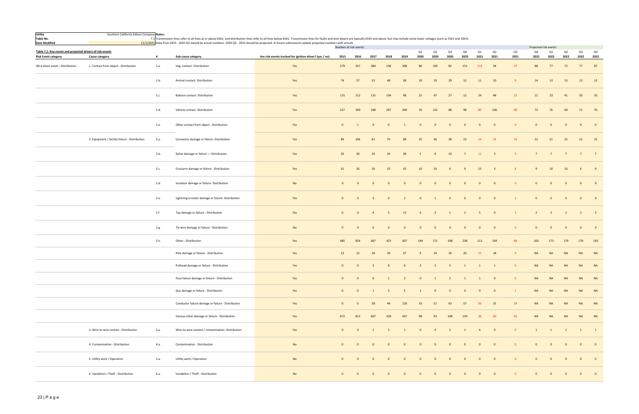|                                                            | Southern California Edison Company Notes:      |      |                                                                                                                                                                                                                                |                                                         |                       |                         |                         |                       |                         |                                                               |                                                                                |                         |                |                                                            |                         |                         |                         |                         |                         |                          |                                                                                                     |
|------------------------------------------------------------|------------------------------------------------|------|--------------------------------------------------------------------------------------------------------------------------------------------------------------------------------------------------------------------------------|---------------------------------------------------------|-----------------------|-------------------------|-------------------------|-----------------------|-------------------------|---------------------------------------------------------------|--------------------------------------------------------------------------------|-------------------------|----------------|------------------------------------------------------------|-------------------------|-------------------------|-------------------------|-------------------------|-------------------------|--------------------------|-----------------------------------------------------------------------------------------------------|
| Utility<br>Table No.                                       |                                                |      | 1/1 Transmission lines refer to all lines at or above 65kV, and distribution lines refer to all lines below 65kV. Transmission lines for faults and wire downs are typically 65kV and above, but may include some lower voltag |                                                         |                       |                         |                         |                       |                         |                                                               |                                                                                |                         |                |                                                            |                         |                         |                         |                         |                         |                          |                                                                                                     |
| <b>Date Modified</b>                                       |                                                |      | 11/1/2021 Data from 2015 - 2020 Q2 should be actual numbers. 2020 Q3 - 2023 should be projected. In future submissions update projected numbers with actuals                                                                   |                                                         | Number of risk events |                         |                         |                       |                         |                                                               |                                                                                |                         |                |                                                            |                         |                         | Projected risk events   |                         |                         |                          |                                                                                                     |
| Table 7.1: Key recent and projected drivers of risk events |                                                |      |                                                                                                                                                                                                                                |                                                         |                       |                         |                         |                       |                         | Q1                                                            | Q2                                                                             | Q <sub>3</sub>          | Q4             | Q1                                                         | Q2                      | Q3                      | Q4                      | Q1                      | Q2                      | Q3                       | Q4                                                                                                  |
| <b>Risk Event category</b>                                 | <b>Cause category</b>                          | #    | Sub-cause category                                                                                                                                                                                                             | Are risk events tracked for ignition driver? (yes / no) | 2015                  | 2016                    | 2017                    | 2018                  | 2019                    | 2020                                                          | 2020                                                                           | 2020                    | 2020           | 2021                                                       | 2021                    | 2021                    | 2021                    | 2022                    | 2022                    | 2022                     | 2022                                                                                                |
| Wire down event - Distribution                             | 1. Contact from object - Distribution          | 1.a. | Veg. contact-Distribution                                                                                                                                                                                                      | Yes                                                     | 279                   | 357                     | 384                     | 158                   | 308                     | 86                                                            | 105                                                                            | 82                      | 151            | 113                                                        | 34                      | 37                      | 88                      | 77                      | 72                      | 77                       | 87                                                                                                  |
|                                                            |                                                | 1.b. | Animal contact- Distribution                                                                                                                                                                                                   | Yes                                                     | 74                    | 57                      | 53                      | 48                    | 38                      | 10 <sup>°</sup>                                               | 19                                                                             | 29                      | 12             | 11                                                         | 10                      | -9                      | 14                      | 13                      | 13                      | 13                       | 13                                                                                                  |
|                                                            |                                                |      |                                                                                                                                                                                                                                |                                                         |                       |                         |                         |                       |                         |                                                               |                                                                                |                         |                |                                                            |                         |                         |                         |                         |                         |                          |                                                                                                     |
|                                                            |                                                | 1.c. | Balloon contact-Distribution                                                                                                                                                                                                   | Yes                                                     | 115                   | 112                     | 115                     | 134                   | 98                      | 22                                                            | 47                                                                             | 27                      | 12             | 24                                                         | 48                      | 21                      | 11                      | 23                      | 41                      | 20                       | 10                                                                                                  |
|                                                            |                                                | 1.d. | Vehicle contact-Distribution                                                                                                                                                                                                   | Yes                                                     | 227                   | 349                     | 248                     | 267                   | 269                     | 76                                                            | 121                                                                            | 88                      | 98             | 80                                                         | 106                     | 99                      | 72                      | 76                      | 69                      | 71                       | 70                                                                                                  |
|                                                            |                                                | 1.e. | Other contact from object - Distribution                                                                                                                                                                                       | Yes                                                     | $\mathbf{0}$          |                         | $\overline{0}$          | $\overline{0}$        | 1                       | $\overline{0}$                                                | $\overline{0}$                                                                 | $\overline{0}$          | $\mathbf{0}$   | $\overline{0}$                                             | $\overline{\mathbf{0}}$ | $\overline{0}$          | $\mathbf{0}$            | $\mathbf{0}$            | $\overline{0}$          | $\mathbf{0}$             | $\overline{\phantom{0}}$                                                                            |
|                                                            | 2. Equipment / facility failure - Distribution | 2.a. | Connector damage or failure- Distribution                                                                                                                                                                                      | Yes                                                     | 84                    | 106                     | 81                      | 75                    | 68                      | 25                                                            | 36                                                                             | 38                      | 23             | 24                                                         | 14                      | 19                      | 22                      | 21                      | 22                      | 22                       | 22                                                                                                  |
|                                                            |                                                | 2.b. | Splice damage or failure - Distribution                                                                                                                                                                                        | Yes                                                     | 35                    | 28                      | 24                      | 24                    | 28                      | $\overline{\mathbf{3}}$                                       | 9                                                                              | 10                      | $\overline{7}$ | 11                                                         | $\overline{\mathbf{3}}$ | -5                      | $7^{\circ}$             | $\overline{7}$          | $7^{\circ}$             | $7^{\circ}$              | $\overline{7}$                                                                                      |
|                                                            |                                                | 2.c. | Crossarm damage or failure - Distribution                                                                                                                                                                                      | Yes                                                     | 31                    | 26                      | 26                      | 25                    | 35                      | 10                                                            | 10                                                                             | 6                       | 9              | 15                                                         | $\overline{\mathbf{3}}$ |                         | 9                       | 10                      | 10                      | 6                        | 9                                                                                                   |
|                                                            |                                                | 2.d. | Insulator damage or failure- Distribution                                                                                                                                                                                      | No                                                      | $\mathbf{0}$          | $\overline{0}$          | $\overline{0}$          | $\mathbf{0}$          | $\overline{0}$          | $\overline{0}$                                                | $\mathbf{0}$                                                                   | $\mathbf{0}$            | $\Omega$       | $\overline{0}$                                             | $\overline{0}$          | $\Omega$                | $\mathbf{0}$            | $\mathbf{0}$            | $\mathbf{0}$            | $\mathbf{0}$             | $\overline{\phantom{0}}$                                                                            |
|                                                            |                                                | 2.e. | Lightning arrestor damage or failure- Distribution                                                                                                                                                                             | Yes                                                     | $\mathbf{0}$          | $\overline{0}$          | $\overline{\mathbf{3}}$ | $\overline{0}$        | $\overline{2}$          | $\overline{\mathbf{0}}$                                       | $\overline{1}$                                                                 | $\overline{0}$          | $\mathbf{0}$   | $\overline{0}$                                             | $\overline{\mathbf{0}}$ | $\overline{1}$          | $\mathbf{0}$            | $\mathbf{0}$            | $\overline{0}$          | $\overline{0}$           | $\overline{\mathbf{0}}$                                                                             |
|                                                            |                                                | 2.f. |                                                                                                                                                                                                                                |                                                         | $\overline{0}$        |                         |                         |                       |                         |                                                               |                                                                                | 1                       | $\overline{2}$ |                                                            |                         | $\mathbf{1}$            |                         |                         |                         |                          |                                                                                                     |
|                                                            |                                                |      | Tap damage or failure - Distribution                                                                                                                                                                                           | Yes                                                     |                       | $\overline{0}$          | $\overline{4}$          | 5 <sup>5</sup>        | 12                      | $\overline{4}$                                                | $\overline{\mathbf{3}}$                                                        |                         |                | 5 <sub>5</sub>                                             | $\overline{\mathbf{0}}$ |                         | $\overline{2}$          | $\overline{2}$          | $\overline{2}$          | $\overline{2}$           | $\overline{\phantom{0}}$ 2                                                                          |
|                                                            |                                                | 2.g. | Tie wire damage or failure - Distribution                                                                                                                                                                                      | No                                                      | $\mathbf{0}$          | $\overline{0}$          | $\mathbf{0}$            | $\overline{0}$        | $\overline{0}$          | $\overline{0}$                                                | $\overline{0}$                                                                 | $\overline{0}$          | $\mathbf{0}$   | $\overline{0}$                                             | $\overline{0}$          | $\overline{0}$          | $\mathbf{0}$            | $\mathbf{0}$            | $\overline{0}$          | $\overline{0}$           | $\overline{\phantom{0}}$                                                                            |
|                                                            |                                                | 2.h. | Other - Distribution                                                                                                                                                                                                           | Yes                                                     | 685                   | 824                     | 667                     | 423                   | 607                     | 144                                                           | 171                                                                            | 198                     | 238            | 111                                                        | 104                     | 89                      | 165                     | 173                     | 170                     | 170                      | 165                                                                                                 |
|                                                            |                                                |      | Pole damage or failure - Distribution                                                                                                                                                                                          | Yes                                                     | 13                    | 12                      | 28                      | 39                    | 37                      | 9                                                             | 24                                                                             | 20                      | 20             | 15                                                         | 18                      | -9                      | <b>NA</b>               | <b>NA</b>               | <b>NA</b>               | <b>NA</b>                | <b>NA</b>                                                                                           |
|                                                            |                                                |      | Pothead damage or failure - Distribution                                                                                                                                                                                       | Yes                                                     |                       |                         |                         |                       |                         |                                                               |                                                                                |                         |                |                                                            |                         |                         | <b>NA</b>               | <b>NA</b>               | <b>NA</b>               | <b>NA</b>                | <b>NA</b>                                                                                           |
|                                                            |                                                |      | Fuse failure damage or failure - Distribution                                                                                                                                                                                  | Yes                                                     | 0                     | $\overline{\mathbf{0}}$ |                         | $0 \qquad 1 \qquad 2$ |                         |                                                               | $\begin{array}{ccccccccccccccccc} 0 & & 1 & & 2 & & 1 & & 1 & & 0 \end{array}$ |                         |                |                                                            |                         | $\overline{\mathbf{0}}$ | <b>NA</b>               | <b>NA</b>               | <b>NA</b>               | <b>NA</b>                | <b>NA</b>                                                                                           |
|                                                            |                                                |      | Guy damage or failure - Distribution                                                                                                                                                                                           | Yes                                                     | $\overline{0}$        | $\overline{\mathbf{0}}$ |                         | $1 \quad 3$           |                         | $5 \qquad \qquad 1$                                           | $\overline{\mathbf{0}}$                                                        | $\overline{0}$          | $\overline{0}$ |                                                            | $0\qquad \qquad 0$      | $\mathbf{1}$            | <b>NA</b>               | <b>NA</b>               | <b>NA</b>               | <b>NA</b>                | <b>NA</b>                                                                                           |
|                                                            |                                                |      | Conductor failure damage or failure - Distribution                                                                                                                                                                             | Yes                                                     | $\overline{0}$        | $\overline{\mathbf{0}}$ | 28                      | 44                    | 120                     | 33                                                            | 51                                                                             | 63                      | 57             |                                                            | 56 25                   | 14                      | <b>NA</b>               | <b>NA</b>               | <b>NA</b>               | <b>NA</b>                | <b>NA</b>                                                                                           |
|                                                            |                                                |      | Various other damage or failure - Distribution                                                                                                                                                                                 | Yes                                                     | 672                   | 812                     | 607                     | 328                   | 437                     | 98                                                            | 93                                                                             | 108                     | 159            | 38 7                                                       | 60                      | 65                      | <b>NA</b>               | <b>NA</b>               | <b>NA</b>               | <b>NA</b>                | <b>NA</b>                                                                                           |
|                                                            | 3. Wire-to-wire contact - Distribution         | 3.a. | Wire-to-wire contact / contamination- Distribution                                                                                                                                                                             | Yes                                                     | $\overline{0}$        | $\overline{\mathbf{0}}$ | $\mathbf{1}$            | $\overline{2}$        | $\overline{1}$          | $\overline{\mathbf{0}}$                                       | $\overline{4}$                                                                 | $\overline{\mathbf{2}}$ | $\mathbf{1}$   | $4\qquad 0$                                                |                         | $\overline{\mathbf{0}}$ | 1                       | $\overline{1}$          | $\overline{1}$          | $1 \quad 1$              |                                                                                                     |
|                                                            | 4. Contamination - Distribution                | 4.a. | Contamination - Distribution                                                                                                                                                                                                   | No                                                      |                       | $0$ 0                   | $\overline{0}$          | $\overline{0}$        | $\overline{\mathbf{0}}$ | $\begin{array}{ c c c c c }\n\hline\n0&\n\hline\n\end{array}$ | $\overline{\mathbf{0}}$                                                        |                         |                | $\begin{array}{ccccccc}\n0 & & 0 & & 0 & & 0\n\end{array}$ |                         | $\overline{\mathbf{0}}$ |                         | $0\qquad 0\qquad 0$     |                         | $\overline{\phantom{0}}$ | $\overline{\phantom{0}}$ 0                                                                          |
|                                                            | 5. Utility work / Operation                    | 5.a. | Utility work / Operation                                                                                                                                                                                                       | No                                                      | $\overline{0}$        | $\overline{0}$          | $\overline{0}$          | $\overline{0}$        | $\overline{0}$          | $\overline{0}$                                                | $\overline{\mathbf{0}}$                                                        | $\overline{0}$          | $\overline{0}$ |                                                            | $0$ 0                   | $\overline{\mathbf{0}}$ | $\overline{0}$          | $\overline{\mathbf{0}}$ | $\overline{\mathbf{0}}$ | $\overline{0}$           | $\overline{\phantom{0}}$ $\overline{\phantom{0}}$ $\overline{\phantom{0}}$ $\overline{\phantom{0}}$ |
|                                                            | 6. Vandalism / Theft - Distribution            | 6.a. | Vandalism / Theft - Distribution                                                                                                                                                                                               | No                                                      | $\overline{0}$        | $\overline{\mathbf{0}}$ | $\overline{0}$          | $\overline{0}$        | $\overline{0}$          |                                                               | $0\qquad 0$                                                                    | $\bullet$ $\bullet$     | $\overline{0}$ |                                                            | $0\qquad \qquad 0$      | $\overline{\mathbf{0}}$ | $\overline{\mathbf{0}}$ | $\overline{\mathbf{0}}$ | $\overline{\mathbf{0}}$ | $\overline{\phantom{0}}$ | $\overline{\phantom{0}}$ $\overline{\phantom{0}}$ $\overline{\phantom{0}}$ $\overline{\phantom{0}}$ |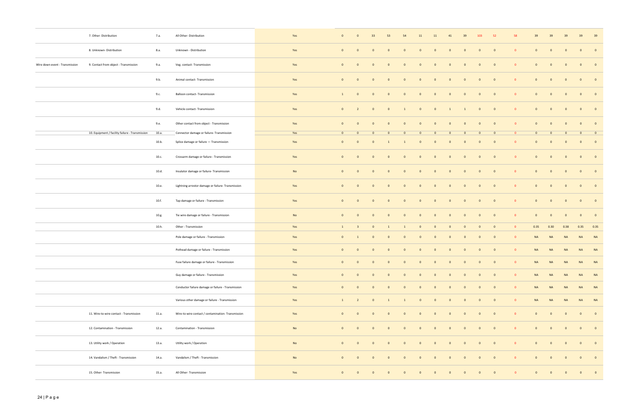|                                | 7. Other-Distribution                           | 7.a.  | All Other-Distribution                             | Yes | $\overline{0}$     | $\overline{0}$          | 33             | 53                      | 54                                                   | 11                      | 11                                                                       | 41                      | 39                      | 103                                         | 52                       | 58                                                                                                                                                                                                                                                                                                                                                                                                                                                                              | 39             | 39                                | 39                      | 39                       | 39                                                                                                  |
|--------------------------------|-------------------------------------------------|-------|----------------------------------------------------|-----|--------------------|-------------------------|----------------|-------------------------|------------------------------------------------------|-------------------------|--------------------------------------------------------------------------|-------------------------|-------------------------|---------------------------------------------|--------------------------|---------------------------------------------------------------------------------------------------------------------------------------------------------------------------------------------------------------------------------------------------------------------------------------------------------------------------------------------------------------------------------------------------------------------------------------------------------------------------------|----------------|-----------------------------------|-------------------------|--------------------------|-----------------------------------------------------------------------------------------------------|
|                                | 8. Unknown- Distribution                        | 8.a.  | Unknown - Distribution                             | Yes | $\overline{0}$     | $\overline{\mathbf{0}}$ | $\overline{0}$ | $\overline{0}$          | $\overline{0}$                                       | $\overline{\mathbf{0}}$ | $\overline{\mathbf{0}}$                                                  | $\overline{0}$          | $\overline{0}$          | $\overline{0}$                              | $\overline{\mathbf{0}}$  | $\overline{\mathbf{0}}$                                                                                                                                                                                                                                                                                                                                                                                                                                                         | $\overline{0}$ | $\overline{\mathbf{0}}$           | $\overline{\mathbf{0}}$ | $\overline{0}$           | $\overline{\mathbf{0}}$                                                                             |
| Wire down event - Transmission | 9. Contact from object - Transmission           | 9.a.  | Veg. contact-Transmission                          | Yes | $\overline{0}$     | $\mathbf{0}$            | $\overline{0}$ | $\overline{0}$          | $\overline{0}$                                       | $\overline{\mathbf{0}}$ | $\overline{0}$                                                           | $\overline{0}$          | $\overline{0}$          | $\overline{0}$                              | $\overline{\mathbf{0}}$  | $\overline{\mathbf{0}}$                                                                                                                                                                                                                                                                                                                                                                                                                                                         | $\overline{0}$ | $\overline{0}$                    | $\overline{\mathbf{0}}$ | $\overline{0}$           | $\overline{\phantom{0}}$                                                                            |
|                                |                                                 | 9.b.  | Animal contact-Transmission                        | Yes | $\overline{0}$     | $\mathbf{0}$            | $\overline{0}$ | $\overline{0}$          | $\overline{0}$                                       | $\overline{0}$          | $\overline{\mathbf{0}}$                                                  | $\overline{0}$          | $\overline{0}$          | $\overline{0}$                              | $\overline{\mathbf{0}}$  | $\Omega$                                                                                                                                                                                                                                                                                                                                                                                                                                                                        | $\mathbf{0}$   | $\overline{0}$                    | $\overline{0}$          | $\overline{0}$           | $\overline{\phantom{0}}$                                                                            |
|                                |                                                 | 9.c.  | Balloon contact-Transmission                       | Yes | $\mathbf{1}$       | $\mathbf{0}$            | $\overline{0}$ | $\overline{0}$          | $\overline{0}$                                       | $\overline{0}$          | $\overline{0}$                                                           | $\overline{0}$          | $\overline{0}$          | $\overline{0}$                              | $\overline{\mathbf{0}}$  | $\overline{\mathbf{0}}$                                                                                                                                                                                                                                                                                                                                                                                                                                                         | $\overline{0}$ | $\overline{\mathbf{0}}$           | $\overline{0}$          | $\overline{0}$           | $\overline{\phantom{0}}$                                                                            |
|                                |                                                 | 9.d.  | Vehicle contact-Transmission                       | Yes | $\overline{0}$     | $\overline{2}$          | $\overline{0}$ | $\overline{0}$          | $\mathbf{1}$                                         | $\overline{\mathbf{0}}$ | $\overline{0}$                                                           | $\overline{1}$          | $\mathbf{1}$            | $\overline{0}$                              | $\overline{\mathbf{0}}$  | $\overline{\mathbf{0}}$                                                                                                                                                                                                                                                                                                                                                                                                                                                         | $\overline{0}$ | $\overline{\mathbf{0}}$           | $\overline{\mathbf{0}}$ | $\overline{0}$           | $\overline{\phantom{0}}$                                                                            |
|                                |                                                 | 9.e.  | Other contact from object - Transmission           | Yes | $\overline{0}$     | $\mathbf{0}$            | $\overline{0}$ | $\overline{0}$          | $\overline{0}$                                       | $\overline{\mathbf{0}}$ | $\overline{0}$                                                           | $\overline{0}$          | $\overline{0}$          | $\overline{0}$                              | $\overline{\mathbf{0}}$  | $\overline{0}$                                                                                                                                                                                                                                                                                                                                                                                                                                                                  | $\mathbf 0$    | $\mathbf{0}$                      | $\overline{0}$          | $\overline{0}$           | $\overline{\phantom{0}}$                                                                            |
|                                | 10. Equipment / facility failure - Transmission | 10.a. | Connector damage or failure- Transmission          | Yes | $\overline{0}$     | $\overline{0}$          | $\overline{0}$ | $\overline{0}$          | $\overline{0}$                                       | $\overline{0}$          | $\overline{0}$                                                           | $\overline{0}$          | $\overline{0}$          | $\overline{0}$                              | $\overline{\mathbf{0}}$  | $\overline{0}$                                                                                                                                                                                                                                                                                                                                                                                                                                                                  | $\overline{0}$ | $\overline{0}$                    | $\overline{0}$          | $\overline{0}$           | $\overline{\mathbf{0}}$                                                                             |
|                                |                                                 | 10.b. | Splice damage or failure - Transmission            | Yes | $\overline{0}$     | $\overline{0}$          | $\overline{0}$ | $\mathbf{1}$            | $\mathbf{1}$                                         | $\overline{0}$          | $\overline{\mathbf{0}}$                                                  | $\overline{0}$          | $\mathbf{0}$            | $\overline{0}$                              | $\overline{\mathbf{0}}$  | $\overline{0}$                                                                                                                                                                                                                                                                                                                                                                                                                                                                  | $\mathbf{0}$   | $\overline{0}$                    | $\overline{0}$          | $\overline{0}$           | $\overline{\phantom{0}}$                                                                            |
|                                |                                                 | 10.c. | Crossarm damage or failure - Transmission          | Yes | $\overline{0}$     | $\mathbf{0}$            | $\overline{0}$ | $\overline{0}$          | $\overline{0}$                                       | $\overline{\mathbf{0}}$ | $\overline{\mathbf{0}}$                                                  | $\overline{0}$          | $\overline{0}$          | $\overline{0}$                              | $\overline{\mathbf{0}}$  | $\overline{\mathbf{0}}$                                                                                                                                                                                                                                                                                                                                                                                                                                                         | $\overline{0}$ | $\overline{\mathbf{0}}$           | $\overline{\mathbf{0}}$ | $\overline{0}$           | $\overline{\phantom{0}}$                                                                            |
|                                |                                                 | 10.d. | Insulator damage or failure- Transmission          | No  | $\overline{0}$     | $\mathbf{0}$            | $\overline{0}$ | $\overline{0}$          | $\overline{\mathbf{0}}$                              | $\overline{\mathbf{0}}$ | $\overline{\mathbf{0}}$                                                  | $\overline{0}$          | $\overline{0}$          | $\overline{0}$                              | $\overline{\mathbf{0}}$  | $\overline{\mathbf{0}}$                                                                                                                                                                                                                                                                                                                                                                                                                                                         | $\mathbf{0}$   | $\overline{\mathbf{0}}$           | $\overline{0}$          | $\overline{0}$           | $\overline{\phantom{0}}$                                                                            |
|                                |                                                 | 10.e. | Lightning arrestor damage or failure- Transmission | Yes | $\overline{0}$     | $\overline{0}$          | $\overline{0}$ | $\overline{0}$          | $\overline{0}$                                       | $\overline{0}$          | $\overline{0}$                                                           | $\overline{0}$          | $\mathbf{0}$            | $\overline{0}$                              | $\overline{\mathbf{0}}$  | $\overline{\mathbf{0}}$                                                                                                                                                                                                                                                                                                                                                                                                                                                         | $\mathbf{0}$   | $\overline{\mathbf{0}}$           | $\overline{0}$          | $\overline{0}$           | $\overline{\phantom{0}}$                                                                            |
|                                |                                                 | 10.f. | Tap damage or failure - Transmission               | Yes | $\overline{0}$     | $\mathbf{0}$            | $\overline{0}$ | $\overline{0}$          | $\overline{0}$                                       | $\overline{\mathbf{0}}$ | $\overline{0}$                                                           | $\overline{0}$          | $\overline{0}$          | $\overline{0}$                              | $\overline{\mathbf{0}}$  | $\overline{\mathbf{0}}$                                                                                                                                                                                                                                                                                                                                                                                                                                                         | $\overline{0}$ | $\overline{0}$                    | $\overline{\mathbf{0}}$ | $\overline{0}$           | $\overline{\mathbf{0}}$                                                                             |
|                                |                                                 | 10.g. | Tie wire damage or failure - Transmission          | No  | $\overline{0}$     | $\mathbf{0}$            | $\overline{0}$ | $\overline{0}$          | $\overline{0}$                                       | $\overline{0}$          | $\overline{0}$                                                           | $\overline{0}$          | $\overline{0}$          | $\overline{0}$                              | $\overline{\mathbf{0}}$  | $\overline{\mathbf{0}}$                                                                                                                                                                                                                                                                                                                                                                                                                                                         | $\mathbf{0}$   | $\overline{\mathbf{0}}$           | $\overline{\mathbf{0}}$ | $\overline{0}$           | $\overline{\phantom{0}}$                                                                            |
|                                |                                                 | 10.h. | Other - Transmission                               | Yes | 1                  | $\overline{\mathbf{3}}$ | $\overline{0}$ | $\mathbf{1}$            | $\mathbf{1}$                                         | $\overline{\mathbf{0}}$ | $\overline{0}$                                                           | $\overline{0}$          | $\overline{0}$          | $\overline{0}$                              | $\overline{\phantom{0}}$ | $\overline{\mathbf{0}}$                                                                                                                                                                                                                                                                                                                                                                                                                                                         | 0.35           | 0.30                              | 0.38                    | 0.35                     | 0.35                                                                                                |
|                                |                                                 |       |                                                    |     |                    |                         |                |                         |                                                      |                         |                                                                          |                         |                         |                                             |                          |                                                                                                                                                                                                                                                                                                                                                                                                                                                                                 |                |                                   |                         |                          |                                                                                                     |
|                                |                                                 |       | Pole damage or failure - Transmission              | Yes | $\overline{0}$     | 1                       | $\overline{0}$ | $\overline{0}$          | $\overline{0}$                                       | $\overline{0}$          | $\overline{\mathbf{0}}$                                                  | $\overline{0}$          | $\overline{0}$          | $\overline{0}$                              | $\overline{\mathbf{0}}$  | $\overline{\mathbf{0}}$                                                                                                                                                                                                                                                                                                                                                                                                                                                         | <b>NA</b>      | <b>NA</b>                         | <b>NA</b>               | <b>NA</b>                | <b>NA</b>                                                                                           |
|                                |                                                 |       | Pothead damage or failure - Transmission           | Yes | $\overline{0}$     | $\overline{0}$          | $\overline{0}$ | $\overline{0}$          | $\overline{\mathbf{0}}$                              | $\overline{\mathbf{0}}$ | $\overline{\mathbf{0}}$                                                  | $\overline{\mathbf{0}}$ | $\overline{0}$          | $\overline{0}$                              | $\overline{\mathbf{0}}$  | $\overline{\mathbf{0}}$                                                                                                                                                                                                                                                                                                                                                                                                                                                         | <b>NA</b>      | <b>NA</b>                         | <b>NA</b>               | <b>NA</b>                | <b>NA</b>                                                                                           |
|                                |                                                 |       | Fuse failure damage or failure - Transmission      | Yes |                    |                         |                |                         |                                                      |                         |                                                                          |                         |                         |                                             |                          |                                                                                                                                                                                                                                                                                                                                                                                                                                                                                 |                |                                   |                         |                          |                                                                                                     |
|                                |                                                 |       | Guy damage or failure - Transmission               | Yes | $\overline{0}$     | $\overline{\mathbf{0}}$ |                | $0\qquad 0$             | $\overline{0}$                                       |                         | $0\qquad 0$                                                              |                         |                         | $\begin{matrix} 0 & 0 & 0 & 0 \end{matrix}$ |                          | $\overline{\mathbf{0}}$                                                                                                                                                                                                                                                                                                                                                                                                                                                         | <b>NA</b>      | <b>NA</b>                         | NA                      | <b>NA</b>                | <b>NA</b>                                                                                           |
|                                |                                                 |       | Conductor failure damage or failure - Transmission | Yes | $0\qquad \qquad 0$ |                         |                | $0\qquad 0$             | $\overline{0}$                                       | $\overline{\mathbf{0}}$ | $\overline{\mathbf{0}}$                                                  | $\bullet$ $\bullet$     | $\overline{0}$          |                                             | $0\qquad \qquad 0$       | $\overline{\mathbf{0}}$                                                                                                                                                                                                                                                                                                                                                                                                                                                         | <b>NA</b>      | <b>NA</b>                         | <b>NA</b>               | <b>NA</b>                | <b>NA</b>                                                                                           |
|                                |                                                 |       | Various other damage or failure - Transmission     | Yes |                    | $1 \t 2$                |                |                         | $\begin{array}{ccccccc}\n0 & & 1 & & 1\n\end{array}$ | $\overline{\mathbf{0}}$ | $\overline{\mathbf{0}}$                                                  | $\bullet$ $\bullet$     | $\bullet$ $\bullet$     | $0\qquad 0$                                 |                          | $\bullet$ 0                                                                                                                                                                                                                                                                                                                                                                                                                                                                     | <b>NA</b>      | <b>NA</b>                         | <b>NA</b>               | <b>NA</b>                | <b>NA</b>                                                                                           |
|                                | 11. Wire-to-wire contact - Transmission         | 11.a. | Wire-to-wire contact / contamination- Transmission | Yes | $\overline{0}$     | $\overline{0}$          | $\overline{0}$ | $\overline{0}$          | $\overline{\mathbf{0}}$                              | $\overline{\mathbf{0}}$ | $\overline{\mathbf{0}}$                                                  | $\overline{0}$          | $\overline{0}$          | $\overline{0}$                              | $\overline{\mathbf{0}}$  | $\overline{\mathbf{0}}$                                                                                                                                                                                                                                                                                                                                                                                                                                                         | $\overline{0}$ | $\overline{\mathbf{0}}$           | $\overline{0}$          | $\overline{\mathbf{0}}$  | $\overline{\phantom{0}}$                                                                            |
|                                | 12. Contamination - Transmission                | 12.a. | Contamination - Transmission                       | No  | $\overline{0}$     | $\overline{\mathbf{0}}$ | $\overline{0}$ | $\overline{\mathbf{0}}$ | $\overline{\mathbf{0}}$                              |                         | $\begin{array}{ccccccccccccccccc} 0 & 0 & 0 & 0 & 0 & 0 & 0 \end{array}$ |                         |                         |                                             |                          | $\overline{\phantom{a}}$ $\overline{\phantom{a}}$ $\overline{\phantom{a}}$ $\overline{\phantom{a}}$ $\overline{\phantom{a}}$ $\overline{\phantom{a}}$ $\overline{\phantom{a}}$ $\overline{\phantom{a}}$ $\overline{\phantom{a}}$ $\overline{\phantom{a}}$ $\overline{\phantom{a}}$ $\overline{\phantom{a}}$ $\overline{\phantom{a}}$ $\overline{\phantom{a}}$ $\overline{\phantom{a}}$ $\overline{\phantom{a}}$ $\overline{\phantom{a}}$ $\overline{\phantom{a}}$ $\overline{\$ |                | $\begin{matrix}0&0&0\end{matrix}$ |                         | $\overline{\phantom{0}}$ | $\overline{\phantom{0}}$ 0                                                                          |
|                                | 13. Utility work / Operation                    | 13.a. | Utility work / Operation                           | No  | $\overline{0}$     | $\overline{0}$          | $\overline{0}$ | $\overline{0}$          | $\overline{\mathbf{0}}$                              | $\overline{0}$          | $\overline{\mathbf{0}}$                                                  | $\overline{0}$          | $\overline{\mathbf{0}}$ | $0\qquad \qquad 0$                          |                          | $\overline{\mathbf{0}}$                                                                                                                                                                                                                                                                                                                                                                                                                                                         | $\overline{0}$ | $\overline{0}$                    | $\overline{0}$          | $\overline{0}$           | $\overline{\phantom{0}}$ $\overline{\phantom{0}}$ $\overline{\phantom{0}}$ $\overline{\phantom{0}}$ |
|                                | 14. Vandalism / Theft - Transmission            | 14.a. | Vandalism / Theft - Transmission                   | No  | $\overline{0}$     | $\overline{0}$          | $\overline{0}$ | $\overline{0}$          | $\overline{0}$                                       | $\overline{\mathbf{0}}$ | $\overline{\mathbf{0}}$                                                  | $\overline{\mathbf{0}}$ | $\overline{0}$          |                                             | $0\qquad \qquad 0$       | $\overline{\mathbf{0}}$                                                                                                                                                                                                                                                                                                                                                                                                                                                         | $\overline{0}$ | $\overline{\mathbf{0}}$           | $\overline{\mathbf{0}}$ | $\overline{\mathbf{0}}$  | $\overline{\phantom{0}}$                                                                            |
|                                | 15. Other-Transmission                          | 15.a. | All Other-Transmission                             | Yes |                    |                         |                |                         |                                                      |                         |                                                                          |                         |                         |                                             |                          | $\begin{array}{ccccccccccccccccccccc} & & & & & 0 & & & 0 & & & 0 & & & 0 & & & 0 \end{array}$                                                                                                                                                                                                                                                                                                                                                                                  |                |                                   |                         |                          |                                                                                                     |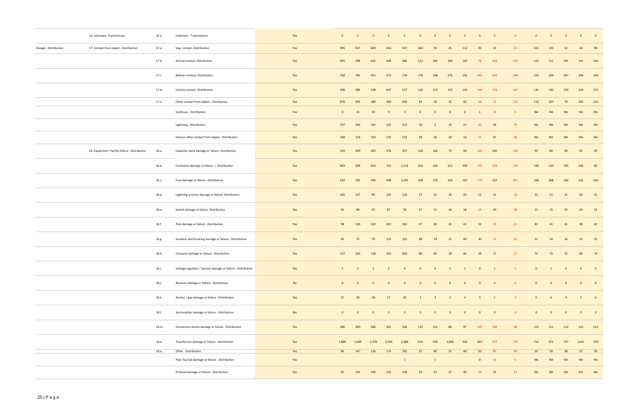|                       | 16. Unknown- Transmission                       | 16.a. | Unknown - Transmission                                       | Yes       | $\overline{0}$ | $\mathbf{0}$   | $\overline{0}$ | $\overline{0}$ | $\overline{0}$          | $\overline{\mathbf{0}}$ | $\overline{0}$          | $\overline{0}$          | $\overline{0}$ | $\overline{0}$  | $\overline{\mathbf{0}}$ | $\overline{\mathbf{0}}$ | $\mathbf 0$             | $\mathbf{0}$   | $\overline{0}$          | $\overline{0}$          | $\overline{\phantom{0}}$   |
|-----------------------|-------------------------------------------------|-------|--------------------------------------------------------------|-----------|----------------|----------------|----------------|----------------|-------------------------|-------------------------|-------------------------|-------------------------|----------------|-----------------|-------------------------|-------------------------|-------------------------|----------------|-------------------------|-------------------------|----------------------------|
| Outage - Distribution | 17. Contact from object - Distribution          | 17.a. | Veg. contact-Distribution                                    | Yes       | 395            | 557            | 609            | 416            | 527                     | 104                     | 70                      | 25                      | 112            | 93              | 20                      | 33 <sup>°</sup>         | 101                     | 103            | 32                      | 18                      | 99                         |
|                       |                                                 | 17.b. | Animal contact-Distribution                                  | Yes       | 655            | 598            | 622            | 648            | 686                     | 122                     | 201                     | 169                     | 163            | 78              | 169                     | 143                     | 153                     | 111            | 191                     | 141                     | 146                        |
|                       |                                                 | 17.c. | Balloon contact- Distribution                                | Yes       | 758            | 785            | 911            | 975            | 776                     | 178                     | 348                     | 275                     | 191            | 245             | 436                     | 248                     | 153                     | 220            | 307                     | 209                     | 144                        |
|                       |                                                 | 17.d. | Vehicle contact- Distribution                                | Yes       | 508            | 586            | 528            | 647            | 517                     | 116                     | 113                     | 153                     | 132            | 144             | 128                     | 147                     | 131                     | 132            | 130                     | 124                     | 125                        |
|                       |                                                 | 17.e. | Other contact from object - Distribution                     | Yes       | 870            | 393            | 289            | 369            | 449                     | 44                      | 28                      | 35                      | 43             | 66              | 75                      | 115                     | 110                     | 107            | 79                      | 105                     | 110                        |
|                       |                                                 |       | Ice/Snow - Distribution                                      | Yes       | $\overline{4}$ | 15             | 19             | -9             | $\overline{\mathbf{3}}$ | $\overline{\mathbf{0}}$ | $\mathbf{0}$            | $\overline{0}$          | $\mathbf{0}$   | $\mathbf{1}$    | $\overline{\mathbf{0}}$ | $\overline{\mathbf{0}}$ | <b>NA</b>               | <b>NA</b>      | <b>NA</b>               | <b>NA</b>               | <b>NA</b>                  |
|                       |                                                 |       | Lightning - Distribution                                     | Yes       | 757            | 264            | 167            | 225            | 323                     | 20                      | $\overline{2}$          | 15                      | 27             | 30 <sup>°</sup> | 28                      | 79                      | <b>NA</b>               | <b>NA</b>      | <b>NA</b>               | <b>NA</b>               | <b>NA</b>                  |
|                       |                                                 |       | Various other contact from object - Distribution             | Yes       | 109            | 114            | 103            | 135            | 123                     | 24                      | 26                      | 20                      | 16             | 35              | 47                      | 36                      | <b>NA</b>               | <b>NA</b>      | <b>NA</b>               | <b>NA</b>               | <b>NA</b>                  |
|                       | 18. Equipment / facility failure - Distribution | 18.a. | Capacitor bank damage or failure- Distribution               | Yes       | 319            | 309            | 425            | 376            | 457                     | 128                     | 160                     | 73                      | 44             | 120             | 100                     | 126                     | 95                      | 88             | 94                      | 92                      | 95                         |
|                       |                                                 | 18.b. | Conductor damage or failure - Distribution                   | Yes       | 463            | 594            | 654            | 713            | 1,116                   | 205                     | 143                     | 211                     | 250            | 276             | 109                     | 133                     | 146                     | 133            | 195                     | 149                     | 85                         |
|                       |                                                 | 18.c. | Fuse damage or failure - Distribution                        | Yes       | 232            | 195            | 245            | 508            | 1,245                   | 169                     | 176                     | 316                     | 167            | 179             | 132                     | 201                     | 166                     | 168            | 166                     | 132                     | 166                        |
|                       |                                                 | 18.d. | Lightning arrestor damage or failure-Distribution            | Yes       | 105            | 127            | 99             | 105            | 216                     | 27                      | 21                      | 26                      | 25             | 12              | 21                      | 18                      | 31                      | 31             | 31                      | 30 <sup>°</sup>         | 31                         |
|                       |                                                 | 18.e. | Switch damage or failure-Distribution                        | Yes       | 51             | 46             | 45             | 67             | 78                      | 17                      | 11                      | 16                      | 18             | 14              | 10                      | 18                      | 15                      | 15             | 15                      | 14                      | 15                         |
|                       |                                                 | 18.f. | Pole damage or failure - Distribution                        | Yes       | 98             | 126            | 130            | 207            | 541                     | 57                      | 36                      | 31                      | 41             | 32              | 22                      | 21                      | 41                      | 41             | 41                      | 38                      | 41                         |
|                       |                                                 | 18.g. | Insulator and brushing damage or failure - Distribution      | Yes       | 42             | 75             | 79             | 123            | 121                     | 28                      | 14                      | 11                      | 43             | 30 <sup>°</sup> | 13                      | 22                      | 31                      | 24             | 16                      | 15                      | 31                         |
|                       |                                                 | 18.h. | Crossarm damage or failure - Distribution                    | Yes       | 127            | 143            | 138            | 354            | 834                     | 98                      | 45                      | 29                      | 45             | 39              | 17                      | 17                      | 74                      | 75             | 75                      | 60                      | 74                         |
|                       |                                                 | 18.i. | Voltage regulator / booster damage or failure - Distribution | Yes       |                |                |                |                | 1 2 1 2 4 0 0 1 1 0 1   |                         |                         |                         |                |                 |                         | $\overline{2}$          | $\overline{\mathbf{0}}$ | $1 \qquad 0$   |                         | $\overline{\mathbf{0}}$ | $\overline{\phantom{a}}$ 0 |
|                       |                                                 | 18.j. | Recloser damage or failure - Distribution                    | <b>No</b> | $\overline{0}$ | $\overline{0}$ | $\overline{0}$ | $\overline{0}$ | $\overline{\mathbf{0}}$ | $\overline{0}$          | $\overline{0}$          | $\overline{0}$          | $\overline{0}$ | $\overline{0}$  | $\overline{\mathbf{0}}$ | $\overline{0}$          | $\mathbf{0}$            | $\overline{0}$ | $\overline{\mathbf{0}}$ | $\overline{0}$          | $\overline{\phantom{0}}$   |
|                       |                                                 | 18.k. | Anchor / guy damage or failure - Distribution                | Yes       | 17             | 20             | 18             | 17             | 20                      | $\overline{\mathbf{3}}$ | $\overline{\mathbf{3}}$ | $\overline{\mathbf{3}}$ | $\overline{4}$ | $3^{\circ}$     | $\overline{1}$          | $\overline{\mathbf{3}}$ | 6 <sup>1</sup>          | 6              | $\overline{4}$          | $\overline{2}$          | $6\overline{6}$            |
|                       |                                                 | 18.I. | Sectionalizer damage or failure - Distribution               | <b>No</b> | $\overline{0}$ | $\overline{0}$ | $\overline{0}$ | $\overline{0}$ | $\overline{\mathbf{0}}$ | $\overline{\mathbf{0}}$ | $\overline{0}$          | $\overline{0}$          | $\overline{0}$ | $\overline{0}$  | $\overline{\mathbf{0}}$ | $\overline{\mathbf{0}}$ | $\overline{0}$          | $\overline{0}$ | $\overline{\mathbf{0}}$ | $\overline{0}$          | $\overline{\phantom{0}}$   |
|                       |                                                 | 18.m. | Connection device damage or failure - Distribution           | Yes       | 386            | 490            | 406            | 501            | 500                     | 123                     | 111                     | 86                      | 97             | 165             | 108                     | 68                      | 112                     | 111            | 112                     | 110                     | 112                        |
|                       |                                                 | 18.n. | Transformer damage or failure - Distribution                 | Yes       | 1,889          | 1,649          | 1,978          | 2,594          | 2,489                   | 416                     | 559                     | 1,894                   | 536            | 403             | 547                     | 725                     | 712                     | 671            | 757                     | 1141                    | 709                        |
|                       |                                                 | 18.o. | Other - Distribution                                         | Yes       | 96             | 147            | 116            | 173            | 291                     | 37                      | 40                      | 51                      | 60             | 50              | 60                      | 49                      | 59                      | 59             | 58                      | 57                      | 59                         |
|                       |                                                 |       | Pole Top Sub damage or failure - Distribution                | Yes       |                |                |                |                | $\overline{1}$          |                         | $\mathbf{1}$            |                         |                | $\overline{0}$  | $\overline{\mathbf{0}}$ | $\overline{\mathbf{0}}$ | <b>NA</b>               | <b>NA</b>      | <b>NA</b>               | <b>NA</b>               | <b>NA</b>                  |
|                       |                                                 |       | Pothead damage or failure - Distribution                     | Yes       | 91             | 143            | 109            | 155            | 128                     | 24                      | 27                      | 27                      | 40             | 29              | 33                      | 23                      | <b>NA</b>               | <b>NA</b>      | <b>NA</b>               | <b>NA</b>               | <b>NA</b>                  |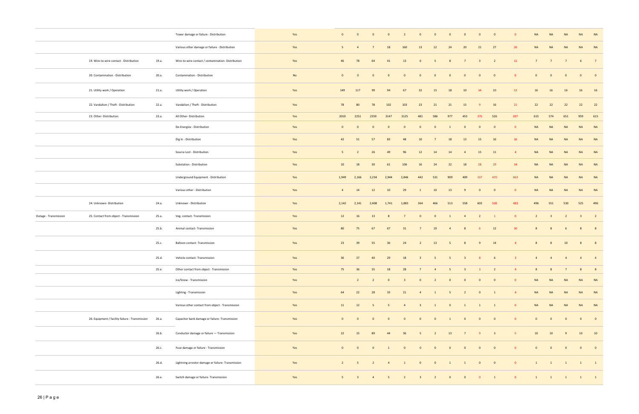|                       |                                                 |       | Tower damage or failure - Distribution             | Yes | $\overline{0}$ | $\overline{0}$          | $\overline{0}$ | $\overline{0}$  | $\overline{2}$                 | $\overline{\mathbf{0}}$ | $\overline{0}$          | $\overline{0}$ | $\overline{0}$                 | $\overline{0}$          | $\overline{\mathbf{0}}$                | $\overline{\mathbf{0}}$ | <b>NA</b>      | <b>NA</b>               | <b>NA</b>               | <b>NA</b>                                                             | <b>NA</b>                  |
|-----------------------|-------------------------------------------------|-------|----------------------------------------------------|-----|----------------|-------------------------|----------------|-----------------|--------------------------------|-------------------------|-------------------------|----------------|--------------------------------|-------------------------|----------------------------------------|-------------------------|----------------|-------------------------|-------------------------|-----------------------------------------------------------------------|----------------------------|
|                       |                                                 |       | Various other damage or failure - Distribution     | Yes | 5 <sub>1</sub> | $\overline{4}$          | $7^{\circ}$    | 18              | 160                            | 13                      | 12                      | 24             | 20                             | 21                      | 27                                     | 26                      | <b>NA</b>      | <b>NA</b>               | <b>NA</b>               | <b>NA</b>                                                             | <b>NA</b>                  |
|                       | 19. Wire-to-wire contact - Distribution         | 19.a. | Wire-to-wire contact / contamination- Distribution | Yes | 46             | 78                      | 64             | 41              | 13                             | 6                       | 5                       | 8              | $7^{\circ}$                    | $\overline{\mathbf{3}}$ | $\overline{2}$                         | 11                      | 7 <sup>7</sup> | $\overline{7}$          | $\overline{7}$          | 6                                                                     | $\overline{7}$             |
|                       | 20. Contamination - Distribution                | 20.a. | Contamination - Distribution                       | No  | $\overline{0}$ | $\mathbf{0}$            | $\overline{0}$ | $\overline{0}$  | $\overline{0}$                 | $\overline{0}$          | $\overline{\mathbf{0}}$ | $\overline{0}$ | $\overline{0}$                 | $\overline{0}$          | $\overline{\mathbf{0}}$                | $\overline{\mathbf{0}}$ | $\mathbf{0}$   | $\overline{0}$          | $\overline{0}$          | $\overline{0}$                                                        | $\overline{\phantom{0}}$   |
|                       | 21. Utility work / Operation                    | 21.a. | Utility work / Operation                           | Yes | 149            | 117                     | 99             | 94              | 67                             | 32                      | 15                      | 18             | 10                             | 14                      | 10                                     | 12                      | 16             | 16                      | 16                      | 16                                                                    | <sup>16</sup>              |
|                       | 22. Vandalism / Theft - Distribution            | 22.a. | Vandalism / Theft - Distribution                   | Yes | 78             | 80                      | 78             | 102             | 103                            | 23                      | 21                      | 21             | 15                             | -9                      | 16                                     | 21                      | 22             | 22                      | 22                      | 22                                                                    | 22                         |
|                       | 23. Other-Distribution                          | 23.a. | All Other-Distribution                             | Yes | 2010           | 2251                    | 2359           | 3147            | 3125                           | 481                     | 586                     | 977            | 453                            | 375                     | 526                                    | 697                     | 615            | 574                     | 651                     | 959                                                                   | 615                        |
|                       |                                                 |       | De-Energize - Distribution                         | Yes | $\overline{0}$ | $\mathbf{0}$            | $\overline{0}$ | $\overline{0}$  | $\overline{0}$                 | $\overline{0}$          | $\overline{0}$          | $\mathbf{1}$   | $\overline{0}$                 | $\overline{0}$          | $\overline{\mathbf{0}}$                | $\overline{\mathbf{0}}$ | <b>NA</b>      | <b>NA</b>               | <b>NA</b>               | <b>NA</b>                                                             | <b>NA</b>                  |
|                       |                                                 |       | Dig In - Distribution                              | Yes | 42             | 51                      | 57             | 83              | 48                             | 10                      | $\overline{7}$          | 18             | 13                             | 15                      | 16                                     | 16                      | <b>NA</b>      | <b>NA</b>               | <b>NA</b>               | <b>NA</b>                                                             | <b>NA</b>                  |
|                       |                                                 |       | Source Lost - Distribution                         | Yes | 5 <sub>1</sub> | $\overline{2}$          | 26             | 49              | 96                             | 12                      | 14                      | 14             | $\overline{4}$                 | 15                      | 11                                     | $\overline{4}$          | <b>NA</b>      | <b>NA</b>               | <b>NA</b>               | <b>NA</b>                                                             | <b>NA</b>                  |
|                       |                                                 |       | Substation - Distribution                          | Yes | 10             | 18                      | 30             | 61              | 106                            | 16                      | 24                      | 22             | 18                             | 28                      | 29                                     | 14                      | <b>NA</b>      | <b>NA</b>               | <b>NA</b>               | <b>NA</b>                                                             | <b>NA</b>                  |
|                       |                                                 |       | Underground Equipment - Distribution               | Yes | 1,949          | 2,166                   | 2,234          | 2,944           | 2,846                          | 442                     | 531                     | 909            | 409                            | 317                     | 470                                    | 663                     | <b>NA</b>      | <b>NA</b>               | <b>NA</b>               | <b>NA</b>                                                             | <b>NA</b>                  |
|                       |                                                 |       | Various other - Distribution                       | Yes | $\overline{4}$ | 14                      | 12             | 10 <sup>°</sup> | 29                             | $\mathbf{1}$            | 10                      | 13             | 9                              | $\overline{0}$          | $\overline{\mathbf{0}}$                | $\overline{\mathbf{0}}$ | <b>NA</b>      | <b>NA</b>               | <b>NA</b>               | <b>NA</b>                                                             | <b>NA</b>                  |
|                       | 24. Unknown- Distribution                       | 24.a. | Unknown - Distribution                             | Yes | 2,142          | 2,141                   | 2,408          | 1,741           | 1,883                          | 364                     | 466                     | 513            | 558                            | 603                     | 509                                    | 483                     | 496            | 551                     | 530                     | 525                                                                   | 496                        |
| Outage - Transmission | 25. Contact from object - Transmission          | 25.a. | Veg. contact-Transmission                          | Yes | 12             | 16                      | 13             | 8               | $7\overline{ }$                | $\overline{0}$          | $\overline{\mathbf{0}}$ | $\mathbf{1}$   | $\overline{4}$                 | $\overline{2}$          | $\vert 1 \vert$                        | $\overline{\mathbf{0}}$ | $\overline{2}$ | $\overline{\mathbf{3}}$ | $\overline{2}$          | $\overline{\mathbf{3}}$                                               | $\overline{\phantom{a}}$   |
|                       |                                                 | 25.b. | Animal contact-Transmission                        | Yes | 80             | 75                      | 67             | 67              | 31                             | $7\overline{ }$         | 19                      | $\overline{4}$ | 8                              | 6 <sup>6</sup>          | 12                                     | 10                      | 8              | 8                       | $6\overline{6}$         | 8                                                                     | 8 <sup>8</sup>             |
|                       |                                                 | 25.c. | <b>Balloon contact- Transmission</b>               | Yes | 23             | 39                      | 55             | 36              | 24                             | $\overline{2}$          | 13                      | 5 <sub>5</sub> | 8 <sup>8</sup>                 | $9 \t 14$               |                                        | $\overline{4}$          | 8              | 8                       | 10                      | 8 <sup>2</sup>                                                        | $\overline{\phantom{0}}$ 8 |
|                       |                                                 | 25.d. | Vehicle contact-Transmission                       | Yes | 36             | 37                      | 40             | 29              | 18                             | 3 <sup>7</sup>          | 5 <sub>5</sub>          | $5 -$          | $\overline{\phantom{a}}$ 3     | 8 <sup>2</sup>          | 6                                      | $\overline{3}$          | 4              | $\overline{4}$          | $\overline{4}$          | $\overline{4}$                                                        | $\overline{4}$             |
|                       |                                                 | 25.e. | Other contact from object - Transmission           | Yes | 75             | 36                      | 35             | 18              | 28                             | $\overline{7}$          | $\overline{4}$          | 5 <sup>5</sup> | $\overline{\mathbf{3}}$        | $\mathbf{1}$            | $\overline{\mathbf{2}}$                | $\overline{4}$          | 8              | 8                       | $\overline{7}$          | 8                                                                     | $\overline{\mathbf{8}}$    |
|                       |                                                 |       | Ice/Snow - Transmission                            | Yes |                |                         | $2 \t 2$       |                 | $0 \qquad 3 \qquad 0 \qquad 2$ |                         |                         | $\overline{0}$ | $\overline{0}$                 | $\overline{0}$          | $\overline{\mathbf{0}}$                | $\overline{0}$          | <b>NA</b>      | <b>NA</b>               | <b>NA</b>               | <b>NA</b>                                                             | <b>NA</b>                  |
|                       |                                                 |       | Lighting - Transmission                            | Yes | 64             | 22                      | 28             | 33              | 21                             | $\overline{4}$          | $\overline{1}$          | 5 <sup>5</sup> | $\overline{2}$                 | $\overline{0}$          | $\left\langle \mathbf{1}\right\rangle$ | $\overline{4}$          | <b>NA</b>      | <b>NA</b>               | <b>NA</b>               | <b>NA</b>                                                             | <b>NA</b>                  |
|                       |                                                 |       | Various other contact from object - Transmission   | Yes | 11             | 12                      | 5 <sup>5</sup> | 5 <sup>5</sup>  | $\overline{4}$                 | $\overline{\mathbf{3}}$ | $\mathbf{1}$            | $\overline{0}$ |                                | $1 \qquad 1 \qquad 1$   |                                        | $\overline{\mathbf{0}}$ | <b>NA</b>      | <b>NA</b>               | <b>NA</b>               | <b>NA</b>                                                             | <b>NA</b>                  |
|                       | 26. Equipment / facility failure - Transmission | 26.a. | Capacitor bank damage or failure- Transmission     | Yes | $\overline{0}$ | $\mathbf{0}$            | $\overline{0}$ | $\overline{0}$  | $\overline{0}$                 | $\overline{\mathbf{0}}$ | $\overline{\mathbf{0}}$ | $\mathbf{1}$   | $\overline{0}$                 | $\overline{0}$          | $\overline{\mathbf{0}}$                | $\overline{\mathbf{0}}$ | $\overline{0}$ | $\overline{0}$          | $\overline{\mathbf{0}}$ | $\overline{0}$                                                        | $\overline{\phantom{0}}$   |
|                       |                                                 | 26.b. | Conductor damage or failure - Transmission         | Yes | 22             | 15                      | 89             | 44              | 36                             | 5 <sup>5</sup>          | $\overline{2}$          | 13             | $7^{\circ}$                    | 9                       | $\overline{\mathbf{3}}$                | $-5$                    | 10             | 10                      | $\overline{9}$          | 10                                                                    | 10                         |
|                       |                                                 | 26.c. | Fuse damage or failure - Transmission              | Yes | $\overline{0}$ | $\overline{0}$          | $\overline{0}$ | $\overline{1}$  | $\overline{\mathbf{0}}$        | $\overline{\mathbf{0}}$ | $\overline{0}$          | $\overline{0}$ | $\overline{0}$                 |                         | $0$ 0                                  | $\overline{\mathbf{0}}$ | $\overline{0}$ | $\overline{\mathbf{0}}$ | $\overline{0}$          | $\overline{0}$                                                        | $\overline{\phantom{0}}$   |
|                       |                                                 | 26.d. | Lightning arrestor damage or failure- Transmission | Yes | $\overline{2}$ | 5 <sup>5</sup>          | $\overline{2}$ | $\overline{4}$  | $\overline{1}$                 | $\overline{\mathbf{0}}$ | $\overline{\mathbf{0}}$ |                | $1 \qquad 1 \qquad 0 \qquad 0$ |                         |                                        | $\overline{\mathbf{0}}$ | 1              | $\overline{1}$          | $\sim$ 1                | $\overline{1}$                                                        | $\overline{1}$             |
|                       |                                                 | 26.e. | Switch damage or failure- Transmission             | Yes | $5 -$          | $\overline{\mathbf{3}}$ |                |                 | 4 5 2 3 2                      |                         |                         |                | $0$ 0                          | $\bullet$               | $\mathbf{1}$                           | $\overline{\mathbf{0}}$ |                |                         |                         | $\begin{array}{cccccccccccccc} 1 & & 1 & & 1 & & 1 & & 1 \end{array}$ |                            |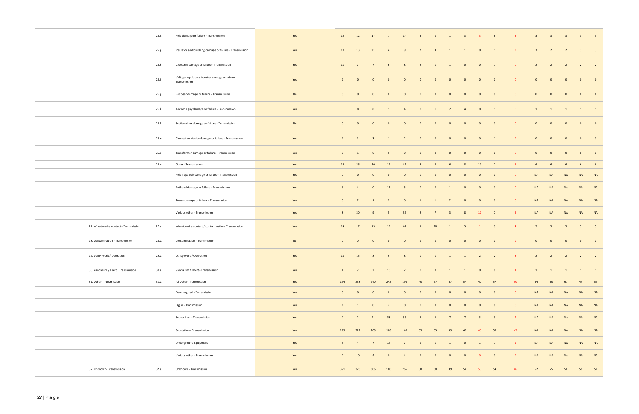| 26.f.                                            | Pole damage or failure - Transmission                           | Yes       | 12              | 12             | 17             | $7\overline{ }$ | 14                      | $\overline{\mathbf{3}}$ | $\overline{\mathbf{0}}$             |                         | $1 \quad 3$             | 3 <sup>7</sup>  | 8                          | $\overline{\mathbf{3}}$ | 3 <sup>2</sup>  | $\overline{\mathbf{3}}$    | $\overline{\mathbf{3}}$ | $\overline{\mathbf{3}}$ | $\overline{\phantom{a}}$ 3 |
|--------------------------------------------------|-----------------------------------------------------------------|-----------|-----------------|----------------|----------------|-----------------|-------------------------|-------------------------|-------------------------------------|-------------------------|-------------------------|-----------------|----------------------------|-------------------------|-----------------|----------------------------|-------------------------|-------------------------|----------------------------|
| 26.g.                                            | Insulator and brushing damage or failure - Transmission         | Yes       | 10              | 13             | 21             | $\overline{4}$  | 9                       | $\overline{2}$          | $\overline{\mathbf{3}}$             | $\mathbf{1}$            | $\overline{1}$          | $\overline{0}$  | <sup>1</sup>               | $\overline{0}$          | 3 <sup>2</sup>  | $\overline{2}$             | $\overline{2}$          | $\overline{\mathbf{3}}$ | $\overline{\phantom{a}}$ 3 |
| 26.h.                                            | Crossarm damage or failure - Transmission                       | Yes       | 11              | $\overline{7}$ | $\overline{7}$ | 6               | 8                       |                         | $2 \qquad \qquad 1 \qquad \qquad 1$ |                         | $\overline{\mathbf{0}}$ | $\overline{0}$  | $\overline{1}$             | $\overline{\mathbf{0}}$ | $2^{\circ}$     | $\overline{2}$             | $\overline{\mathbf{2}}$ | $\overline{2}$          | $\overline{\phantom{0}}$ 2 |
| 26.i.                                            | Voltage regulator / booster damage or failure -<br>Transmission | Yes       | 1               | $\overline{0}$ | $\overline{0}$ | $\overline{0}$  | $\overline{0}$          | $\overline{\mathbf{0}}$ | $\overline{0}$                      | $\overline{0}$          | $\overline{0}$          | $\overline{0}$  | $\overline{0}$             | $\overline{0}$          | $\overline{0}$  | $\overline{0}$             | $\overline{0}$          | $\overline{0}$          | $\overline{\phantom{0}}$   |
| 26.j.                                            | Recloser damage or failure - Transmission                       | <b>No</b> | $\overline{0}$  | $\overline{0}$ | $\overline{0}$ | $\overline{0}$  | $\overline{0}$          | $\overline{\mathbf{0}}$ | $\overline{0}$                      | $\overline{0}$          | $\overline{0}$          | $\overline{0}$  | $\overline{0}$             | $\overline{0}$          | $\mathbf{0}$    | $\mathbf{0}$               | $\mathbf{0}$            | $\overline{\mathbf{0}}$ | $\overline{\mathbf{0}}$    |
| 26.k.                                            | Anchor / guy damage or failure - Transmission                   | Yes       | $\overline{3}$  | 8              | 8              | 1               | $\overline{4}$          | $\overline{\mathbf{0}}$ | $\overline{1}$                      | $\overline{2}$          | $\overline{4}$          | $\overline{0}$  | $\overline{1}$             | $\overline{\mathbf{0}}$ | $\mathbf{1}$    | $\overline{1}$             | $\overline{1}$          | $\mathbf{1}$            | $\overline{1}$             |
| 26.I.                                            | Sectionalizer damage or failure - Transmission                  | No        | $\overline{0}$  | $\overline{0}$ | $\overline{0}$ | $\overline{0}$  | $\overline{\mathbf{0}}$ | $\overline{\mathbf{0}}$ | $\overline{0}$                      | $\overline{0}$          | $\overline{0}$          | $\overline{0}$  | $\overline{0}$             | $\overline{0}$          | $\mathbf{0}$    | $\overline{0}$             | $\overline{0}$          | $\overline{0}$          | $\overline{\phantom{0}}$   |
| 26.m.                                            | Connection device damage or failure - Transmission              | Yes       | 1               | $\mathbf{1}$   | 3 <sup>1</sup> | $\mathbf{1}$    | $\overline{2}$          | $\overline{0}$          | $\mathbf{0}$                        | $\overline{0}$          | $\overline{0}$          | $\overline{0}$  | $\overline{1}$             | $\overline{0}$          | $\mathbf{0}$    | $\mathbf{0}$               | $\mathbf{0}$            | $\overline{0}$          | $\overline{\mathbf{0}}$    |
| 26.n.                                            | Transformer damage or failure - Transmission                    | Yes       | $\overline{0}$  | 1              | $\overline{0}$ | 5               | $\overline{0}$          | $\overline{\mathbf{0}}$ | $\overline{0}$                      | $\overline{0}$          | $\overline{0}$          | $\overline{0}$  | $\overline{0}$             | $\overline{0}$          | $\mathbf{0}$    | $\mathbf{0}$               | $\overline{0}$          | $\overline{0}$          | $\overline{\mathbf{0}}$    |
| 26.o.                                            | Other - Transmission                                            | Yes       | 14              | 26             | 10             | 19              | 41                      | $\overline{\mathbf{3}}$ | 8                                   | 6                       | 8                       | 10              | $\overline{7}$             | 5 <sub>1</sub>          | $6\overline{6}$ | 6                          | 6                       | 6                       | 6 <sup>6</sup>             |
|                                                  | Pole Tops Sub damage or failure - Transmission                  | Yes       | $\overline{0}$  | $\overline{0}$ | $\overline{0}$ | $\overline{0}$  | $\overline{0}$          | $\overline{\mathbf{0}}$ | $\overline{\mathbf{0}}$             | $\overline{0}$          | $\overline{0}$          | $\overline{0}$  | $\overline{0}$             | $\overline{0}$          | <b>NA</b>       | <b>NA</b>                  | <b>NA</b>               | <b>NA</b>               | <b>NA</b>                  |
|                                                  | Pothead damage or failure - Transmission                        | Yes       | $6\overline{6}$ | $\overline{4}$ | $\overline{0}$ | 12              | $5^{\circ}$             | $\overline{\mathbf{0}}$ | $\overline{0}$                      | $\overline{1}$          | $\overline{0}$          | $\overline{0}$  | $\overline{0}$             | $\overline{\mathbf{0}}$ | <b>NA</b>       | <b>NA</b>                  | <b>NA</b>               | <b>NA</b>               | <b>NA</b>                  |
|                                                  | Tower damage or failure - Transmission                          | Yes       | $\overline{0}$  | $\overline{2}$ | $\mathbf{1}$   | $\overline{2}$  | $\overline{0}$          | $\mathbf{1}$            | $\mathbf{1}$                        | $\overline{2}$          | $\overline{0}$          | $\overline{0}$  | $\overline{\mathbf{0}}$    | $\overline{\mathbf{0}}$ | <b>NA</b>       | <b>NA</b>                  | <b>NA</b>               | <b>NA</b>               | <b>NA</b>                  |
|                                                  | Various other - Transmission                                    | Yes       | 8               | 20             | 9              | 5 <sup>5</sup>  | 36                      | $\overline{2}$          | $7\overline{ }$                     | $\overline{\mathbf{3}}$ | 8                       | 10 <sup>°</sup> | $\overline{7}$             | 5 <sup>°</sup>          | <b>NA</b>       | <b>NA</b>                  | <b>NA</b>               | <b>NA</b>               | <b>NA</b>                  |
| 27.a.<br>27. Wire-to-wire contact - Transmission | Wire-to-wire contact / contamination- Transmission              | Yes       | 14              | 17             | 15             | 19              | 42                      | - 9                     | 10                                  | 1                       | $\overline{\mathbf{3}}$ | $\overline{1}$  | 9                          | $\overline{4}$          | 5 <sup>5</sup>  | $5^{\circ}$                | $-5$                    | 5 <sub>5</sub>          | $\sqrt{5}$                 |
| 28. Contamination - Transmission<br>28.a.        | Contamination - Transmission                                    | <b>No</b> | $\overline{0}$  | $\mathbf{0}$   | $\overline{0}$ | $\mathbf{0}$    | $\overline{0}$          | $\overline{\mathbf{0}}$ | $\mathbf{0}$                        | $\overline{0}$          | $\overline{0}$          | $\overline{0}$  | $\overline{0}$             | $\overline{0}$          | $\mathbf{0}$    | $\mathbf{0}$               | $\mathbf{0}$            | $\overline{0}$          | $\overline{\phantom{0}}$   |
| 29. Utility work / Operation<br>29.a.            | Utility work / Operation                                        | Yes       | 10              | 15             | 8              | 9               | 8                       | $\overline{\mathbf{0}}$ | $\overline{1}$                      | $\mathbf{1}$            | $\overline{1}$          | $\overline{2}$  | $\overline{\phantom{0}}$ 2 | $\overline{\mathbf{3}}$ | $\overline{2}$  | $\overline{\phantom{0}}$ 2 | $\overline{\mathbf{2}}$ | $\overline{2}$          | $\overline{\phantom{0}}$ 2 |
| 30. Vandalism / Theft - Transmission<br>30.a.    | Vandalism / Theft - Transmission                                | Yes       | 4               | 7              | $\overline{2}$ | 10              | $\overline{2}$          | $\overline{\mathbf{0}}$ | $\overline{\mathbf{0}}$             | $\overline{1}$          | $\mathbf{1}$            | $\overline{0}$  | $\overline{\mathbf{0}}$    | $\mathbf{1}$            | 1               | $\left  \right $           | $\overline{1}$          | $1 \quad 1$             |                            |
| 31. Other-Transmission<br>31.a.                  | All Other-Transmission                                          | Yes       | 194             | 238            | 240            | 242             | 193                     | 40                      | 67                                  | 47                      | 54                      | 47              | 57                         | 50                      | 54              | 40                         | 67                      | 47                      | 54                         |
|                                                  | De-energized - Transmission                                     | Yes       | $\overline{0}$  | $\overline{0}$ | $\overline{0}$ | $\overline{0}$  | $\overline{0}$          | $\overline{\mathbf{0}}$ | $\overline{0}$                      | $\overline{\mathbf{0}}$ | $\overline{0}$          | $\overline{0}$  | $\overline{\mathbf{0}}$    | $\overline{0}$          | <b>NA</b>       | <b>NA</b>                  | <b>NA</b>               | <b>NA</b>               | <b>NA</b>                  |
|                                                  | Dig In - Transmission                                           | Yes       | 1               | $\mathbf{1}$   | $\overline{0}$ | $\overline{2}$  | $\overline{0}$          | $\overline{\mathbf{0}}$ | $\overline{\mathbf{0}}$             | $\overline{\mathbf{0}}$ | $\overline{0}$          | $\overline{0}$  | $\overline{\mathbf{0}}$    | $\overline{0}$          | <b>NA</b>       | <b>NA</b>                  | <b>NA</b>               | <b>NA</b>               | <b>NA</b>                  |
|                                                  | Source Lost - Transmission                                      | Yes       | 7 <sup>7</sup>  | $\overline{2}$ | 21             | 38              | 36                      | 5 <sup>5</sup>          | $\overline{\mathbf{3}}$             | 7                       | $\overline{7}$          | $3^{\circ}$     | $\overline{\phantom{a}}$ 3 | $\overline{4}$          | <b>NA</b>       | <b>NA</b>                  | <b>NA</b>               | <b>NA</b>               | <b>NA</b>                  |
|                                                  | Substation - Transmission                                       | Yes       | 179             | 221            | 208            | 188             | 146                     | 35                      | 63                                  | 39                      | 47                      | 43              | 53                         | 45                      | <b>NA</b>       | <b>NA</b>                  | <b>NA</b>               | <b>NA</b>               | <b>NA</b>                  |
|                                                  | Underground Equipment                                           | Yes       | $5 -$           | $\overline{4}$ | 7              | 14              | $7\overline{ }$         | $\overline{\mathbf{0}}$ | $\overline{1}$                      | $\overline{1}$          | $\overline{0}$          | $\mathbf{1}$    | $\mathbf{1}$               | $\mathbf{1}$            | <b>NA</b>       | <b>NA</b>                  | <b>NA</b>               | <b>NA</b>               | <b>NA</b>                  |
|                                                  | Various other - Transmission                                    | Yes       | 2               | 10             | $\overline{4}$ | $\overline{0}$  | $\overline{4}$          | $\overline{\mathbf{0}}$ | $\overline{0}$                      | $\overline{0}$          | $\overline{0}$          | $\overline{0}$  | $\overline{\mathbf{0}}$    | $\overline{0}$          | <b>NA</b>       | <b>NA</b>                  | <b>NA</b>               | <b>NA</b>               | <b>NA</b>                  |
| 32. Unknown-Transmission<br>32.a.                | Unknown - Transmission                                          | Yes       | 371             | 326            | 306            | 160             | 266                     | 38                      | 60                                  | 39                      | 54                      | 53              | 54                         | 46                      | 52              | 55                         | 50                      | 53                      | 52                         |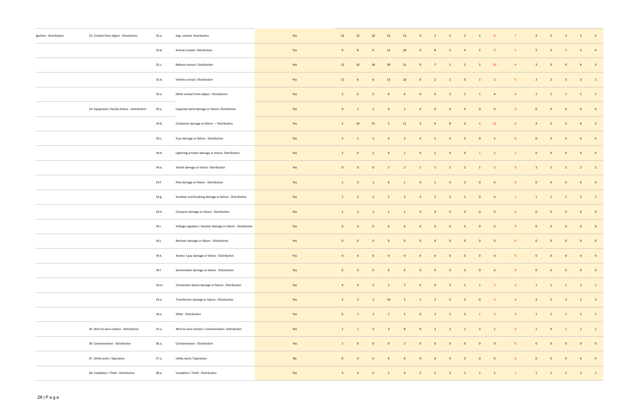| Ignition - Distribution | 33. Contact from object - Distribution          | 33.a. | Veg. contact-Distribution                                    | Yes | 13                      | 12                      | 16                      | 15                             | 13                                                                                                 | $\overline{\mathbf{0}}$                                                           | $\overline{2}$          | $\overline{\mathbf{3}}$ | $\overline{2}$ | 3 <sup>2</sup>                                                                                                                                                                                                         | 6 <sup>1</sup>             | $\overline{7}$                                                                                                                                                                                                                                                                                                                                                                                                                                                                  | $\overline{2}$ | $\overline{2}$                                                            | $\overline{\mathbf{3}}$                                                                       | $\overline{\mathbf{3}}$ | $\overline{\phantom{a}}$ 2                                                                          |
|-------------------------|-------------------------------------------------|-------|--------------------------------------------------------------|-----|-------------------------|-------------------------|-------------------------|--------------------------------|----------------------------------------------------------------------------------------------------|-----------------------------------------------------------------------------------|-------------------------|-------------------------|----------------|------------------------------------------------------------------------------------------------------------------------------------------------------------------------------------------------------------------------|----------------------------|---------------------------------------------------------------------------------------------------------------------------------------------------------------------------------------------------------------------------------------------------------------------------------------------------------------------------------------------------------------------------------------------------------------------------------------------------------------------------------|----------------|---------------------------------------------------------------------------|-----------------------------------------------------------------------------------------------|-------------------------|-----------------------------------------------------------------------------------------------------|
|                         |                                                 | 33.b. | Animal contact-Distribution                                  | Yes | 9                       | 8                       | 6                       | 12                             | 18                                                                                                 | $\overline{0}$                                                                    | 8                       | $\overline{\mathbf{3}}$ | $\overline{4}$ | $\overline{2}$                                                                                                                                                                                                         | $\overline{7}$             | $\overline{2}$                                                                                                                                                                                                                                                                                                                                                                                                                                                                  | 5 <sub>1</sub> | $\overline{\mathbf{3}}$                                                   | $\overline{7}$                                                                                | 5 <sup>5</sup>          | $\overline{4}$                                                                                      |
|                         |                                                 | 33.c. | <b>Balloon contact- Distribution</b>                         | Yes | 12                      | 10                      | 18                      | 30 <sup>°</sup>                | 15                                                                                                 | $\overline{0}$                                                                    | $7^{\circ}$             | $\mathbf{1}$            | $\overline{2}$ | $\overline{\mathbf{3}}$                                                                                                                                                                                                | 10                         | $\overline{4}$                                                                                                                                                                                                                                                                                                                                                                                                                                                                  | $\overline{3}$ | $\overline{0}$                                                            | 9                                                                                             | 6                       | $\overline{\phantom{a}}$ 3                                                                          |
|                         |                                                 | 33.d. | Vehicle contact- Distribution                                | Yes | 11                      | 6                       | 6                       | 13                             | 10                                                                                                 | $\mathbf{0}$                                                                      | $\overline{2}$          | $\overline{1}$          | $\overline{0}$ | $\mathbf{1}$                                                                                                                                                                                                           | $\overline{1}$             | - 5                                                                                                                                                                                                                                                                                                                                                                                                                                                                             | $\overline{2}$ | $\overline{2}$                                                            | $\overline{\mathbf{3}}$                                                                       | $\overline{\mathbf{3}}$ | $\overline{\phantom{a}}$                                                                            |
|                         |                                                 | 33.e. | Other contact from object - Distribution                     | Yes | $\overline{3}$          | 6                       | 5                       | $\overline{0}$                 | 6                                                                                                  | $\mathbf{0}$                                                                      | $\mathbf{0}$            |                         | 1              | $\overline{4}$                                                                                                                                                                                                         | $\overline{4}$             | $\overline{4}$                                                                                                                                                                                                                                                                                                                                                                                                                                                                  | 1              | $\overline{1}$                                                            | $\mathbf{1}$                                                                                  | $\overline{1}$          | $\overline{1}$                                                                                      |
|                         | 34. Equipment / facility failure - Distribution | 34.a. | Capacitor bank damage or failure- Distribution               | Yes | $\overline{0}$          | $\overline{1}$          | $\overline{1}$          | $\overline{0}$                 | $\mathbf{1}$                                                                                       | $\Omega$                                                                          | $\Omega$                | $\Omega$                | $\overline{0}$ | $\mathbf{0}$                                                                                                                                                                                                           | $\overline{0}$             | $\Omega$                                                                                                                                                                                                                                                                                                                                                                                                                                                                        | $\Omega$       | $\Omega$                                                                  | $\Omega$                                                                                      | $\overline{0}$          | $\overline{\mathbf{0}}$                                                                             |
|                         |                                                 | 34.b. | Conductor damage or failure - Distribution                   | Yes | $\overline{2}$          | 19                      | 15                      | 5 <sup>5</sup>                 | 11                                                                                                 | $\overline{\mathbf{3}}$                                                           | 6                       | 8                       | 6              | $\overline{4}$                                                                                                                                                                                                         | 12                         | -6                                                                                                                                                                                                                                                                                                                                                                                                                                                                              | $\overline{4}$ | $\overline{\mathbf{3}}$                                                   | 5 <sup>5</sup>                                                                                | 6                       | $\overline{\phantom{a}}$ 3                                                                          |
|                         |                                                 | 34.c. | Fuse damage or failure - Distribution                        | Yes | 1                       | $\overline{1}$          | $\overline{1}$          | $\overline{0}$                 | $\overline{2}$                                                                                     | $\overline{0}$                                                                    | 1                       | $\overline{0}$          | $\overline{0}$ | $\overline{0}$                                                                                                                                                                                                         | $\mathbf{1}$               | $\Omega$                                                                                                                                                                                                                                                                                                                                                                                                                                                                        | $\mathbf{0}$   | $\Omega$                                                                  | $\overline{0}$                                                                                | $\overline{0}$          | $\overline{\mathbf{0}}$                                                                             |
|                         |                                                 | 34.d. | Lightning arrestor damage or failure- Distribution           | Yes | $\overline{2}$          | $\overline{0}$          | $\overline{2}$          | $\overline{0}$                 | 1                                                                                                  | $\Omega$                                                                          | $\overline{2}$          | $\overline{0}$          | $\overline{0}$ | 1                                                                                                                                                                                                                      | $\overline{1}$             | $\overline{1}$                                                                                                                                                                                                                                                                                                                                                                                                                                                                  | $\mathbf{0}$   | $\Omega$                                                                  | $\Omega$                                                                                      | $\overline{0}$          | $\overline{\phantom{0}}$                                                                            |
|                         |                                                 | 34.e. | Switch damage or failure-Distribution                        | Yes | $\overline{0}$          | $\mathbf{0}$            | $\overline{0}$          | 1                              | $\overline{2}$                                                                                     | $\mathbf{1}$                                                                      | $\mathbf{1}$            | $\overline{1}$          | $\overline{2}$ | <sup>1</sup>                                                                                                                                                                                                           | $\overline{1}$             | $\overline{\mathbf{0}}$                                                                                                                                                                                                                                                                                                                                                                                                                                                         | $\overline{2}$ | $\overline{1}$                                                            | $\overline{2}$                                                                                | $\overline{2}$          | $\overline{\phantom{0}}$ 2                                                                          |
|                         |                                                 | 34.f. | Pole damage or failure - Distribution                        | Yes | $\mathbf{1}$            | $\overline{2}$          | $\overline{1}$          | $\overline{0}$                 | $\overline{1}$                                                                                     | $\overline{0}$                                                                    | 1                       | $\overline{0}$          | $\overline{2}$ | $\overline{0}$                                                                                                                                                                                                         | $\overline{0}$             |                                                                                                                                                                                                                                                                                                                                                                                                                                                                                 | $\Omega$       | $\Omega$                                                                  | $\Omega$                                                                                      | $\overline{0}$          | $\overline{\phantom{0}}$                                                                            |
|                         |                                                 | 34.g. | Insulator and brushing damage or failure - Distribution      | Yes | $\mathbf{1}$            | $\overline{2}$          | $\overline{2}$          | $\mathbf{1}$                   | $\overline{2}$                                                                                     | $\overline{\mathbf{3}}$                                                           | $\mathbf{1}$            | $\overline{2}$          | $\mathbf{1}$   | $\overline{0}$                                                                                                                                                                                                         | $\mathbf{0}$               | $\overline{1}$                                                                                                                                                                                                                                                                                                                                                                                                                                                                  | 1              | $\overline{1}$                                                            | $\overline{1}$                                                                                | $\overline{1}$          | $\overline{1}$                                                                                      |
|                         |                                                 | 34.h. | Crossarm damage or failure - Distribution                    | Yes | $\mathbf{1}$            | $\overline{2}$          | $\mathbf{1}$            | $\overline{1}$                 | $\mathbf{1}$                                                                                       | $\overline{0}$                                                                    | $\overline{0}$          | $\overline{0}$          | $\overline{0}$ | $\overline{0}$                                                                                                                                                                                                         | $\overline{0}$             | $\overline{\mathbf{0}}$                                                                                                                                                                                                                                                                                                                                                                                                                                                         | $\overline{0}$ | $\overline{0}$                                                            | $\overline{0}$                                                                                | $\overline{0}$          | $\overline{\phantom{0}}$                                                                            |
|                         |                                                 | 34.i. | Voltage regulator / booster damage or failure - Distribution | Yes | $\overline{0}$          | $\overline{0}$          | $\mathbf{0}$            | $\overline{0}$                 | $\overline{0}$                                                                                     | $\mathbf{0}$                                                                      | $\overline{0}$          | $\overline{0}$          | $\mathbf{0}$   | $\mathbf{0}$                                                                                                                                                                                                           | $\mathbf{0}$               | $\mathbf{0}$                                                                                                                                                                                                                                                                                                                                                                                                                                                                    | $\mathbf{0}$   | $\overline{0}$                                                            | $\overline{0}$                                                                                | $\overline{0}$          | $\overline{\phantom{0}}$                                                                            |
|                         |                                                 | 34.j. | Recloser damage or failure - Distribution                    | Yes | $\overline{0}$          | $\mathbf{0}$            | $\overline{0}$          | $\overline{0}$                 | $\overline{0}$                                                                                     | $\mathbf{0}$                                                                      | $\overline{0}$          | $\overline{0}$          | $\overline{0}$ | $\overline{0}$                                                                                                                                                                                                         | $\mathbf{0}$               | $\overline{0}$                                                                                                                                                                                                                                                                                                                                                                                                                                                                  | $\mathbf{0}$   | $\mathbf{0}$                                                              | $\mathbf{0}$                                                                                  | $\overline{0}$          | $\overline{\mathbf{0}}$                                                                             |
|                         |                                                 | 34.k. | Anchor / guy damage or failure - Distribution                | Yes | $\overline{0}$          | $\overline{0}$          | $\overline{0}$          | $\overline{0}$                 | $\overline{\mathbf{0}}$                                                                            | $\overline{\mathbf{0}}$                                                           | $\overline{0}$          | $\overline{0}$          | $\overline{0}$ | $\mathbf{0}$                                                                                                                                                                                                           | $\overline{0}$             | $\overline{\mathbf{0}}$                                                                                                                                                                                                                                                                                                                                                                                                                                                         | $\mathbf{0}$   | $\overline{0}$                                                            | $\overline{\mathbf{0}}$                                                                       | $\overline{0}$          | $\overline{\phantom{0}}$                                                                            |
|                         |                                                 | 34.I. | Sectionalizer damage or failure - Distribution               | Yes |                         |                         |                         |                                |                                                                                                    |                                                                                   |                         |                         |                |                                                                                                                                                                                                                        |                            |                                                                                                                                                                                                                                                                                                                                                                                                                                                                                 |                | $\begin{array}{ccccccccccccccccc} 0 & & 0 & & 0 & & 0 & & 0 \end{array}$  |                                                                                               |                         |                                                                                                     |
|                         |                                                 | 34.m. | Connection device damage or failure - Distribution           | Yes | $\overline{4}$          | $\overline{4}$          |                         |                                | $\overline{3}$ $\overline{1}$ $\overline{7}$                                                       | $\overline{\mathbf{0}}$                                                           |                         |                         |                | $\begin{matrix}0\\0\end{matrix}\qquad\quad \begin{matrix}2\\1\end{matrix}\qquad\quad \begin{matrix}1\\1\end{matrix}\qquad\quad \begin{matrix}5\\5\end{matrix}\qquad$                                                   |                            | $-4$                                                                                                                                                                                                                                                                                                                                                                                                                                                                            |                | $\begin{array}{cccccccccccccc} 1 & & 1 & & 1 & & 1 & & 1 \end{array}$     |                                                                                               |                         |                                                                                                     |
|                         |                                                 | 34.n. | Transformer damage or failure - Distribution                 | Yes | $\overline{\mathbf{3}}$ | $\overline{2}$          | $\overline{2}$          | 10                             | $\overline{\mathbf{3}}$                                                                            | $\overline{1}$                                                                    | $3 \qquad 3 \qquad 3$   |                         |                | $\overline{\mathbf{0}}$                                                                                                                                                                                                | $\overline{\phantom{a}}$ 3 | $-4$                                                                                                                                                                                                                                                                                                                                                                                                                                                                            | $\overline{2}$ | $\overline{2}$                                                            | $\overline{2}$                                                                                | $2 \t 2$                |                                                                                                     |
|                         |                                                 | 34.o. | Other - Distribution                                         | Yes |                         |                         |                         |                                | $\begin{array}{ccccccccccccccccccccc}6 & & 7 & & 1 & & 7 & & 2 & & 0 & & 2 & & 2 & & 0\end{array}$ |                                                                                   |                         |                         |                | $1 \quad 4$                                                                                                                                                                                                            |                            | $\overline{\mathbf{3}}$                                                                                                                                                                                                                                                                                                                                                                                                                                                         |                | $1 \qquad 1 \qquad 1$                                                     |                                                                                               | $1 \quad 1$             |                                                                                                     |
|                         | 35. Wire-to-wire contact - Distribution         | 35.a. | Wire-to-wire contact / contamination- Distribution           | Yes |                         |                         |                         | $1 \qquad 1 \qquad 3 \qquad 3$ | 8 <sup>7</sup>                                                                                     |                                                                                   |                         |                         |                | $\begin{matrix}0\end{matrix}\qquad\quad \begin{matrix}2\end{matrix}\qquad\quad \begin{matrix}2\end{matrix}\qquad\quad \begin{matrix}1\end{matrix}\qquad \begin{matrix}3\end{matrix}\qquad \begin{matrix}1\end{matrix}$ |                            | $\overline{\mathbf{0}}$                                                                                                                                                                                                                                                                                                                                                                                                                                                         | $\mathbf{1}$   |                                                                           | $\begin{matrix}0&\quad&1\qquad&1\end{matrix}\qquad\qquad \begin{matrix}1&\quad&1\end{matrix}$ |                         |                                                                                                     |
|                         | 36. Contamination - Distribution                | 36.a. | Contamination - Distribution                                 | Yes | 1                       | $\overline{0}$          | $\overline{0}$          | $\overline{0}$                 | $\overline{2}$                                                                                     | $\overline{\mathbf{0}}$                                                           | $\overline{\mathbf{0}}$ | $\overline{0}$          | $\overline{0}$ | $\overline{0}$                                                                                                                                                                                                         | $\overline{\mathbf{0}}$    | $\overline{\mathbf{0}}$                                                                                                                                                                                                                                                                                                                                                                                                                                                         | $\overline{0}$ | $\overline{0}$                                                            | $\overline{\mathbf{0}}$                                                                       | $\overline{0}$          | $\overline{\phantom{0}}$                                                                            |
|                         | 37. Utility work / Operation                    | 37.a. | Utility work / Operation                                     | No  | $\bullet$               | $\overline{\mathbf{0}}$ | $\overline{\mathbf{0}}$ | $\overline{0}$                 |                                                                                                    | $0\qquad \qquad 0\qquad \qquad$                                                   |                         |                         |                | $\begin{array}{ccccccccccccccccc} 0 & & 0 & & 0 & & 0 & & 0 \end{array}$                                                                                                                                               |                            | $\overline{\phantom{a}}$ $\overline{\phantom{a}}$ $\overline{\phantom{a}}$ $\overline{\phantom{a}}$ $\overline{\phantom{a}}$ $\overline{\phantom{a}}$ $\overline{\phantom{a}}$ $\overline{\phantom{a}}$ $\overline{\phantom{a}}$ $\overline{\phantom{a}}$ $\overline{\phantom{a}}$ $\overline{\phantom{a}}$ $\overline{\phantom{a}}$ $\overline{\phantom{a}}$ $\overline{\phantom{a}}$ $\overline{\phantom{a}}$ $\overline{\phantom{a}}$ $\overline{\phantom{a}}$ $\overline{\$ |                | $0$ 0                                                                     | $\overline{\mathbf{0}}$                                                                       | $\overline{\mathbf{0}}$ | $\overline{\phantom{0}}$ $\overline{\phantom{0}}$ $\overline{\phantom{0}}$ $\overline{\phantom{0}}$ |
|                         | 38. Vandalism / Theft - Distribution            | 38.a. | Vandalism / Theft - Distribution                             | Yes |                         | $3 \t 0$                |                         | $0 \qquad \qquad 1$            |                                                                                                    | $\begin{array}{cccccccccccccc} 6 & & 2 & & 1 & & 2 & & 1 & & 1 & & 2 \end{array}$ |                         |                         |                |                                                                                                                                                                                                                        |                            | $\sim$ 1 $\sim$                                                                                                                                                                                                                                                                                                                                                                                                                                                                 |                | $\begin{array}{cccccccccccccc} 1 & & 1 & & 1 & & 1 & & 1 & & \end{array}$ |                                                                                               |                         |                                                                                                     |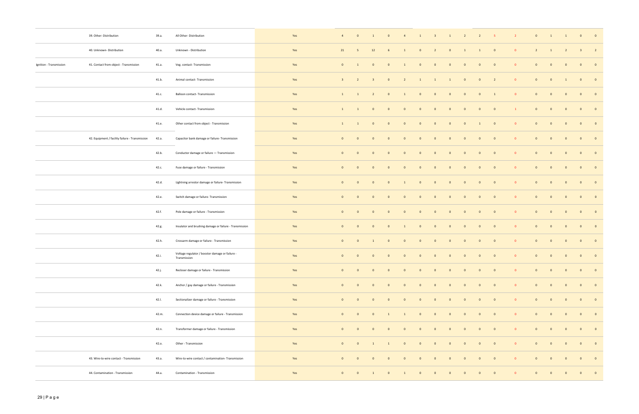| 39. Other-Distribution                          | 39.a. | All Other-Distribution                                          | Yes | $\overline{4}$          | $\overline{0}$          | 1                       | $\overline{0}$  | $\overline{4}$          | $\mathbf{1}$            | $\overline{\mathbf{3}}$ |                         |                | $\overline{\mathbf{2}}$    | $-5$                    | $\overline{2}$              | $\overline{0}$                                                                                                                                                                                                                                                                                                                                                                                                                                                                  | $\mathbf{1}$   | $\overline{1}$          | $\overline{0}$                                     | $\overline{\phantom{0}}$ |
|-------------------------------------------------|-------|-----------------------------------------------------------------|-----|-------------------------|-------------------------|-------------------------|-----------------|-------------------------|-------------------------|-------------------------|-------------------------|----------------|----------------------------|-------------------------|-----------------------------|---------------------------------------------------------------------------------------------------------------------------------------------------------------------------------------------------------------------------------------------------------------------------------------------------------------------------------------------------------------------------------------------------------------------------------------------------------------------------------|----------------|-------------------------|----------------------------------------------------|--------------------------|
| 40. Unknown- Distribution                       | 40.a. | Unknown - Distribution                                          | Yes | 21                      | 5                       | 12                      | $6\overline{6}$ | <sup>1</sup>            | $\mathbf{0}$            | $\overline{2}$          | $\overline{0}$          | $\overline{1}$ | $\mathbf{1}$               | $\mathbf{0}$            | $\overline{0}$              | $\overline{2}$                                                                                                                                                                                                                                                                                                                                                                                                                                                                  | $\overline{1}$ | $\overline{2}$          |                                                    |                          |
| 41. Contact from object - Transmission          | 41.a. | Veg. contact-Transmission                                       | Yes | $\overline{0}$          | $\overline{1}$          | $\overline{0}$          | $\overline{0}$  | $\mathbf{1}$            | $\overline{0}$          | $\overline{0}$          | $\overline{0}$          | $\overline{0}$ | $\mathbf{0}$               | $\overline{0}$          | $\overline{0}$              | $\Omega$                                                                                                                                                                                                                                                                                                                                                                                                                                                                        | $\Omega$       | $\overline{0}$          | $\overline{0}$                                     | $\overline{\phantom{0}}$ |
|                                                 | 41.b. | Animal contact-Transmission                                     | Yes | $\overline{\mathbf{3}}$ | $\overline{2}$          | $\overline{\mathbf{3}}$ | $\overline{0}$  | $\overline{2}$          | $\mathbf{1}$            | $\mathbf{1}$            | $\mathbf{1}$            | $\overline{0}$ | $\overline{0}$             | $\overline{2}$          | $\overline{\mathbf{0}}$     | $\mathbf{0}$                                                                                                                                                                                                                                                                                                                                                                                                                                                                    | $\overline{0}$ | $\overline{1}$          | $\overline{0}$                                     | $\overline{\phantom{0}}$ |
|                                                 | 41.c. | <b>Balloon contact- Transmission</b>                            | Yes | 1                       | $\overline{1}$          | $\overline{2}$          | $\overline{0}$  | 1                       | $\overline{0}$          | $\overline{0}$          | $\overline{0}$          | $\overline{0}$ | $\overline{0}$             | $\overline{1}$          | $\overline{0}$              | $\mathbf{0}$                                                                                                                                                                                                                                                                                                                                                                                                                                                                    | $\overline{0}$ | $\overline{0}$          | $\overline{0}$                                     | $\overline{\phantom{0}}$ |
|                                                 | 41.d. | Vehicle contact- Transmission                                   | Yes | 1                       | $\mathbf{1}$            | $\mathbf{0}$            | $\overline{0}$  | $\overline{\mathbf{0}}$ | $\overline{\mathbf{0}}$ | $\overline{0}$          | $\overline{0}$          | $\overline{0}$ | $\overline{0}$             | $\overline{0}$          | $\mathbf{1}$                | $\mathbf{0}$                                                                                                                                                                                                                                                                                                                                                                                                                                                                    | $\overline{0}$ | $\overline{0}$          | $\overline{0}$                                     | $\overline{\mathbf{0}}$  |
|                                                 | 41.e. | Other contact from object - Transmission                        | Yes | 1                       | $\mathbf{1}$            | $\overline{0}$          | $\overline{0}$  | $\overline{\mathbf{0}}$ | $\overline{0}$          | $\overline{0}$          | $\overline{0}$          | $\overline{0}$ | $\mathbf{1}$               | $\overline{0}$          | $\overline{\mathbf{0}}$     | $\overline{0}$                                                                                                                                                                                                                                                                                                                                                                                                                                                                  | $\overline{0}$ | $\overline{0}$          | $\overline{0}$                                     | $\overline{\phantom{0}}$ |
| 42. Equipment / facility failure - Transmission | 42.a. | Capacitor bank damage or failure- Transmission                  | Yes | $\mathbf{0}$            | $\mathbf{0}$            | $\mathbf{0}$            | $\overline{0}$  | $\overline{0}$          | $\overline{0}$          | $\overline{0}$          | $\overline{0}$          | $\overline{0}$ | $\mathbf{0}$               | $\overline{0}$          | $\Omega$                    | $\mathbf{0}$                                                                                                                                                                                                                                                                                                                                                                                                                                                                    | $\overline{0}$ | $\overline{0}$          | $\overline{0}$                                     | $\overline{\mathbf{0}}$  |
|                                                 | 42.b. | Conductor damage or failure - Transmission                      | Yes | $\mathbf{0}$            | $\overline{0}$          | $\mathbf{0}$            | $\overline{0}$  | $\overline{0}$          | $\overline{0}$          | $\overline{0}$          | $\overline{0}$          | $\overline{0}$ | $\overline{0}$             | $\overline{0}$          | $\overline{\mathbf{0}}$     | $\mathbf{0}$                                                                                                                                                                                                                                                                                                                                                                                                                                                                    | $\mathbf{0}$   | $\overline{0}$          | $\overline{0}$                                     | $\overline{\phantom{0}}$ |
|                                                 | 42.c. | Fuse damage or failure - Transmission                           | Yes | $\overline{0}$          | $\overline{0}$          | $\overline{0}$          | $\overline{0}$  | $\overline{\mathbf{0}}$ | $\overline{0}$          | $\overline{0}$          | $\overline{0}$          | $\overline{0}$ | $\overline{0}$             | $\overline{\mathbf{0}}$ | $\overline{\mathbf{0}}$     | $\overline{0}$                                                                                                                                                                                                                                                                                                                                                                                                                                                                  | $\overline{0}$ | $\overline{0}$          | $\overline{0}$                                     | $\overline{\phantom{0}}$ |
|                                                 | 42.d. | Lightning arrestor damage or failure- Transmission              | Yes | $\mathbf{0}$            | $\mathbf{0}$            | $\mathbf{0}$            | $\overline{0}$  | 1                       | $\overline{0}$          | $\overline{0}$          | $\overline{0}$          | $\overline{0}$ | $\mathbf{0}$               | $\overline{0}$          | $\Omega$                    | $\mathbf{0}$                                                                                                                                                                                                                                                                                                                                                                                                                                                                    | $\overline{0}$ | $\overline{0}$          | $\overline{0}$                                     | $\overline{\phantom{0}}$ |
|                                                 | 42.e. | Switch damage or failure- Transmission                          | Yes | $\mathbf{0}$            | $\mathbf{0}$            | $\mathbf{0}$            | $\overline{0}$  | $\overline{0}$          | $\overline{\mathbf{0}}$ | $\overline{0}$          | $\overline{0}$          | $\overline{0}$ | $\overline{0}$             | $\overline{0}$          | $\overline{\mathbf{0}}$     | $\mathbf{0}$                                                                                                                                                                                                                                                                                                                                                                                                                                                                    | $\overline{0}$ | $\overline{0}$          | $\overline{0}$                                     | $\overline{\phantom{0}}$ |
|                                                 | 42.f. | Pole damage or failure - Transmission                           | Yes | $\overline{0}$          | $\mathbf{0}$            | $\overline{0}$          | $\overline{0}$  | $\overline{\mathbf{0}}$ | $\overline{0}$          | $\overline{0}$          | $\overline{0}$          | $\overline{0}$ | $\overline{0}$             | $\overline{\mathbf{0}}$ | $\overline{\mathbf{0}}$     | $\overline{0}$                                                                                                                                                                                                                                                                                                                                                                                                                                                                  | $\overline{0}$ | $\overline{\mathbf{0}}$ | $\overline{0}$                                     | $\overline{\phantom{0}}$ |
|                                                 | 42.g. | Insulator and brushing damage or failure - Transmission         | Yes | $\mathbf{0}$            | $\mathbf{0}$            | $\mathbf{0}$            | $\overline{0}$  | $\overline{1}$          | $\mathbf{0}$            | $\overline{0}$          | $\overline{0}$          | $\overline{0}$ | $\overline{0}$             | $\overline{\mathbf{0}}$ | $\Omega$                    | $\mathbf{0}$                                                                                                                                                                                                                                                                                                                                                                                                                                                                    | $\mathbf{0}$   | $\overline{0}$          | $\overline{0}$                                     | $\overline{\mathbf{0}}$  |
|                                                 | 42.h. | Crossarm damage or failure - Transmission                       | Yes | $\overline{0}$          | $\mathbf{0}$            | $\mathbf{1}$            | $\overline{0}$  | $\overline{0}$          | $\mathbf{0}$            | $\overline{0}$          | $\overline{0}$          | $\overline{0}$ | $\overline{0}$             | $\mathbf{0}$            | $\overline{\mathbf{0}}$     | $\mathbf{0}$                                                                                                                                                                                                                                                                                                                                                                                                                                                                    | $\mathbf{0}$   | $\mathbf{0}$            | $\overline{0}$                                     | $\overline{\mathbf{0}}$  |
|                                                 | 42.i. | Voltage regulator / booster damage or failure -<br>Transmission | Yes | $\overline{0}$          | $\overline{\mathbf{0}}$ | $\overline{0}$          | $\overline{0}$  | $\overline{0}$          | $\overline{\mathbf{0}}$ | $\overline{0}$          | $\overline{0}$          | $\overline{0}$ | $\overline{0}$             | $\overline{0}$          | $\overline{\mathbf{0}}$     | $\overline{0}$                                                                                                                                                                                                                                                                                                                                                                                                                                                                  | $\overline{0}$ | $\overline{0}$          | $\overline{0}$                                     | $\overline{\phantom{0}}$ |
|                                                 | 42.j. | Recloser damage or failure - Transmission                       | Yes |                         |                         |                         |                 |                         |                         |                         |                         |                |                            |                         |                             |                                                                                                                                                                                                                                                                                                                                                                                                                                                                                 |                |                         | $\overline{\mathbf{0}}$                            | $\overline{\phantom{0}}$ |
|                                                 | 42.k. | Anchor / guy damage or failure - Transmission                   | Yes | $\overline{0}$          | $\overline{\mathbf{0}}$ | $\overline{0}$          | $\overline{0}$  | $\overline{0}$          | $\overline{\mathbf{0}}$ | $\bullet$               |                         |                |                            |                         | $\overline{\mathbf{0}}$     | $\overline{0}$                                                                                                                                                                                                                                                                                                                                                                                                                                                                  | $\overline{0}$ | $\overline{\mathbf{0}}$ | $\overline{\mathbf{0}}$                            | $\overline{\phantom{0}}$ |
|                                                 | 42.I. | Sectionalizer damage or failure - Transmission                  | Yes | $\overline{0}$          | $\overline{0}$          | $\overline{0}$          | $\overline{0}$  | $\overline{\mathbf{0}}$ | $\overline{\mathbf{0}}$ | $\overline{\mathbf{0}}$ | $\overline{0}$          | $\overline{0}$ | $\overline{0}$             | $\overline{\mathbf{0}}$ | $\overline{\mathbf{0}}$     | $\overline{0}$                                                                                                                                                                                                                                                                                                                                                                                                                                                                  | $\overline{0}$ | $\overline{\mathbf{0}}$ | $\overline{0}$                                     | $\overline{\phantom{0}}$ |
|                                                 | 42.m. | Connection device damage or failure - Transmission              | Yes | $\overline{0}$          | $\mathbf{0}$            | $\overline{0}$          | $\mathbf{1}$    | $\overline{1}$          | $\overline{\mathbf{0}}$ | $\overline{0}$          | $\overline{0}$          | $\overline{0}$ | $\overline{0}$             | $\overline{\mathbf{0}}$ | $\overline{\mathbf{0}}$     | $\overline{0}$                                                                                                                                                                                                                                                                                                                                                                                                                                                                  | $\overline{0}$ | $\overline{\mathbf{0}}$ | $\overline{0}$                                     | $\overline{\phantom{0}}$ |
|                                                 | 42.n. | Transformer damage or failure - Transmission                    | Yes | $\overline{0}$          | $\overline{0}$          | $\overline{0}$          | $\overline{0}$  | $\overline{0}$          | $\overline{\mathbf{0}}$ | $\overline{0}$          | $\overline{\mathbf{0}}$ | $\overline{0}$ |                            |                         | $\overline{\mathbf{0}}$     | $\overline{0}$                                                                                                                                                                                                                                                                                                                                                                                                                                                                  | $\overline{0}$ | $\overline{\mathbf{0}}$ | $\overline{0}$                                     | $\overline{\phantom{0}}$ |
|                                                 | 42.o. | Other - Transmission                                            | Yes | $\overline{0}$          | $\overline{0}$          | $\mathbf{1}$            | $\mathbf{1}$    | $\overline{\mathbf{0}}$ | $\overline{0}$          | $\overline{0}$          | $\overline{0}$          | $\overline{0}$ | $\overline{0}$             | $\overline{\mathbf{0}}$ | $\overline{\mathbf{0}}$     | $\overline{0}$                                                                                                                                                                                                                                                                                                                                                                                                                                                                  | $\overline{0}$ | $\overline{\mathbf{0}}$ | $\overline{0}$                                     | $\overline{\phantom{0}}$ |
| 43. Wire-to-wire contact - Transmission         | 43.a. | Wire-to-wire contact / contamination- Transmission              | Yes | $\overline{0}$          | $\overline{0}$          | $\overline{0}$          | $\overline{0}$  | $\overline{0}$          | $\overline{\mathbf{0}}$ | $\overline{0}$          | $\overline{0}$          | $\overline{0}$ | $\overline{0}$             | $\overline{\mathbf{0}}$ | $\overline{\mathbf{0}}$     | $\overline{0}$                                                                                                                                                                                                                                                                                                                                                                                                                                                                  | $\overline{0}$ | $\overline{\mathbf{0}}$ | $\overline{0}$                                     | $\overline{\phantom{0}}$ |
| 44. Contamination - Transmission                | 44.a. | Contamination - Transmission                                    | Yes | $\overline{0}$          | $\overline{\mathbf{0}}$ |                         | $\overline{0}$  |                         | $\overline{\mathbf{0}}$ |                         | $\overline{\mathbf{0}}$ | $\overline{0}$ | $\overline{0}$             | $\overline{\mathbf{0}}$ | $\overline{\mathbf{0}}$     | $\overline{0}$                                                                                                                                                                                                                                                                                                                                                                                                                                                                  | $\overline{0}$ |                         |                                                    |                          |
|                                                 |       |                                                                 |     |                         |                         |                         |                 | $\mathbf{1}$            |                         | $\mathbf{1}$            |                         | $\overline{0}$ | $1 \quad 2$<br>$0\qquad 0$ |                         | $0\qquad \qquad 0$<br>$0$ 0 | $\overline{\phantom{a}}$ $\overline{\phantom{a}}$ $\overline{\phantom{a}}$ $\overline{\phantom{a}}$ $\overline{\phantom{a}}$ $\overline{\phantom{a}}$ $\overline{\phantom{a}}$ $\overline{\phantom{a}}$ $\overline{\phantom{a}}$ $\overline{\phantom{a}}$ $\overline{\phantom{a}}$ $\overline{\phantom{a}}$ $\overline{\phantom{a}}$ $\overline{\phantom{a}}$ $\overline{\phantom{a}}$ $\overline{\phantom{a}}$ $\overline{\phantom{a}}$ $\overline{\phantom{a}}$ $\overline{\$ |                | $\overline{0}$          | $\begin{array}{ccc} & & 0 & \quad & 0 \end{array}$ | $3 \t 2$                 |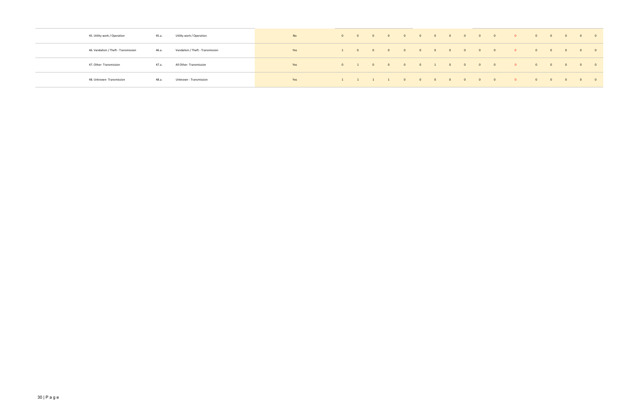| 45. Utility work / Operation         | 45.a. | Utility work / Operation         | <b>No</b> |  |  |                                                                                              |  |  |  |  | $\overline{0}$ |                                                      | $\begin{array}{ccc} 0 & & 0 \end{array}$ |
|--------------------------------------|-------|----------------------------------|-----------|--|--|----------------------------------------------------------------------------------------------|--|--|--|--|----------------|------------------------------------------------------|------------------------------------------|
| 46. Vandalism / Theft - Transmission | 46.a. | Vandalism / Theft - Transmission | Yes       |  |  | $\begin{array}{ccccccccccccccccccccc} 0 & 0 & 0 & 0 & 0 & 0 & 0 & 0 & 0 & 0 & 0 \end{array}$ |  |  |  |  |                | $\begin{array}{ccccccc}\n0 & & 0 & & 0\n\end{array}$ |                                          |
| 47. Other-Transmission               | 47.a. | All Other-Transmission           | Yes       |  |  |                                                                                              |  |  |  |  |                |                                                      |                                          |
| 48. Unknown-Transmission             | 48.a. | Unknown - Transmission           | Yes       |  |  |                                                                                              |  |  |  |  | $\overline{0}$ |                                                      | $\begin{array}{ccc} 0 & & 0 \end{array}$ |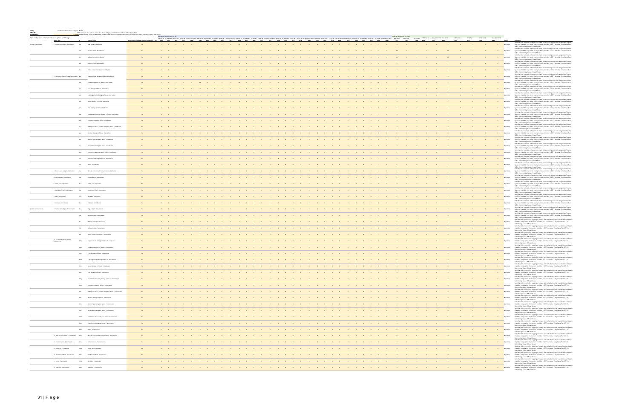|                                                     |                 | refer to all lines at or above 65kV, and distribution lines refer to all lines below 65kV<br>rom 2015 - 2019 should be actual numbers. 2020 - 2023 should be projected. In future subm |                                                                                                                                                                                                                                                                    |                |                                   |         |                |             |             |                         |               |                          |
|-----------------------------------------------------|-----------------|----------------------------------------------------------------------------------------------------------------------------------------------------------------------------------------|--------------------------------------------------------------------------------------------------------------------------------------------------------------------------------------------------------------------------------------------------------------------|----------------|-----------------------------------|---------|----------------|-------------|-------------|-------------------------|---------------|--------------------------|
| drivers of ienitions by HFTD region                 |                 |                                                                                                                                                                                        | Number of isnitions by HFTD tier<br>Non-HTD HED Zone 1 HFD Tier 2 HFD Tie 2 3nd CHUCHED Non-HTD END And HTDTier 2 HFDTier 3 Non-CHUCHED Non-HTD HFDTier 3 Non-CHUCHED Non-HTD Tier 2 Non-CHUCHED Non-HTD Non-HTD Non-HTD Non-HTD Non-HTD Non-HTD Non-HTD Non-HTD N |                |                                   |         |                | HFTD Zone 1 | HFTD Tier 2 | HFTD Tier 3             | Non-CPUC HFTD |                          |
| Metric type                                         |                 | Ignition driver                                                                                                                                                                        | Are ignitions tracked for ignition driver? (yes / no) 2015 2015 2015 2015 2015<br>2016 2016 2016 2016<br>2018 2018 2018 2018<br>2018 2019 2019 2019 2019<br>2019<br>2020 2020 2020 2020                                                                            |                |                                   |         |                |             |             |                         |               |                          |
| 1. Contact from object - Distribution               | $-1.4$ .        | Veg. contact- Distribution                                                                                                                                                             | Yes<br>7 0 1 4 0 10 0 1 5 0 10 0 4 1 0 10 0 1 1 1 1 8 0 2 1 0                                                                                                                                                                                                      | 9<br>$\bullet$ | 1                                 | $\circ$ | $\bullet$<br>9 | $\bullet$   |             | $\bullet$               |               |                          |
|                                                     | 1.b.            | Animal contact - Distribution                                                                                                                                                          | Yes<br>15 0 2 5<br>$\begin{array}{cccccccccccccc} 2 & & 0 & & 1 & & 6 \end{array}$<br>$3 \t 0 \t 1 \t 2$<br>$8$ 0 3 1<br>$\bullet$                                                                                                                                 |                |                                   |         |                |             |             |                         |               |                          |
|                                                     | 1.6             | Balloon contact- Distribution                                                                                                                                                          | Yes<br>$10$ 0 0 2<br>$\overline{z}$<br>11<br>24<br>10<br>$0 \qquad 2 \qquad 3$<br>10 0 2 5<br>$\alpha$<br>$\overline{\mathbf{3}}$<br>15<br>$\circ$                                                                                                                 |                |                                   |         |                |             |             | $\overline{\mathbf{3}}$ |               |                          |
|                                                     |                 |                                                                                                                                                                                        | $\ddot{a}$ and $\ddot{a}$                                                                                                                                                                                                                                          |                |                                   |         |                |             |             |                         |               |                          |
|                                                     | 1.d.            | Vehicle contact-Distribution                                                                                                                                                           | Yes<br>$7 \t 0 \t 0 \t 4$<br>$4$ 0 3 5<br>$\begin{array}{ccccccccccccc}\n8 & & 0 & & 2 & & 0\n\end{array}$<br>$\circ$<br>400<br>$\circ$<br>$\mathbf{A}$ and $\mathbf{A}$ and $\mathbf{A}$<br>$\sim$<br>$\bullet$                                                   |                |                                   |         |                |             |             | $\overline{\mathbf{3}}$ |               |                          |
|                                                     | 1.4.            | Other contact from object - Distribution                                                                                                                                               | Yes<br>$\begin{array}{cccccccccccccc} 2 & & 0 & & 1 & & 1 \end{array}$<br>0 0 0 0 0 4 0 0 2 0 4 0 1 0<br>$\sim$<br>$3 \t 0 \t 1 \t 2$<br>$3 \t 0 \t 0 \t 1$<br>$\overline{1}$                                                                                      |                |                                   |         |                |             |             |                         |               |                          |
| 2. Equipment / facility failure - Distribution 2.a. |                 | Capacitor bank damage or failure- Distributio                                                                                                                                          | Yes<br>$\begin{array}{ccccccccccccccccc} 0 & 0 & 0 & 0 & 0 \end{array}$<br>$\circ$ $\circ$<br>0                                                                                                                                                                    |                |                                   |         |                |             |             |                         |               |                          |
|                                                     |                 |                                                                                                                                                                                        |                                                                                                                                                                                                                                                                    |                |                                   |         |                |             |             |                         |               |                          |
|                                                     | 2.b.            | Conductor damage or failure - Distribution                                                                                                                                             | Yes<br>$1 \qquad 0 \qquad 1$<br>$6$ 0 2 3<br>0<br>11<br>14<br>1<br>$0 \qquad 1 \qquad 3$<br>$\sim$<br>$\bullet$<br>$\sim$ 2                                                                                                                                        |                |                                   |         |                |             |             |                         |               |                          |
|                                                     | 2.e.            | Fuse damage or failure - Distribution                                                                                                                                                  | Yes<br>$0 \qquad 0 \qquad 0 \qquad 1$<br>$1 \quad 0 \quad 0 \quad 0$<br>$\sim$<br>$\sim$ 0                                                                                                                                                                         |                |                                   |         |                |             |             |                         |               |                          |
|                                                     | 2.d.            | Lightning arrestor damage or failure-Distribution                                                                                                                                      | Yes<br>$2 \qquad 0 \qquad$<br>$0 \qquad 0$                                                                                                                                                                                                                         |                |                                   |         |                |             |             |                         |               |                          |
|                                                     | 2.0.            |                                                                                                                                                                                        | Yes<br>$\sim$ 0<br>$\overline{2}$<br>5 <sup>1</sup>                                                                                                                                                                                                                |                |                                   |         |                |             |             |                         |               |                          |
|                                                     |                 | Switch damage or failure-Distribution                                                                                                                                                  |                                                                                                                                                                                                                                                                    |                |                                   |         |                |             |             |                         |               |                          |
|                                                     | 2.6.            | Pole damage or failure - Distribution                                                                                                                                                  | Yes<br>$1 \qquad 0 \qquad$<br>$2 \qquad 0 \qquad 0$<br>$1 \qquad 0 \qquad 0 \qquad 0$<br>0<br>0 0 0 0 0 0 0 0 1 0 2 0 1 0                                                                                                                                          |                |                                   |         |                |             |             |                         |               |                          |
|                                                     | 2x              | Insulator and brushing damage or failure - Distribution                                                                                                                                | Yes<br>0 0 0 1 0 2 0 0 0 0 5 0 1 1<br>$\begin{array}{ccccccccccccccccc} 0 & & 0 & & 1 & & 0 \end{array}$<br>$\bullet$<br>$\begin{array}{ccccccccccccccccc} 0 & & 0 & & 2 & & 0 \end{array}$<br>$\bullet$<br>$\bullet$                                              |                |                                   |         |                |             |             |                         |               |                          |
|                                                     | 2.h             | Crossarm damage or failure - Distribution                                                                                                                                              | Yes<br>$\begin{array}{cccccccccccccc} 1 & & 0 & & 0 & & 0 \end{array}$<br>$\bullet$<br>$2 \qquad 0 \qquad 0 \qquad 0$<br>$\bullet$<br>$1 \qquad 0 \qquad 0 \qquad 0$<br>$\bullet$                                                                                  |                |                                   |         |                |             |             |                         |               |                          |
|                                                     |                 |                                                                                                                                                                                        |                                                                                                                                                                                                                                                                    |                |                                   |         |                |             |             |                         |               |                          |
|                                                     |                 | Voltage regulator / booster damage or failure - Distribution                                                                                                                           | a a a a a a a a a a a a a a a<br>Yes<br>$\begin{array}{ccccccccccccccccc} 0 & & 0 & & 0 & & 0 & & 0 \end{array}$                                                                                                                                                   |                |                                   |         |                |             |             |                         |               |                          |
|                                                     | 2.5             | Recloser damage or failure - Distribution                                                                                                                                              | Yes<br>$\begin{array}{ccccccccccccccccc} 0 & & 0 & & 0 & & 0 & & \end{array}$<br>$\sim$ 0                                                                                                                                                                          |                |                                   |         |                |             |             |                         |               |                          |
|                                                     | 2.8.            | Anchor / guy damage or failure - Distribution                                                                                                                                          | Yes<br>$0\qquad 0\qquad 0\qquad 0$                                                                                                                                                                                                                                 |                |                                   |         |                |             |             |                         |               |                          |
|                                                     |                 |                                                                                                                                                                                        |                                                                                                                                                                                                                                                                    |                |                                   |         |                |             |             |                         |               |                          |
|                                                     | 2.1             | Sectionalizer damage or failure - Distribution                                                                                                                                         | Yes<br>$\sim$ 0                                                                                                                                                                                                                                                    | $\sim$ 0       | $\sim$ 0                          |         |                |             |             |                         |               | # ignition               |
|                                                     | 2.m.            | Connection device damage or failure - Distribution                                                                                                                                     | Yes<br>1 0 1 2 0 1 0 2 1 0 2 0 0 1 0 0 0 0 1 0 4 0 0 2 1 3 0 0 0 0                                                                                                                                                                                                 | $\frac{2}{2}$  | $\sim$                            |         |                |             |             |                         |               |                          |
|                                                     | 2n              | Transformer damage or failure - Distribution                                                                                                                                           | Yes<br>$2 \qquad 0 \qquad 0 \qquad 1$<br>1 0 1 0 0 1 0 0 1 0 8 0 0 2 0 2 0 0 1 0 8 0 1 1 0<br>$\sim$ 0                                                                                                                                                             |                | $\circ$                           |         |                |             |             |                         |               |                          |
|                                                     |                 | 2 o Other Distribution                                                                                                                                                                 |                                                                                                                                                                                                                                                                    |                |                                   |         |                |             |             |                         |               |                          |
|                                                     |                 |                                                                                                                                                                                        | Yes                                                                                                                                                                                                                                                                |                | $\overline{a}$ and $\overline{a}$ |         |                |             |             |                         |               |                          |
| 3. Wire-to-wire contact - Distribution              | 3.a.            | Wire-to-wire contact / contamination- Distribution                                                                                                                                     | 0 2 0 0 1 0 1 0 2 0 0 6 0 1 1 0 4 0 0 1 0<br>Yes<br>$1 \quad 0 \quad 0 \quad 0$                                                                                                                                                                                    |                |                                   |         |                |             |             |                         |               |                          |
| 4. Contamination - Distribution                     | 4.a.            | Contamination - Distribution                                                                                                                                                           | Yes<br>$\bullet$                                                                                                                                                                                                                                                   |                |                                   |         |                |             |             |                         |               |                          |
| 5. Utility work / Operation                         | S.a.            | Utility work / Operation                                                                                                                                                               | No                                                                                                                                                                                                                                                                 |                |                                   |         |                |             |             |                         |               |                          |
|                                                     |                 |                                                                                                                                                                                        |                                                                                                                                                                                                                                                                    |                |                                   |         |                |             |             |                         |               |                          |
| 6. Vandalism / Theft - Distribution                 | 6.a.            | Vandalism / Theft - Distribution                                                                                                                                                       | 0 0 0 0 0 0 1 0 0 0 0 0 4 0 1 1 0 4 0 0 2<br>Yes                                                                                                                                                                                                                   |                |                                   |         |                |             |             |                         |               |                          |
| 7. Other- Distribution                              | 7.a.            | All Other-Distribution                                                                                                                                                                 | Yes<br>$\begin{array}{ccccccccccccccccc} 0 & & 0 & & 0 & & 0 & & 0 & & \end{array}$<br>$1 \t 0 \t 2 \t 1$<br>600<br>$\sim$ 0                                                                                                                                       |                |                                   |         |                |             |             |                         |               |                          |
| 8. Unknown-Distribution                             | 8.4.            | Unknown - Distribution                                                                                                                                                                 | Yes<br>$\bullet$<br>$0 \qquad 0$                                                                                                                                                                                                                                   |                |                                   |         |                |             |             |                         |               |                          |
|                                                     |                 |                                                                                                                                                                                        |                                                                                                                                                                                                                                                                    |                |                                   |         |                |             |             |                         |               |                          |
| 9. Contact from object - Transmission               | 9.8.            | Veg. contact-Transmissio                                                                                                                                                               | Yes<br>$\bullet$                                                                                                                                                                                                                                                   |                |                                   |         |                |             |             |                         |               |                          |
|                                                     | 9.b.            | Animal contact-Transmission                                                                                                                                                            | Yes<br>$\bullet$                                                                                                                                                                                                                                                   |                |                                   |         |                |             |             |                         |               |                          |
|                                                     | 9.6             | Balloon contact-Transmission                                                                                                                                                           | Yes                                                                                                                                                                                                                                                                |                |                                   |         |                |             |             |                         |               |                          |
|                                                     |                 |                                                                                                                                                                                        |                                                                                                                                                                                                                                                                    |                |                                   |         |                |             |             |                         |               |                          |
|                                                     | 9.d.            | Vehicle contact-Transmission                                                                                                                                                           | Yes                                                                                                                                                                                                                                                                |                |                                   |         |                |             |             |                         |               |                          |
|                                                     | 9.6.            | Other contact from object - Transmissing                                                                                                                                               | Yes                                                                                                                                                                                                                                                                |                |                                   |         |                |             |             |                         |               |                          |
| 10. Equipment / facility failure -                  | 10.a.           | Capacitor bank damage or failure-Transmissi                                                                                                                                            | Yes                                                                                                                                                                                                                                                                |                |                                   |         |                |             |             |                         |               |                          |
|                                                     | 10 <sub>b</sub> | Conductor damage or failure - Transmissio                                                                                                                                              | Yes                                                                                                                                                                                                                                                                |                |                                   |         |                |             |             |                         |               |                          |
|                                                     |                 |                                                                                                                                                                                        |                                                                                                                                                                                                                                                                    |                |                                   |         |                |             |             |                         |               |                          |
|                                                     |                 | Fuse damage or failure - Transmissio                                                                                                                                                   | Yes                                                                                                                                                                                                                                                                |                |                                   |         |                |             |             |                         |               |                          |
|                                                     |                 | 10.d. Lightning arrestor damage or failure-Transmissi                                                                                                                                  |                                                                                                                                                                                                                                                                    |                |                                   |         |                |             |             |                         |               |                          |
|                                                     |                 |                                                                                                                                                                                        |                                                                                                                                                                                                                                                                    |                |                                   |         |                |             |             |                         |               |                          |
|                                                     |                 |                                                                                                                                                                                        |                                                                                                                                                                                                                                                                    |                |                                   |         |                |             |             |                         |               |                          |
|                                                     |                 | Pole damage or failure - Transmission                                                                                                                                                  |                                                                                                                                                                                                                                                                    |                |                                   |         |                |             |             |                         |               | 0 alignitions this table |
|                                                     |                 | Insulator and brushing damage or failure - Transmission                                                                                                                                | Yes                                                                                                                                                                                                                                                                |                |                                   |         |                |             |             |                         |               | 0 #ignitions this table  |
|                                                     |                 | 10.h. Crossarm damage or failure - Transmission                                                                                                                                        | Yes                                                                                                                                                                                                                                                                |                |                                   |         |                |             |             |                         |               |                          |
|                                                     |                 |                                                                                                                                                                                        |                                                                                                                                                                                                                                                                    |                |                                   |         |                |             |             |                         |               |                          |
|                                                     |                 | 10.i. Voltage regulator / booster damage or failure - Transmission                                                                                                                     | Yes                                                                                                                                                                                                                                                                |                |                                   |         |                |             |             |                         |               |                          |
|                                                     |                 | 10.j. Recloser damage or failure - Transmission                                                                                                                                        | ra a la la la la contra la contra la contra la contra la contra la contra la la la la la la la la la la la la<br>Yes                                                                                                                                               |                |                                   |         |                |             |             |                         |               |                          |
|                                                     |                 | 10.k. Anchor / guy damage or failure - Transmission                                                                                                                                    | Yes                                                                                                                                                                                                                                                                |                |                                   |         |                |             |             |                         |               |                          |
|                                                     |                 |                                                                                                                                                                                        |                                                                                                                                                                                                                                                                    |                |                                   |         |                |             |             |                         |               |                          |
|                                                     |                 | 10.1. Sectionalizer damage or failure - Transmission                                                                                                                                   | Yes                                                                                                                                                                                                                                                                |                |                                   |         |                |             |             |                         |               |                          |
|                                                     |                 | 10.m. Connection device damage or failure - Transmission                                                                                                                               | no di constituito de constituito de constituito de constituito de constituito de constituito de constituito de<br>Yes                                                                                                                                              |                |                                   |         |                |             |             |                         |               |                          |
|                                                     |                 | 10.n. Transformer damage or failure - Transmission                                                                                                                                     | Yes                                                                                                                                                                                                                                                                |                |                                   |         |                |             |             |                         |               |                          |
|                                                     |                 | 10 o Other Transmission                                                                                                                                                                |                                                                                                                                                                                                                                                                    |                |                                   |         |                |             |             |                         |               |                          |
|                                                     |                 |                                                                                                                                                                                        | Yes                                                                                                                                                                                                                                                                |                |                                   |         |                |             |             |                         |               |                          |
|                                                     |                 | 11. Wire-to-wire contact - Transmission 11.a. Wire-to-wire contact / contamination- Transmission                                                                                       | Yes                                                                                                                                                                                                                                                                |                |                                   |         |                |             |             |                         |               |                          |
| 12. Contamination - Transmission                    |                 | 12.a. Contamination - Transmission                                                                                                                                                     | Yes                                                                                                                                                                                                                                                                |                |                                   |         |                |             |             |                         |               | Note that                |
| 13. Utility work / Operation                        |                 | 13.a. Utility work / Operation                                                                                                                                                         |                                                                                                                                                                                                                                                                    |                |                                   |         |                |             |             |                         |               | Note that                |
|                                                     |                 |                                                                                                                                                                                        | No                                                                                                                                                                                                                                                                 |                |                                   |         |                |             |             |                         |               |                          |
| 14. Vandalism / Theft - Transmissio                 |                 | 14.a. Vandalism / Theft - Transmission                                                                                                                                                 | na a constante de constante de constante de constante de constante de constante de constante de la constante d<br>Yes                                                                                                                                              |                |                                   |         |                |             |             |                         |               |                          |
| 15. Other-Transmission                              |                 | 15.a. All Other- Transmission                                                                                                                                                          | Notestate<br>Notestate in the contract of the contract of the contract of the contract of the contract of the contract of t<br>District of the contract of the contract of the contract of the contract of the contract of the cont<br>Yes                         |                |                                   |         |                |             |             |                         |               |                          |
| 16. Unknown-Transmission                            |                 | 16.a. Unknown - Transmission                                                                                                                                                           | Yes                                                                                                                                                                                                                                                                |                |                                   |         |                |             |             |                         |               |                          |
|                                                     |                 |                                                                                                                                                                                        |                                                                                                                                                                                                                                                                    |                |                                   |         |                |             |             |                         |               |                          |

Next that we then the method method method in the determines pair and including the method method in the state of the state of the state of the state of the state of the state of the state of the state of the state of the Determining Casse of Marx Mission of dosego dans to follow this may have a differentiated complete. The state of the state of the state of the state of the state of the state of the state of the state of the state of the s Noon that SCE enhanced to the number provided in SCEs Telematical completes that SCE 2 -<br>This usual compared to the number provided in SCEs Telematical Completes that SCE 2 -<br>The state compared to the number provided in SC Noon that SC enhanced its mapply of outgot in SCT. Remedial Complaines that SCT is made that the state of the state of the state of the state of the state of the state of the state of the state of the state of the state of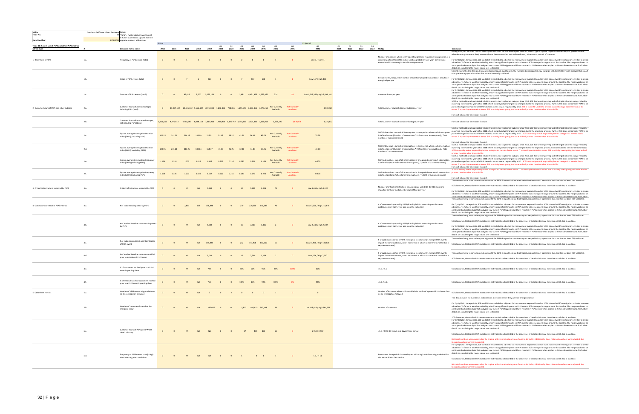time periods. SCE used 2020 recorded data adjusted for improvement expected based on SCE's planned wildfire mitigation activities to creat a baseline. To factor in weather variability, which has significant impacts on PSPS events, SCE developed a range around the baseline. The range was based on<br>an 18 year backcast analysis that analyzed how current PSPS trig details on calculating the range, please see section 8.5 SCE interprets this line item as de‐energized circuit count. Additionally, the numbers being reported may not align with the ESRB‐8 report because that report

operations data that has not been fully validated.

For Q2-Q4 2021 time periods, SCE used 2020 recorded data adjusted for improvement expected based on SCE's planned wildfire mitigation activities to create<br>a baseline. To factor in weathe varialitify, which has ignificant i

details on calculating the range, please see section 8.5<br>a baseline. To factor in weather variability, which has ignisted for improvement expected based on SCE's planed wildfire mitigation activities to create<br>a baseline.

details on calculating the range, please see section 8.5<br>SCE has not traditionally calculated reliability metrics tied to planned outages. Since 2019, SCE has been improving and refining its planned outage reliability reporting, therefore the years after 2018 reflect not only actual changes but changes due to the improved process. Further, SCE does not consider PSPS to be<br>planned outages but has included PSPS metrics in this row as requ

d on time-series forecast.

SCE has not traditionally calculated reliability metrics tied to planned outages subsects of the marry metric m<br>reporting, therefore the years after 2018 reflect not only actual changes but changes due to the improved proc

Forceast is based on time-seris forceast.<br>reporting, therefore the years after 2018 related to planned outages. Since 2019, SCE has been improving and refining its planned outage reliability<br>reporting, therefore the years

provide the data when it is available.<br>SCE has not traditionally calculated reliability metrics tied to planned outages. Since 2019, SCE has been improving and refining its planned outage reliability<br>reporting, therefore t

#### Forecast is based on time-series forecast.<br>SCE is currently unable to provide planned outage data metrics due to recent IT system implementation issues. SCE is actively investigating this issue and will<br>provide the data wh

Forecast is based on time‐series forecast.<br>The numbers being reported may not align with the ESRB‐8 report because that report uses preliminary operations data that has not been fully validated.

hat earlier PSPS events were not tracked and recorded in the same level of detail as it is now, therefore not all data is available.

For Q2-Q4 021 time periods, SCE used 2020 recorded data adjusted for improvement expected based on SCE's planned metaphora and the metaphora and the state of the state of the state of the state of the state of the state of

For Q2-Q4 2021 time periods, SCE used 2020 recorded data adjusted for improvement expected based on SCE's planned wildfire mitigation activities to create<br>a baseline. To factor in weatheliting, which has significant impact details on calculating the range, please see section 8.5 The numbers being reported may not align with the ESRB‐8 report because that report uses preliminary operations data that has not been fully validated.

hat earlier PSPS events were not tracked and recorded in the same level of detail as it is now, therefore not all data is available.

For Q2-Q4 2021 time periods, SCE used 2020 recorded data adjusted for improvement expected based on SCE's planned wildfire mitigation activities to create<br>a baseline. To factor in weathe varialitify, which has ignificant i lating the range, please see section 8.5

eing reported may not align with the ESRB‐8 report because that report uses preliminary operations data that has not been fully validated.

.<br>hat earlier PSPS events were not tracked and recorded in the same level of detail as it is now, therefore not all data is available.

ing reported may not align with the ESRB‐8 report because that report uses preliminary operations data that has not been fully validated.

hat earlier PSPS events were not tracked and recorded in the same level of detail as it is now, therefore not all data is available.

.<br>hat earlier PSPS events were not tracked and recorded in the same level of detail as it is now, therefore not all data is available.

hat earlier PSPS events were not tracked and recorded in the same level of detail as it is now, therefore not all data is available.

that earlier PSPS events were not tracked and recorded in the same level of detail as it is now, therefore not all data is available.

the number of customers on a circuit whether they were de‐energized or not

For Q2-Q4 021 ime periods, SCE used 2020 recorded data adjusted for improvement expected based on SCE's planned<br>a baseline. To factor in weather variability, which has significant impacts on PSPS events, SCE developed a ra

SCE also notes, that earlier P595 events were not tracked and recorded in the same level of detail as it is now, therefore not all data is wailable.<br>For Q2-Q4 2021 time periods, SCE used 2020 recorded data adjusted for imp

hat earlier PSPS events were not tracked and recorded in the same level of detail as it is now, therefore not all data is available.

rs were corrected as the original anlaysis methodology was found to be faulty. Additionally, Since historical numbers were adjusted, the

forecast numbers were re-forecasted.<br>For Q2-Q4 2021 time periods, SCE used 2020 recorded data adjusted for improvement expected based on SCE's planed wildfire mitigation activities to create<br>a baseline. To factor in weathe

.<br>hat earlier PSPS events were not tracked and recorded in the same level of detail as it is now, therefore not all data is available

ers were corrected as the original anlaysis methodology was found to be faulty. Additionally, Since historical numbers were adjusted, the s were re‐forecasted.

| <b>Utility</b><br>Table No.                         | Southern California Edison Company | ntes                                                                     |                |                |              |                          |                                                                                            |                          |                |                |                           |                 |                                                                                                               |                                          |                                |      |      |      |              |                                                                                                                                                                          |                                                                                            |
|-----------------------------------------------------|------------------------------------|--------------------------------------------------------------------------|----------------|----------------|--------------|--------------------------|--------------------------------------------------------------------------------------------|--------------------------|----------------|----------------|---------------------------|-----------------|---------------------------------------------------------------------------------------------------------------|------------------------------------------|--------------------------------|------|------|------|--------------|--------------------------------------------------------------------------------------------------------------------------------------------------------------------------|--------------------------------------------------------------------------------------------|
|                                                     |                                    | PSPS" = Public Safety Power Shutoff<br>future submissions update planned |                |                |              |                          |                                                                                            |                          |                |                |                           |                 |                                                                                                               |                                          |                                |      |      |      |              |                                                                                                                                                                          |                                                                                            |
| <b>Date Modified</b>                                |                                    | 11/1/2021 upgrade numbers with actuals                                   | Actual         |                |              |                          |                                                                                            |                          |                |                |                           |                 |                                                                                                               |                                          | Projected                      |      |      |      |              |                                                                                                                                                                          |                                                                                            |
| Table 11: Recent use of PSPS and other PSPS metrics |                                    |                                                                          |                |                |              |                          |                                                                                            | Q1                       | Q2             | Q3             | Q4                        | Q1              | Q2                                                                                                            | Q3                                       | Q4                             | Q1   | Q2   | Q3   | Q4           |                                                                                                                                                                          |                                                                                            |
| <b>Metric type</b>                                  |                                    | Outcome metric name                                                      | 2015           | 2016           | 2017         | 2018                     | 2019                                                                                       | 2020                     | 2020           | 2020           | 2020                      | 2021            | 2021                                                                                                          | 2021                                     | 2021                           | 2022 | 2022 | 2022 | 2022 Unit(s) |                                                                                                                                                                          | Comments<br>During 2020, SCE initiated 12 PSPS events                                      |
|                                                     |                                    |                                                                          |                |                |              |                          |                                                                                            |                          |                |                |                           |                 |                                                                                                               |                                          |                                |      |      |      |              |                                                                                                                                                                          | when de-energization was likely to occur                                                   |
| 1. Recent use of PSPS                               | 1.a                                | Frequency of PSPS events (total)                                         | $\mathbf{0}$   | $\circ$        | $\mathbf{1}$ | $\overline{\phantom{a}}$ | 7                                                                                          | $\overline{0}$           | $\bullet$      | $\overline{2}$ | 8                         | $\mathbf{1}$    | $\overline{1}$                                                                                                |                                          | Low 3 / High 11                |      |      |      |              | Number of instances where utility operating protocol requires de-energization of a<br>circuit or portion thereof to reduce ignition probability, per year. Only include  | For Q2-Q4 2021 time periods, SCE used 2                                                    |
|                                                     |                                    |                                                                          |                |                |              |                          |                                                                                            |                          |                |                |                           |                 |                                                                                                               |                                          |                                |      |      |      |              | events in which de-energization ultimately occurred                                                                                                                      | a baseline. To factor in weather variabilit                                                |
|                                                     |                                    |                                                                          |                |                |              |                          |                                                                                            |                          |                |                |                           |                 |                                                                                                               |                                          |                                |      |      |      |              |                                                                                                                                                                          | an 18 year backcast analysis that analyze                                                  |
|                                                     |                                    |                                                                          |                |                |              |                          |                                                                                            |                          |                |                |                           |                 |                                                                                                               |                                          |                                |      |      |      |              |                                                                                                                                                                          | details on calculating the range, please se<br>SCE interprets this line item as de-energi: |
|                                                     |                                    |                                                                          |                |                |              |                          |                                                                                            |                          |                |                |                           |                 |                                                                                                               |                                          |                                |      |      |      |              |                                                                                                                                                                          | uses preliminary operations data that has                                                  |
|                                                     | 1.b.                               | Scope of PSPS events (total)                                             | $\circ$        | $\overline{0}$ | 7            | 6                        | 267                                                                                        | $\overline{0}$           | $\bullet$      | 7              | 417                       | 160             | $\overline{1}$                                                                                                |                                          | Low 147 / High 473             |      |      |      |              | Circuit-events, measured in number of events multiplied by number of circuits de-                                                                                        | For Q2-Q4 2021 time periods, SCE used 2                                                    |
|                                                     |                                    |                                                                          |                |                |              |                          |                                                                                            |                          |                |                |                           |                 |                                                                                                               |                                          |                                |      |      |      |              | energized per year                                                                                                                                                       | a baseline. To factor in weather variabilit                                                |
|                                                     |                                    |                                                                          |                |                |              |                          |                                                                                            |                          |                |                |                           |                 |                                                                                                               |                                          |                                |      |      |      |              |                                                                                                                                                                          | an 18 year backcast analysis that analyze<br>details on calculating the range, please se   |
|                                                     |                                    |                                                                          |                |                |              |                          |                                                                                            |                          |                |                |                           |                 |                                                                                                               |                                          |                                |      |      |      |              |                                                                                                                                                                          | For Q2-Q4 2021 time periods, SCE used 2                                                    |
|                                                     | 1.c.                               | Duration of PSPS events (total)                                          | $\circ$        | $\overline{0}$ | 87,019       |                          | 3,570 5,275,193                                                                            | $\overline{\phantom{0}}$ | $\bullet$      |                | 3,981 4,451,955 1,953,962 |                 | 224                                                                                                           | 88                                       | Low 1,213,366 / High 3,893,102 |      |      |      |              | Customer hours per year                                                                                                                                                  | a baseline. To factor in weather variabilit<br>an 18 year backcast analysis that analyze   |
|                                                     |                                    |                                                                          |                |                |              |                          |                                                                                            |                          |                |                |                           |                 |                                                                                                               |                                          |                                |      |      |      |              |                                                                                                                                                                          | details on calculating the range, please se                                                |
|                                                     |                                    |                                                                          |                |                |              |                          |                                                                                            |                          |                |                |                           |                 |                                                                                                               |                                          |                                |      |      |      |              |                                                                                                                                                                          | SCE has not traditionally calculated reliab                                                |
|                                                     |                                    | Customer hours of planned outages                                        |                |                |              |                          |                                                                                            |                          |                |                |                           |                 | <b>Not Currently</b>                                                                                          | <b>Not Currently</b>                     |                                |      |      |      |              |                                                                                                                                                                          | reporting, therefore the years after 2018<br>planned outages but has included PSPS n       |
| 2. Customer hours of PSPS and other outages         | 2.a.                               | including PSPS (total)                                                   | $\circ$        |                |              |                          | 11,067,182 10,406,442 9,556,442 10,918,480 1,236,491 770,811 1,295,679 6,103,855 3,778,268 |                          |                |                |                           |                 | Available                                                                                                     | <b>Available</b>                         | 4,539,429                      |      |      |      |              | Total customer hours of planned outages per year                                                                                                                         | recent IT system implementation issues.                                                    |
|                                                     |                                    |                                                                          |                |                |              |                          |                                                                                            |                          |                |                |                           |                 |                                                                                                               |                                          |                                |      |      |      |              |                                                                                                                                                                          | Forecast is based on time-series forecast                                                  |
|                                                     |                                    |                                                                          |                |                |              |                          |                                                                                            |                          |                |                |                           |                 |                                                                                                               |                                          |                                |      |      |      |              |                                                                                                                                                                          |                                                                                            |
|                                                     | 2.b.                               | Customer hours of unplanned outages,<br>not including PSPS (total)       |                |                |              |                          |                                                                                            |                          |                |                |                           |                 | 8,401,612 9,276,813 7,788,697 6,088,158 7,617,913 1,480,964 1,496,752 2,350,456 2,224,812 1,615,913 1,958,196 | 3,639,476                                | 2,224,812                      |      |      |      |              | Total customer hours of unplanned outages per year                                                                                                                       | Forecast is based on time-series forecast                                                  |
|                                                     |                                    |                                                                          |                |                |              |                          |                                                                                            |                          |                |                |                           |                 |                                                                                                               |                                          |                                |      |      |      |              |                                                                                                                                                                          |                                                                                            |
|                                                     |                                    |                                                                          |                |                |              |                          |                                                                                            |                          |                |                |                           |                 |                                                                                                               |                                          |                                |      |      |      |              |                                                                                                                                                                          | SCE has not traditionally calculated reliab<br>reporting, therefore the years after 2018   |
|                                                     |                                    | System Average Interruption Duration                                     | 100.15         | 241.21         | 214.28       |                          |                                                                                            |                          |                |                | 96.41                     | 63.08           | Not Currently                                                                                                 | <b>Not Currently</b>                     | 78.29                          |      |      |      |              | SAIDI index value = sum of all interruptions in time period where each interruption                                                                                      | planned outages but has included PSPS n                                                    |
|                                                     | 2.c.                               | Index (SAIDI) (including PSPS)                                           |                |                |              |                          | 183.09 215.91                                                                              | 31.46                    | 26.25          | 42.21          |                           |                 | Available                                                                                                     | Available                                |                                |      |      |      |              | is defined as sum(duration of interruption * # of customer interruptions) / Total<br>number of customers served                                                          | recent IT system implementation issues.                                                    |
|                                                     |                                    |                                                                          |                |                |              |                          |                                                                                            |                          |                |                |                           |                 |                                                                                                               |                                          |                                |      |      |      |              |                                                                                                                                                                          | Forecast is based on time-series forecast                                                  |
|                                                     |                                    |                                                                          |                |                |              |                          |                                                                                            |                          |                |                |                           |                 |                                                                                                               |                                          |                                |      |      |      |              | SAIDI index value = sum of all interruptions in time period where each interruption                                                                                      | SCE has not traditionally calculated reliab                                                |
|                                                     | 2.d.                               | System Average Interruption Duration<br>Index (SAIDI) (excluding PSPS)   | 100.15         | 241.21         | 213.25       | 183.04                   | 154.47                                                                                     | 31.46                    | 26.25          | 42.16          | 44.88                     | 39.76           | <b>Not Currently</b><br>Available                                                                             | <b>Not Currently</b>                     | 41.68                          |      |      |      |              | is defined as sum(duration of interruption * # of customer interruptions) / Total                                                                                        | reporting, therefore the years after 2018<br>SCE is currently unable to provide planne     |
|                                                     |                                    |                                                                          |                |                |              |                          |                                                                                            |                          |                |                |                           |                 |                                                                                                               |                                          |                                |      |      |      |              | number of customers served                                                                                                                                               | provide the data when it is available.                                                     |
|                                                     |                                    |                                                                          |                |                |              |                          |                                                                                            |                          |                |                |                           |                 |                                                                                                               |                                          |                                |      |      |      |              |                                                                                                                                                                          | SCE has not traditionally calculated reliab<br>reporting, therefore the years after 2018   |
|                                                     | 2.e.                               | System Average Interruption Frequency                                    | 1.164          | 1.335          | 1.203        | 1.029                    | 1.105                                                                                      | 0.222                    | 0.216          | 0.282          | 0.321                     | 0.293           | <b>Not Currently</b><br>Available                                                                             | <b>Not Currently</b><br><b>Available</b> | 0.279                          |      |      |      |              | SAIFI index value = sum of all interruptions in time period where each interruption<br>is defined as (total # of customer interruptions) / (total # of customers served) | planned outages but has included PSPS n                                                    |
|                                                     |                                    | Index (SAIFI) (including PSPS)                                           |                |                |              |                          |                                                                                            |                          |                |                |                           |                 |                                                                                                               |                                          |                                |      |      |      |              |                                                                                                                                                                          | recent IT system implementation issues.                                                    |
|                                                     |                                    |                                                                          |                |                |              |                          |                                                                                            |                          |                |                |                           |                 |                                                                                                               |                                          |                                |      |      |      |              |                                                                                                                                                                          | Forecast is based on time-series forecast<br>SCE is currently unable to provide planne     |
|                                                     | 2.f.                               | System Average Interruption Frequency                                    | 1.164          | 1.335          | 1.203        | 1.029                    | 1.067                                                                                      | 0.222                    | 0.216          | 0.281          | 0.279                     | 0.270           | Not Currently                                                                                                 | <b>Not Currently</b>                     | 0.278                          |      |      |      |              | SAIFI index value = sum of all interruptions in time period where each interruption provide the data when it is available.                                               |                                                                                            |
|                                                     |                                    | Index (SAIFI) (excluding PSPS)                                           |                |                |              |                          |                                                                                            |                          |                |                |                           |                 | Available                                                                                                     | Available                                |                                |      |      |      |              | is defined as (total # of customer interruptions) / (total # of customers served)                                                                                        | Forecast is based on time-series forecast                                                  |
|                                                     |                                    |                                                                          |                |                |              |                          |                                                                                            |                          |                |                |                           |                 |                                                                                                               |                                          |                                |      |      |      |              |                                                                                                                                                                          | The numbers being reported may not alig                                                    |
|                                                     |                                    |                                                                          |                |                |              |                          |                                                                                            |                          |                |                |                           |                 |                                                                                                               |                                          |                                |      |      |      |              |                                                                                                                                                                          | SCE also notes, that earlier PSPS events v                                                 |
| 3. Critical infrastructure impacted by PSPS         | 3.a.                               | Critical infrastructure impacted by PSPS                                 | $\mathbf{0}$   | $\mathbf{0}$   | <b>NA</b>    | <b>NA</b>                | 5,868                                                                                      | $\overline{0}$           | $\overline{0}$ | 12             | 5,123                     | 2,066           | 78                                                                                                            |                                          | Low 1,658 / High 5,320         |      |      |      |              | Number of critical infrastructure (in accordance with D.19-05-042) locations<br>impacted per hour multiplied by hours offline per year                                   |                                                                                            |
|                                                     |                                    |                                                                          |                |                |              |                          |                                                                                            |                          |                |                |                           |                 |                                                                                                               |                                          |                                |      |      |      |              |                                                                                                                                                                          | For Q2-Q4 2021 time periods, SCE used 2<br>a baseline. To factor in weather variabilit     |
|                                                     |                                    |                                                                          |                |                |              |                          |                                                                                            |                          |                |                |                           |                 |                                                                                                               |                                          |                                |      |      |      |              |                                                                                                                                                                          | an 18 year backcast analysis that analyze                                                  |
|                                                     |                                    |                                                                          |                |                |              |                          |                                                                                            |                          |                |                |                           |                 |                                                                                                               |                                          |                                |      |      |      |              |                                                                                                                                                                          | The numbers being reported may not alig                                                    |
| 4. Community outreach of PSPS metrics               | 4.a.                               | # of customers impacted by PSPS                                          | $\circ$        | $\mathbf{0}$   | 2,861        | 112                      | 198,826                                                                                    | $\overline{0}$           | $\overline{0}$ | 270            |                           | 229,530 116,349 | 78                                                                                                            |                                          | Low 67,220 / High 215,678      |      |      |      |              | # of customers impacted by PSPS (if multiple PSPS events impact the same                                                                                                 | For Q2-Q4 2021 time periods, SCE used 2                                                    |
|                                                     |                                    |                                                                          |                |                |              |                          |                                                                                            |                          |                |                |                           |                 |                                                                                                               |                                          |                                |      |      |      |              | customer, count each event as a separate customer)                                                                                                                       | a baseline. To factor in weather variabilit<br>an 18 year backcast analysis that analyze   |
|                                                     |                                    |                                                                          |                |                |              |                          |                                                                                            |                          |                |                |                           |                 |                                                                                                               |                                          |                                |      |      |      |              |                                                                                                                                                                          | details on calculating the range, please se                                                |
|                                                     |                                    |                                                                          |                |                |              |                          |                                                                                            |                          |                |                |                           |                 |                                                                                                               |                                          |                                |      |      |      |              |                                                                                                                                                                          | The numbers being reported may not alig                                                    |
|                                                     |                                    |                                                                          |                |                |              |                          |                                                                                            |                          |                |                |                           |                 |                                                                                                               |                                          |                                |      |      |      |              |                                                                                                                                                                          | SCE also notes, that earlier PSPS events v                                                 |
|                                                     | 4.b.                               | # of medical baseline customers impacted<br>by PSPS                      | $\Omega$       |                | <b>NA</b>    | <b>NA</b>                | 4.043                                                                                      | $\overline{0}$           | $\overline{0}$ | 11             | 7,725                     | 3,415           | $\overline{2}$                                                                                                |                                          | Low 2,443 / High 7,837         |      |      |      |              | # of customers impacted by PSPS (if multiple PSPS events impact the same<br>customer, count each event as a separate customer)                                           | For Q2-Q4 2021 time periods, SCE used 2                                                    |
|                                                     |                                    |                                                                          |                |                |              |                          |                                                                                            |                          |                |                |                           |                 |                                                                                                               |                                          |                                |      |      |      |              |                                                                                                                                                                          | a baseline. To factor in weather variabilit                                                |
|                                                     |                                    |                                                                          |                |                |              |                          |                                                                                            |                          |                |                |                           |                 |                                                                                                               |                                          |                                |      |      |      |              |                                                                                                                                                                          | an 18 year backcast analysis that analyze                                                  |
|                                                     |                                    |                                                                          |                |                |              |                          |                                                                                            |                          |                |                |                           |                 |                                                                                                               |                                          |                                |      |      |      |              |                                                                                                                                                                          | details on calculating the range, please se                                                |
|                                                     |                                    | # of customers notified prior to initiation                              |                |                |              |                          |                                                                                            |                          |                |                |                           |                 |                                                                                                               |                                          |                                |      |      |      |              | # of customers notified of PSPS event prior to initiation (if multiple PSPS events                                                                                       | The numbers being reported may not alig                                                    |
|                                                     | 4.c.                               | of PSPS event                                                            | $\Omega$       | $\mathbf{0}$   | <b>NA</b>    | <b>NA</b>                | 155,824                                                                                    | $\overline{0}$           | $\overline{0}$ | 232            |                           | 143,908 110,217 | 66                                                                                                            |                                          | Low 41,960 / High 134,628      |      |      |      |              | impact the same customer, count each event in which customer was notified as a<br>separate customer)                                                                     | SCE also notes, that earlier PSPS events v                                                 |
|                                                     |                                    |                                                                          |                |                |              |                          |                                                                                            |                          |                |                |                           |                 |                                                                                                               |                                          |                                |      |      |      |              |                                                                                                                                                                          |                                                                                            |
|                                                     |                                    | # of medical baseline customers notified                                 |                |                |              |                          |                                                                                            |                          |                |                |                           |                 |                                                                                                               |                                          |                                |      |      |      |              | # of customers notified of PSPS event prior to initiation (if multiple PSPS events                                                                                       | The numbers being reported may not alig                                                    |
|                                                     | 4.d.                               | prior to initiation of PSPS event                                        | $\Omega$       | $\Omega$       | <b>NA</b>    | <b>NA</b>                | 3,044                                                                                      | $\overline{0}$           | $\overline{0}$ | 15             | 7,531                     | 3,138           | $\overline{2}$                                                                                                | $\Omega$                                 | Low , 296 / High 7, 367        |      |      |      |              | impact the same customer, count each event in which customer was notified as a<br>separate customer)                                                                     | SCE also notes, that earlier PSPS events v                                                 |
|                                                     |                                    |                                                                          |                |                |              |                          |                                                                                            |                          |                |                |                           |                 |                                                                                                               |                                          |                                |      |      |      |              |                                                                                                                                                                          |                                                                                            |
|                                                     |                                    |                                                                          |                |                |              |                          |                                                                                            |                          |                |                |                           |                 |                                                                                                               |                                          |                                |      |      |      |              |                                                                                                                                                                          |                                                                                            |
|                                                     | 4.e.                               | % of customers notified prior to a PSPS<br>event impacting them          | $\circ$        | $\overline{0}$ | <b>NA</b>    | <b>NA</b>                | 78%                                                                                        | $\Omega$                 | $\overline{0}$ | 85%            | 62%                       | 95%             | 85%                                                                                                           | 100%                                     | 62%                            |      |      |      |              | $=4.c. / 4.a.$                                                                                                                                                           | SCE also notes, that earlier PSPS events v                                                 |
|                                                     |                                    |                                                                          |                |                |              |                          |                                                                                            |                          |                |                |                           |                 |                                                                                                               |                                          |                                |      |      |      |              |                                                                                                                                                                          |                                                                                            |
|                                                     |                                    |                                                                          |                |                |              |                          |                                                                                            |                          |                |                |                           |                 |                                                                                                               |                                          |                                |      |      |      |              |                                                                                                                                                                          |                                                                                            |
|                                                     | 4.f.                               | % of medical baseline customers notified                                 |                | $\overline{0}$ | <b>NA</b>    | <b>NA</b>                | 75%                                                                                        | $\overline{0}$           | $\overline{0}$ | 100%           | 88%                       | 92%             | 100%                                                                                                          | 0%                                       | 94%                            |      |      |      |              | $=4.d. / 4.b.$                                                                                                                                                           | SCE also notes, that earlier PSPS events v                                                 |
|                                                     |                                    | prior to a PSPS event impacting them                                     |                |                |              |                          |                                                                                            |                          |                |                |                           |                 |                                                                                                               |                                          |                                |      |      |      |              |                                                                                                                                                                          |                                                                                            |
|                                                     |                                    |                                                                          |                |                |              |                          |                                                                                            |                          |                |                |                           |                 |                                                                                                               |                                          |                                |      |      |      |              |                                                                                                                                                                          |                                                                                            |
| 5. Other PSPS metrics                               | 5.a.                               | Number of PSPS events triggered where<br>no de-energization occurred     | $\Omega$       | $\Omega$       | <b>NA</b>    | <b>NA</b>                | $\overline{7}$                                                                             | $\overline{0}$           | $\overline{2}$ | $\circ$        | $\Omega$                  | $\mathbf{0}$    | $\overline{1}$                                                                                                |                                          | $\overline{0}$                 |      |      |      |              | Number of instances where utility notified the public of a potential PSPS event but<br>no de-energization followed                                                       | SCE also notes, that earlier PSPS events v                                                 |
|                                                     |                                    |                                                                          |                |                |              |                          |                                                                                            |                          |                |                |                           |                 |                                                                                                               |                                          |                                |      |      |      |              |                                                                                                                                                                          | This data includes the number of custom                                                    |
|                                                     |                                    |                                                                          |                |                |              |                          |                                                                                            |                          |                |                |                           |                 |                                                                                                               |                                          |                                |      |      |      |              |                                                                                                                                                                          |                                                                                            |
|                                                     |                                    | Number of customers located on de-                                       |                |                |              |                          |                                                                                            |                          |                |                |                           |                 |                                                                                                               |                                          |                                |      |      |      |              |                                                                                                                                                                          | For Q2-Q4 2021 time periods, SCE used 2<br>a baseline. To factor in weather variabilit     |
|                                                     | 5.b.                               | energized circuit                                                        | $\Omega$       | $\Omega$       | <b>NA</b>    | <b>NA</b>                | 237.666                                                                                    | $\sqrt{2}$               | $\Omega$       |                | 5,820 407,853 597,448     |                 | 78                                                                                                            |                                          | Low 118,918 / High 381,552     |      |      |      |              | Number of customers                                                                                                                                                      | an 18 year backcast analysis that analyze                                                  |
|                                                     |                                    |                                                                          |                |                |              |                          |                                                                                            |                          |                |                |                           |                 |                                                                                                               |                                          |                                |      |      |      |              |                                                                                                                                                                          | details on calculating the range, please se                                                |
|                                                     |                                    |                                                                          |                |                |              |                          |                                                                                            |                          |                |                |                           |                 |                                                                                                               |                                          |                                |      |      |      |              |                                                                                                                                                                          | SCE also notes, that earlier PSPS events v                                                 |
|                                                     |                                    |                                                                          |                |                |              |                          |                                                                                            |                          |                |                |                           |                 |                                                                                                               |                                          |                                |      |      |      |              |                                                                                                                                                                          | For Q2-Q4 2021 time periods, SCE used 2<br>a baseline. To factor in weather variabilit     |
|                                                     |                                    |                                                                          |                |                |              |                          |                                                                                            |                          |                |                |                           |                 |                                                                                                               |                                          |                                |      |      |      |              |                                                                                                                                                                          | an 18 year backcast analysis that analyze                                                  |
|                                                     |                                    | Customer hours of PSPS per RFW OH                                        |                |                |              |                          |                                                                                            |                          |                |                |                           |                 |                                                                                                               |                                          |                                |      |      |      |              |                                                                                                                                                                          | details on calculating the range, please se                                                |
|                                                     | 5.c.                               | circuit mile day                                                         | $\circ$        | $\overline{0}$ | <b>NA</b>    | <b>NA</b>                | <b>NA</b>                                                                                  | $\overline{0}$           | $\overline{0}$ | 17             |                           | 434 875         | 11                                                                                                            |                                          | L 158 / H 507                  |      |      |      |              | =1.c. / RFW OH circuit mile days in time period                                                                                                                          | SCE also notes, that earlier PSPS events v                                                 |
|                                                     |                                    |                                                                          |                |                |              |                          |                                                                                            |                          |                |                |                           |                 |                                                                                                               |                                          |                                |      |      |      |              |                                                                                                                                                                          |                                                                                            |
|                                                     |                                    |                                                                          |                |                |              |                          |                                                                                            |                          |                |                |                           |                 |                                                                                                               |                                          |                                |      |      |      |              |                                                                                                                                                                          | Historical numbers were corrected as the<br>forecast numbers were re-forecasted.           |
|                                                     |                                    |                                                                          |                |                |              |                          |                                                                                            |                          |                |                |                           |                 |                                                                                                               |                                          |                                |      |      |      |              |                                                                                                                                                                          | For Q2-Q4 2021 time periods, SCE used 2                                                    |
|                                                     |                                    |                                                                          |                |                |              |                          |                                                                                            |                          |                |                |                           |                 |                                                                                                               |                                          |                                |      |      |      |              |                                                                                                                                                                          | a baseline. To factor in weather variabilit<br>an 18 year backcast analysis that analyze   |
|                                                     |                                    | Frequency of PSPS events (total) - High                                  |                |                |              |                          |                                                                                            |                          |                |                |                           |                 |                                                                                                               |                                          |                                |      |      |      |              | Events over time period that overlapped with a High Wind Warning as defined by                                                                                           | details on calculating the range, please se                                                |
|                                                     | 5.d.                               | Wind Warning wind conditions                                             | $\overline{0}$ | $\overline{0}$ | <b>NA</b>    | <b>NA</b>                | <b>NA</b>                                                                                  | $\overline{\phantom{0}}$ | $\sim$ 0       | $\sim$ 1       |                           | 8 1             | $\sim$ 1                                                                                                      | $\bullet$                                | L3/H11                         |      |      |      |              | the National Weather Service                                                                                                                                             | SCE also notes, that earlier PSPS events v                                                 |
|                                                     |                                    |                                                                          |                |                |              |                          |                                                                                            |                          |                |                |                           |                 |                                                                                                               |                                          |                                |      |      |      |              |                                                                                                                                                                          |                                                                                            |
|                                                     |                                    |                                                                          |                |                |              |                          |                                                                                            |                          |                |                |                           |                 |                                                                                                               |                                          |                                |      |      |      |              |                                                                                                                                                                          | Historical numbers were corrected as the<br>forecast numbers were re-forecasted.           |
|                                                     |                                    |                                                                          |                |                |              |                          |                                                                                            |                          |                |                |                           |                 |                                                                                                               |                                          |                                |      |      |      |              |                                                                                                                                                                          |                                                                                            |

During 2020, SCE initiated 12 PSPS events (2 of which SCE did not de-energize, Table 11, Metric Type 5.a.) with 16 periods of concern, i.e., periods of time<br>when de-energization was likely to occur due to forecast weather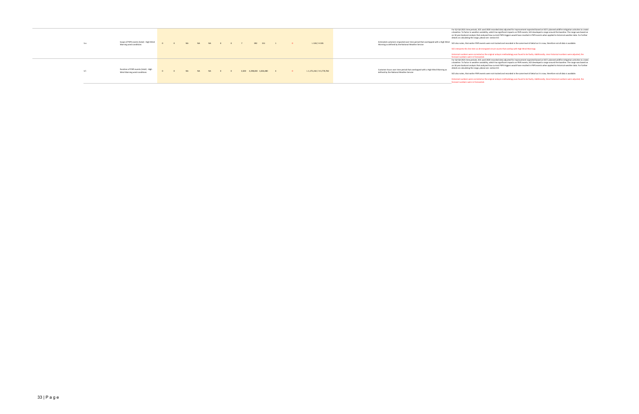|      |                                                                        |                |                          |           |           |           |                |                          |                |                             |                             |                 |                           |                                                                                                                                      | For Q2-Q4 2021 tin<br>a baseline. To facto<br>an 18 year backcas<br>details on calculati |
|------|------------------------------------------------------------------------|----------------|--------------------------|-----------|-----------|-----------|----------------|--------------------------|----------------|-----------------------------|-----------------------------|-----------------|---------------------------|--------------------------------------------------------------------------------------------------------------------------------------|------------------------------------------------------------------------------------------|
| 5.e. | Scope of PSPS events (total) - High Wind<br>Warning wind conditions    | $\overline{0}$ | $\Omega$                 | <b>NA</b> | <b>NA</b> | <b>NA</b> | $\sqrt{2}$     | $\Omega$                 | $\overline{7}$ | 392 151                     | $\sim$ $\sim$ $\sim$ $\sim$ | $\sim$ 0        | L 104 / H 335             | Estimated customers impacted over time period that overlapped with a High Wind<br>Warning as defined by the National Weather Service | SCE also notes, tha                                                                      |
|      |                                                                        |                |                          |           |           |           |                |                          |                |                             |                             |                 |                           |                                                                                                                                      | SCE interprets this                                                                      |
|      |                                                                        |                |                          |           |           |           |                |                          |                |                             |                             |                 |                           |                                                                                                                                      | <b>Historical numbers</b><br>forecast numbers v                                          |
|      |                                                                        |                |                          |           |           |           |                |                          |                |                             |                             |                 |                           |                                                                                                                                      | For Q2-Q4 2021 tin<br>a baseline. To facto                                               |
|      |                                                                        |                |                          |           |           |           |                |                          |                |                             |                             |                 |                           |                                                                                                                                      | an 18 year backcas<br>details on calculati                                               |
| 5.f. | Duration of PSPS events (total) - High<br>Wind Warning wind conditions | $\overline{0}$ | $\overline{\phantom{0}}$ | <b>NA</b> | <b>NA</b> | <b>NA</b> | $\overline{0}$ | $\overline{\phantom{0}}$ |                | 3,500 4,298,692 1,826,480 4 |                             | $\sim$ 0 $\sim$ | L 1,175,242 / H 3,770,782 | Customer hours over time period that overlapped with a High Wind Warning as<br>defined by the National Weather Service               | SCE also notes, tha                                                                      |
|      |                                                                        |                |                          |           |           |           |                |                          |                |                             |                             |                 |                           |                                                                                                                                      | <b>Historical numbers</b><br>forecast numbers v                                          |
|      |                                                                        |                |                          |           |           |           |                |                          |                |                             |                             |                 |                           |                                                                                                                                      |                                                                                          |

Historical numbers were corrected as the original anlaysis methodology was found to be faulty. Additionally, Since historical numbers were adjusted, the forecast numbers were re‐forecasted.

For Q2-Q4 0221 time periods, SCE used 2020 recorded data adjusted for improvement expected based on SCE's planed<br>a baseline. To factor in weather variability, which has significant impacts on PSPS events, SCE developed a r

at earlier PSPS events were not tracked and recorded in the same level of detail as it is now, therefore not all data is available.

his line item as de‐energized circuit counts that overlap with High Wind Warnings.

.<br>In were corrected as the original anlaysis methodology was found to be faulty. Additionally, since historical numbers were adjusted, the street in the street of the street in the street of the street in the street of the

forecast numbers were re-forecasted.<br>For Q2-Q4 2021 time periods, SCE used 2020 recorded data adjusted for improvement expected based on SCE's planed wildfire mitigation activities to create<br>a baseline. To factor in weathe

at earlier PSPS events were not tracked and recorded in the same level of detail as it is now, therefore not all data is available.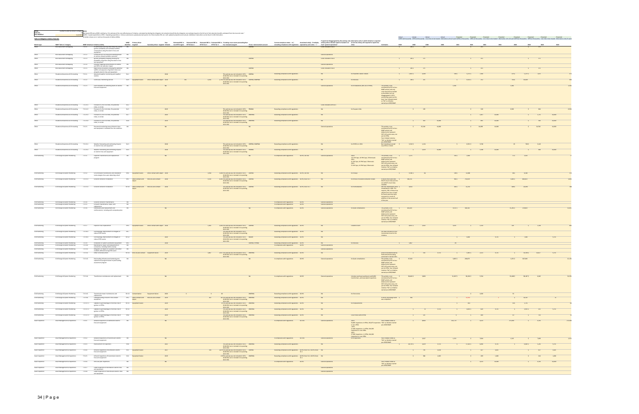| Utility<br>Table No.<br>Date Modified      |                                                                  |                        |                                                                                                                                     |                     |                                                         |                                                                                                                   |                                                                                                                     |                                                                                              |           |                                              |                                                                                                                                                                                                                                   |                                                                                              |              |       |        |                         |                |           |                                                                                                                                                                                                                                                                                                                                                       |                         |                  |                |        |                |
|--------------------------------------------|------------------------------------------------------------------|------------------------|-------------------------------------------------------------------------------------------------------------------------------------|---------------------|---------------------------------------------------------|-------------------------------------------------------------------------------------------------------------------|---------------------------------------------------------------------------------------------------------------------|----------------------------------------------------------------------------------------------|-----------|----------------------------------------------|-----------------------------------------------------------------------------------------------------------------------------------------------------------------------------------------------------------------------------------|----------------------------------------------------------------------------------------------|--------------|-------|--------|-------------------------|----------------|-----------|-------------------------------------------------------------------------------------------------------------------------------------------------------------------------------------------------------------------------------------------------------------------------------------------------------------------------------------------------------|-------------------------|------------------|----------------|--------|----------------|
|                                            |                                                                  |                        | All dollars shown are in nominal, thousands of dollars (000s).                                                                      |                     |                                                         |                                                                                                                   |                                                                                                                     |                                                                                              |           |                                              |                                                                                                                                                                                                                                   |                                                                                              |              |       |        |                         |                |           | Actual Actual Actual Actual Projected Projected Projected Projected Projected Projected Projected Projected Pro<br>CAPEX (\$ thousands) OPEX (\$ thousands) Line miles to be treated Alternative units (if used CAPEX (\$ thousands) OPEX (\$ thousands) Line miles to be treated Alternative units (if used) Line miles to be treated Alternative un |                         |                  |                |        |                |
| Table 12: Mitigation initiative financials |                                                                  |                        |                                                                                                                                     |                     | WMP Primary driver                                      | Year Estimated RSE in Estimated RSE in Estimated RSE in Estimated RSE in If existing: most recent proceeding that |                                                                                                                     |                                                                                              |           |                                              | If spend not disaggregated by this activity, note Alternative units in which initiative is reporten<br>Current complance status - In / Associated rule(s) - if multiple, activity where relevant spend is tracked in or (if not l |                                                                                              |              |       |        |                         |                |           |                                                                                                                                                                                                                                                                                                                                                       |                         |                  |                |        |                |
| Metric type                                | WMP Table # / Category<br>Risk Assessment & Mapping              | 7.3.1.1.               | WMP Initiative # Initative activity<br>A summarized risk map that shows the overal<br>ignition probability and estimated wildfire   | Identifier targeted |                                                         | Secondary driver targeted initiated non-HFTD region HFTD Zone 1 HFTD Tier 2 HFTD Tier 3 has reviewed program      | If new: memorandum accou-                                                                                           | exceeding compliance with regulations separate by semi-colon - ";" mark "general operations" |           | Costs included in SA-4                       | miles                                                                                                                                                                                                                             | 2020                                                                                         | 2020<br>2655 | 2020  | 2020   | 2021                    | 2021           | 2021      | 2021                                                                                                                                                                                                                                                                                                                                                  | 2022                    | 2022             | 2022           | 2022   |                |
|                                            |                                                                  |                        | consequence along the electric lines and<br>equipment                                                                               |                     |                                                         |                                                                                                                   |                                                                                                                     |                                                                                              |           |                                              |                                                                                                                                                                                                                                   |                                                                                              |              |       |        |                         |                |           |                                                                                                                                                                                                                                                                                                                                                       |                         |                  |                |        |                |
|                                            | Risk Assessment & Mapping<br>Risk Assessment & Mapping           | 7.3.1.2.<br>7.3.1.3.   | Climate-driven risk map and modelling based NA<br>on various relevant weather scenarios<br>Ignition probability mapping showing the |                     |                                                         |                                                                                                                   |                                                                                                                     |                                                                                              |           | General operations<br>Costs included in SA-4 |                                                                                                                                                                                                                                   |                                                                                              | 2655         | 175   |        |                         |                | $5$ $315$ |                                                                                                                                                                                                                                                                                                                                                       |                         |                  | $\sqrt{5}$ 175 |        |                |
|                                            | Risk Assessment & Mapping                                        | 7.3.1.4                | probability of ignition along the electric lines<br>and equipment                                                                   |                     |                                                         |                                                                                                                   |                                                                                                                     |                                                                                              |           | General operations                           |                                                                                                                                                                                                                                   |                                                                                              |              |       |        |                         |                |           |                                                                                                                                                                                                                                                                                                                                                       |                         |                  |                |        |                |
|                                            | Risk Assessment & Mapping                                        | 7.3.1.5                | Initiative mapping and estimation of wildfire MA<br>and PSPS risk-reduction impact<br>Match drop simulations showing the potential  |                     |                                                         |                                                                                                                   | <b>GSRPBA</b>                                                                                                       |                                                                                              |           | Costs included in SA-4                       |                                                                                                                                                                                                                                   |                                                                                              | 2655         | 175   |        |                         |                | 315       |                                                                                                                                                                                                                                                                                                                                                       |                         |                  | 175            |        |                |
|                                            | Situational Awareness & Forecasting                              | 7.3.2.1                | wildfire consequence of ignitions that occur<br>along the electric lines and equipment<br>Advanced weather monitoring and weather   | $SA-1$              | 2018                                                    |                                                                                                                   | This activity was not included in SCE's GSRPBA                                                                      | <b>Exceeding compliance with regulations</b>                                                 | NA        |                                              | # of weather station installs                                                                                                                                                                                                     |                                                                                              |              | 4,30  |        | 593\$                   | 5,2735         |           |                                                                                                                                                                                                                                                                                                                                                       | 4755                    | 5,2735           | 7,871          |        |                |
|                                            |                                                                  |                        | stations                                                                                                                            |                     |                                                         |                                                                                                                   | 2018 GRC, but is included in its pending<br>2021 GRC.                                                               |                                                                                              |           |                                              |                                                                                                                                                                                                                                   |                                                                                              |              |       |        |                         |                |           |                                                                                                                                                                                                                                                                                                                                                       |                         |                  |                |        |                |
|                                            | Situational Awareness & Forecasting                              | 7.3.2.2.               | Continuous monitoring sensors                                                                                                       |                     | SA-9 Equipment failure Other contact with object 2018   | 4.456                                                                                                             | 2.756 This activity was not included in SCE's GSRPBA: WMPM<br>2018 GRC, but is included in its pending<br>2021 GRC. | <b>Exceeding compliance with regulations</b>                                                 | NA.       |                                              | # of devices                                                                                                                                                                                                                      |                                                                                              | 2605         |       |        |                         | 9.554 S        |           |                                                                                                                                                                                                                                                                                                                                                       |                         |                  |                |        |                |
|                                            | Situational Awareness & Forecasting 7.3.2.3.                     |                        | Fault indicators for detecting faults on electric<br>lines and equipment                                                            |                     |                                                         |                                                                                                                   |                                                                                                                     |                                                                                              |           | General operations                           | # of installations (395 are in HFRA)                                                                                                                                                                                              | This activity is not<br>considered by SCE to be a<br>WMP activity and only                   |              |       |        |                         |                |           |                                                                                                                                                                                                                                                                                                                                                       |                         |                  |                |        |                |
|                                            |                                                                  |                        |                                                                                                                                     |                     |                                                         |                                                                                                                   |                                                                                                                     |                                                                                              |           |                                              |                                                                                                                                                                                                                                   | units have been provided<br>as the dollars are not<br>disaggregated in SCE's                 |              |       |        |                         |                |           |                                                                                                                                                                                                                                                                                                                                                       |                         |                  |                |        |                |
|                                            |                                                                  |                        |                                                                                                                                     |                     |                                                         |                                                                                                                   |                                                                                                                     |                                                                                              |           |                                              |                                                                                                                                                                                                                                   | accounting system at this<br>level. Year initiated noted                                     |              |       |        |                         |                |           |                                                                                                                                                                                                                                                                                                                                                       |                         |                  |                |        |                |
|                                            | Situational Awareness & Forecasting 7.3.2.4.1                    |                        | Forecast of a fire risk index, fire potential                                                                                       | $SA-2$              |                                                         |                                                                                                                   |                                                                                                                     |                                                                                              |           | Costs included with SA-3                     |                                                                                                                                                                                                                                   | as "NA" as initiative<br>started pre-GSRP/WMP.                                               |              |       |        |                         |                |           |                                                                                                                                                                                                                                                                                                                                                       |                         |                  |                |        |                |
|                                            | Situational Awareness & Forecasting                              | 7.3.2.4.2              | index, or similar<br>Forecast of a fire risk index, fire potential                                                                  | $SA-5$              | 2019                                                    |                                                                                                                   | This activity was not included in SCE's FRMMA                                                                       | Exceeding compliance with regulations                                                        | NA.       |                                              | # of square miles                                                                                                                                                                                                                 |                                                                                              | S            |       |        |                         |                |           |                                                                                                                                                                                                                                                                                                                                                       | 6.500                   |                  |                |        |                |
|                                            | Situational Awareness & Forecasting 7.3.2.4.3                    |                        | index, or similar<br>Forecast of a fire risk index, fire potential                                                                  | $SA-7$              |                                                         |                                                                                                                   | 2018 GRC, but is included in its pending<br>2021 GRC.<br>This activity was not included in SCE's WMPMA              | <b>Exceeding compliance with regulations</b>                                                 |           |                                              |                                                                                                                                                                                                                                   |                                                                                              |              |       |        |                         |                |           |                                                                                                                                                                                                                                                                                                                                                       |                         |                  |                |        |                |
|                                            | Situational Awareness & Forecasting 7.3.2.4.4                    |                        | index, or similar<br>Forecast of a fire risk index, fire potential                                                                  | $SA-8$              |                                                         |                                                                                                                   | 2018 GRC, but is included in its pending<br>2021 GRC.<br>This activity was not included in SCE's WMPMA              | Exceeding compliance with regulations                                                        |           |                                              |                                                                                                                                                                                                                                   |                                                                                              |              |       | 14,000 |                         |                |           |                                                                                                                                                                                                                                                                                                                                                       |                         |                  |                |        |                |
|                                            |                                                                  |                        | index, or similar                                                                                                                   |                     |                                                         |                                                                                                                   | 2018 GRC, but is included in its pending<br>2021 GRC.                                                               |                                                                                              |           |                                              |                                                                                                                                                                                                                                   |                                                                                              |              |       |        |                         |                |           |                                                                                                                                                                                                                                                                                                                                                       |                         |                  |                |        |                |
|                                            | Situational Awareness & Forecasting 7.3.2.5.                     |                        | Personnel monitoring areas of electric lines<br>and equipment in elevated fire risk conditions                                      |                     |                                                         |                                                                                                                   |                                                                                                                     |                                                                                              |           | General operations                           |                                                                                                                                                                                                                                   | This activity is not<br>considered by SCE to be a<br>WMP activity and                        |              | 25,21 |        |                         |                |           |                                                                                                                                                                                                                                                                                                                                                       |                         |                  |                |        |                |
|                                            |                                                                  |                        |                                                                                                                                     |                     |                                                         |                                                                                                                   |                                                                                                                     |                                                                                              |           |                                              |                                                                                                                                                                                                                                   | dollars/units represent<br>SCE's full service area, not                                      |              |       |        |                         |                |           |                                                                                                                                                                                                                                                                                                                                                       |                         |                  |                |        |                |
|                                            |                                                                  |                        |                                                                                                                                     |                     |                                                         |                                                                                                                   |                                                                                                                     |                                                                                              |           |                                              |                                                                                                                                                                                                                                   | just its HFRA.<br>Year initiated noted as<br>"NA" as initiative started                      |              |       |        |                         |                |           |                                                                                                                                                                                                                                                                                                                                                       |                         |                  |                |        |                |
| Othe                                       | Situational Awareness & Forecasting 7.3.2.6.1                    |                        | Weather forecasting and estimating impacts SA-3<br>on electric lines and equipment                                                  |                     | 2018                                                    |                                                                                                                   | This activity was not included in SCE's GSRPBA; WMPMA<br>2018 GRC, but is included in its pending                   | Exceeding compliance with regulations                                                        |           |                                              | # of HPCCs in 2021                                                                                                                                                                                                                | pre-GSRP/WMP.<br>Not intending to install S<br>new HPCCs in 2022                             | 3,310 \$     | 1,134 |        |                         | 6,5525         | 3.728     |                                                                                                                                                                                                                                                                                                                                                       |                         |                  |                |        |                |
|                                            | Situational Awareness & Forecasting                              | 7.3.2.6.2              | Weather forecasting and estimating impacts $SA-4$                                                                                   |                     | 2018                                                    |                                                                                                                   | 2021 GRC.<br>This activity was not included in SCE's FRMMA                                                          | xceeding compliance with regulations                                                         |           |                                              |                                                                                                                                                                                                                                   |                                                                                              |              | 1,029 | 14,000 |                         |                |           |                                                                                                                                                                                                                                                                                                                                                       |                         |                  |                |        |                |
| Grid hardening                             | Grid Design & System Hardening                                   | 7.3.3.1                | on electric lines and equipment<br>Capacitor maintenance and replacement                                                            |                     |                                                         |                                                                                                                   | 2018 GRC, but is included in its pending<br>2021 GRC. 2021 01:00:00<br>NA                                           | In compliance with regulations<br>GO 95; GO 165                                              |           | General operation                            |                                                                                                                                                                                                                                   | This activity is not                                                                         | 5,275        |       |        |                         |                |           |                                                                                                                                                                                                                                                                                                                                                       |                         |                  |                |        |                |
|                                            |                                                                  |                        | program                                                                                                                             |                     |                                                         |                                                                                                                   |                                                                                                                     |                                                                                              |           |                                              | 112 OH Caps; 10 PM Caps; 23 Removals                                                                                                                                                                                              | considered by SCE to be a<br>WMP activity and                                                |              |       |        |                         |                |           |                                                                                                                                                                                                                                                                                                                                                       |                         |                  |                |        |                |
|                                            |                                                                  |                        |                                                                                                                                     |                     |                                                         |                                                                                                                   |                                                                                                                     |                                                                                              |           |                                              | 41 OH Caps; 10 PM Caps; 6 Removals<br>55 OH Caps; 14 PM Caps; 8 Removals                                                                                                                                                          | dollars/units represent<br>SCE's full service area, not<br>just its HFRA. Year initiated     |              |       |        |                         |                |           |                                                                                                                                                                                                                                                                                                                                                       |                         |                  |                |        |                |
|                                            |                                                                  |                        |                                                                                                                                     |                     |                                                         |                                                                                                                   |                                                                                                                     |                                                                                              |           |                                              |                                                                                                                                                                                                                                   | noted as "NA" as initiative<br>started pre-GSRP/WMP.                                         |              |       |        |                         |                |           |                                                                                                                                                                                                                                                                                                                                                       |                         |                  |                |        |                |
| Grid hardening                             | Grid Design & System Hardening                                   | 7.3.3.2.               | Circuit breaker maintenance and installation<br>to de-energize lines upon detecting a fault                                         |                     | SH-6 Equipment failure Other contact with object 2018   | 1.958                                                                                                             | 3.308 This activity was not included in SCE's GSRPBA<br>2018 GRC, but is included in its pending                    | Exceeding compliance with regulations GO 95; GO 165                                          |           |                                              | # of relays                                                                                                                                                                                                                       |                                                                                              | 9,786 \$     |       |        | 1095                    | 12.898         |           |                                                                                                                                                                                                                                                                                                                                                       | 86 S                    | 8.583            |                |        |                |
| Grid hardening                             | Grid Design & System Hardening                                   | 7.3.3.3.1              | Covered conductor installation                                                                                                      |                     | SH-1 Other contact with Wire-to-wire contact 2018       | 3,514                                                                                                             | 2021 GRC.<br>4,192 This activity was not included in SCE's GSRPBA<br>2018 GRC, but is included in its pending       | Exceeding compliance with regulations   GO 95, Rule 31.3                                     |           |                                              | # of miles of covered conductor installs                                                                                                                                                                                          | In 2020, there were 814 \$<br>WCCP circuit miles and 151                                     | 546.15       |       |        |                         |                |           |                                                                                                                                                                                                                                                                                                                                                       | 1.400 S                 | 883.813          |                |        |                |
|                                            |                                                                  |                        |                                                                                                                                     |                     |                                                         |                                                                                                                   | 2021 GRC.                                                                                                           |                                                                                              |           |                                              |                                                                                                                                                                                                                                   | non-WCCP circuit miles<br>installed.                                                         |              |       |        |                         |                |           |                                                                                                                                                                                                                                                                                                                                                       |                         |                  |                |        |                |
| Grid hardening                             | Grid Design & System Hardening                                   |                        | 7.3.3.3.2 Covered conductor installation                                                                                            |                     | SH-10 Other contact with Wire-to-wire contact 2018      |                                                                                                                   | This activity was not included in SCE's GSRPBA<br>2018 GRC, but is included in its pending<br>2021 GRC.             | Exceeding compliance with regulations  GO 95, Rule 31.1                                      |           |                                              | # of remediati                                                                                                                                                                                                                    | 405 tree attachments were \$<br>remediated in 2020. The<br>majority, 369, of these tree      | 9.654        |       |        | 2208                    |                |           |                                                                                                                                                                                                                                                                                                                                                       |                         |                  |                |        |                |
|                                            |                                                                  |                        |                                                                                                                                     |                     |                                                         |                                                                                                                   |                                                                                                                     |                                                                                              |           |                                              |                                                                                                                                                                                                                                   | attachments were scoped<br>for future years but were                                         |              |       |        |                         |                |           |                                                                                                                                                                                                                                                                                                                                                       |                         |                  |                |        |                |
|                                            |                                                                  |                        |                                                                                                                                     |                     |                                                         |                                                                                                                   |                                                                                                                     |                                                                                              |           |                                              |                                                                                                                                                                                                                                   | removed as a result of<br>wildfires in the second half<br>of the year.                       |              |       |        |                         |                |           |                                                                                                                                                                                                                                                                                                                                                       |                         |                  |                |        |                |
| Grid hardening<br>Grid hardening           | Grid Design & System Hardening<br>Grid Design & System Hardening | 7.3.3.4.<br>7.3.3.5.   | Covered conductor maintenance<br>Crossarm maintenance, repair, and<br>eplacement                                                    |                     |                                                         |                                                                                                                   |                                                                                                                     | In compliance with regulations<br>GO 95<br>In compliance with regulations                    |           | General operations<br>General operations     |                                                                                                                                                                                                                                   |                                                                                              |              |       |        |                         |                |           |                                                                                                                                                                                                                                                                                                                                                       |                         |                  |                |        |                |
| Grid hardening                             | Grid Design & System Hardening                                   | 7.3.3.6.               | Distribution pole replacement and<br>reinforcement, including with composite poles                                                  |                     |                                                         |                                                                                                                   |                                                                                                                     | GO 95<br>In compliance with regulations                                                      |           | General operations                           | # of pole remediation                                                                                                                                                                                                             | This activity is not $S$<br>considered by SCE to be a                                        | 181,874      |       |        | 9,5115                  | 306,565        |           |                                                                                                                                                                                                                                                                                                                                                       | 15,2655                 | 219,403          |                |        |                |
|                                            |                                                                  |                        |                                                                                                                                     |                     |                                                         |                                                                                                                   |                                                                                                                     |                                                                                              |           |                                              |                                                                                                                                                                                                                                   | WMP activity and<br>dollars/units represent<br>SCE's full service area, not                  |              |       |        |                         |                |           |                                                                                                                                                                                                                                                                                                                                                       |                         |                  |                |        |                |
|                                            |                                                                  |                        |                                                                                                                                     |                     |                                                         |                                                                                                                   |                                                                                                                     |                                                                                              |           |                                              |                                                                                                                                                                                                                                   | just its HFRA. Year initiated<br>noted as "NA" as initiative                                 |              |       |        |                         |                |           |                                                                                                                                                                                                                                                                                                                                                       |                         |                  |                |        |                |
| Grid hardening                             | Grid Design & System Hardening                                   | 7.3.3.7.               | Expulsion fuse replacement                                                                                                          |                     | SH-4 Equipment failure Other contact with object 2018   | 1.363                                                                                                             | 3,304 This activity was not included in SCE's GSRPBA                                                                | Exceeding compliance with regulations GO 95                                                  |           |                                              | Location cour                                                                                                                                                                                                                     | started pre-GSRP/WMP.                                                                        | 8,955 \$     | 3,262 |        | 3.025                   |                | 1.154     |                                                                                                                                                                                                                                                                                                                                                       | 421                     |                  | 1.334          |        |                |
| Grid hardening                             |                                                                  | 7.3.3.8.1              | Grid topology improvements to mitigate or                                                                                           | $SH-7$              |                                                         |                                                                                                                   | 2018 GRC, but is included in its pending<br>2021 GRC.<br>This activity was not included in SCE's                    | Exceeding compliance with regulations GO 95                                                  |           |                                              |                                                                                                                                                                                                                                   | SCE does not plan to incu                                                                    |              |       |        |                         |                |           |                                                                                                                                                                                                                                                                                                                                                       |                         |                  |                |        |                |
|                                            | Grid Design & System Hardening                                   |                        | reduce PSPS events                                                                                                                  |                     |                                                         |                                                                                                                   | 2018 GRC, but is included in its pending<br>2021 GRC.                                                               |                                                                                              |           |                                              |                                                                                                                                                                                                                                   | incremental costs for this<br>initiative.                                                    |              |       |        |                         |                |           |                                                                                                                                                                                                                                                                                                                                                       |                         |                  |                |        |                |
| Grid hardening                             | Grid Design & System Hardening                                   | 7.3.3.8.2              | Grid topology improvements to mitigate or SH-12<br>reduce PSPS events                                                               |                     | 2020                                                    |                                                                                                                   | This activity was not included in SCE's MGOIR<br>2018 GRC, but is included in its pending<br>2021 GRC.              | Exceeding compliance with regulations GO 95                                                  |           |                                              |                                                                                                                                                                                                                                   |                                                                                              |              |       |        | $\overline{\mathsf{S}}$ | 4,000          |           | 9.715                                                                                                                                                                                                                                                                                                                                                 | S                       | 7,000            |                | 9.715  |                |
| Grid hardening<br>Grid hardening           | Grid Design & System Hardening<br>Grid Design & System Hardening | $7.3.3.9.$<br>7.3.3.10 | Installation of system automation equipment<br>Maintenance, repair, and replacement of                                              | <b>NA</b>           | 2018                                                    |                                                                                                                   | GSRPBA; FHPMA                                                                                                       | xceeding compliance with regulations   GO 95<br>In compliance with regulations<br>GO 95      |           | General operations                           | # of devices                                                                                                                                                                                                                      |                                                                                              |              |       |        |                         |                |           |                                                                                                                                                                                                                                                                                                                                                       |                         |                  |                |        |                |
| Grid hardening                             | Grid Design & System Hardening                                   | 7.3.3.11               | connectors, including hotline clamps<br>Mitigation of impact on customers and other<br>sidents affected during PSPS event           | <b>NA</b>           |                                                         |                                                                                                                   |                                                                                                                     |                                                                                              |           | General operations                           |                                                                                                                                                                                                                                   |                                                                                              |              |       |        |                         |                |           |                                                                                                                                                                                                                                                                                                                                                       |                         |                  |                |        |                |
| Grid hardening                             | Grid Design & System Hardening                                   | 7.3.3.12               | Other corrective action                                                                                                             |                     | SH-14 Wire-to-wire contact Equipment failure<br>2019    | 1,867                                                                                                             | 1,957 This activity was not included in SCE's WMPMA<br>2018 GRC, but is included in its pending                     | Exceeding compliance with regulations   GO 95                                                | NA        |                                              |                                                                                                                                                                                                                                   | Units to be determined by<br>field assessments being                                         |              | 554   | 9,715  |                         | 5,9435         | 2,221     | 9,715                                                                                                                                                                                                                                                                                                                                                 |                         | 33,590 \$        | 14,027         | 9,715  |                |
| Grid hardening                             | Grid Design & System Hardening                                   | 7.3.3.13               | Pole loading infrastructure hardening and<br>replacement program based on pole loading                                              |                     |                                                         |                                                                                                                   | 2021 GRC.                                                                                                           | In compliance with regulations GO 95                                                         |           | General operations                           | # of pole remediation                                                                                                                                                                                                             | conducted in Q1/Q2 2021.<br>This activity is not<br>considered by SCE to be a                | 97.297       |       |        | 3.805S                  | 209.87         |           |                                                                                                                                                                                                                                                                                                                                                       | 1.072 S                 |                  |                |        |                |
|                                            |                                                                  |                        | assessment program                                                                                                                  |                     |                                                         |                                                                                                                   |                                                                                                                     |                                                                                              |           |                                              |                                                                                                                                                                                                                                   | WMP activity and<br>dollars/units represent                                                  |              |       |        |                         |                |           |                                                                                                                                                                                                                                                                                                                                                       |                         |                  |                |        |                |
|                                            |                                                                  |                        |                                                                                                                                     |                     |                                                         |                                                                                                                   |                                                                                                                     |                                                                                              |           |                                              |                                                                                                                                                                                                                                   | SCE's full service area, not<br>just its HFRA. Year initiated<br>noted as "NA" as initiative |              |       |        |                         |                |           |                                                                                                                                                                                                                                                                                                                                                       |                         |                  |                |        |                |
| Grid hardening                             |                                                                  |                        | Grid Design & System Hardening 2.3.3.14. Transformers maintenance and replacement NA                                                |                     |                                                         |                                                                                                                   |                                                                                                                     | In compliance with regulations $6095$                                                        |           | General operations                           | Includes overhead, padmount and BURD                                                                                                                                                                                              | started pre-GSRP/WMP.<br>This activity is not                                                | 96,400 \$    | 3,800 |        | 31,947 \$               | 96,262 \$5,704 |           |                                                                                                                                                                                                                                                                                                                                                       | 33,408 \$               | $98,187$ \$6,045 |                |        | 32,335         |
|                                            |                                                                  |                        |                                                                                                                                     |                     |                                                         |                                                                                                                   |                                                                                                                     |                                                                                              |           |                                              | transformers, and associated inspections.                                                                                                                                                                                         | considered by SCE to be a<br>WMP activity and                                                |              |       |        |                         |                |           |                                                                                                                                                                                                                                                                                                                                                       |                         |                  |                |        |                |
|                                            |                                                                  |                        |                                                                                                                                     |                     |                                                         |                                                                                                                   |                                                                                                                     |                                                                                              |           |                                              |                                                                                                                                                                                                                                   | dollars/units represent<br>SCE's full service area, not<br>just its HFRA. Year initiated     |              |       |        |                         |                |           |                                                                                                                                                                                                                                                                                                                                                       |                         |                  |                |        |                |
|                                            |                                                                  |                        |                                                                                                                                     |                     |                                                         |                                                                                                                   |                                                                                                                     |                                                                                              |           |                                              |                                                                                                                                                                                                                                   | noted as "NA" as initiative<br>started pre-GSRP/WMP.                                         |              |       |        |                         |                |           |                                                                                                                                                                                                                                                                                                                                                       |                         |                  |                |        |                |
| Grid hardening                             | Grid Design & System Hardening                                   | 7.3.3.15.              | Transmission tower maintenance and<br>replacement                                                                                   |                     | SH-13 Contamination Equipment failure 2020              | $\bullet$<br>$\overline{0}$                                                                                       | 82<br><b>WMPMA</b>                                                                                                  | Exceeding compliance with regulations GO 95                                                  | NA        |                                              | # of structures                                                                                                                                                                                                                   |                                                                                              |              |       |        |                         | $\sim$         | 1,000     |                                                                                                                                                                                                                                                                                                                                                       |                         |                  |                |        |                |
| Grid hardening                             | Grid Design & System Hardening                                   | 7.3.3.16               | Undergrounding of electric lines and/or                                                                                             |                     | SH-2 Other contact with<br>2019<br>Wire-to-wire contact |                                                                                                                   | 347 This activity was not included in SCE's WMPMA<br>2018 GRC, but is included in its pending                       | Exceeding compliance with regulations GO 95                                                  | <b>NA</b> |                                              |                                                                                                                                                                                                                                   | In 2020, only design work \$<br>was completed.                                               | 961          |       |        |                         | 14.050         |           |                                                                                                                                                                                                                                                                                                                                                       | $\overline{\mathsf{s}}$ | 54,347           |                |        |                |
| Grid hardening                             | Grid Design & System Hardening                                   | 7.3.3.17.1             | Updates to grid topology to minimize risk of SH-15 Equipment failure<br>ignition in HFTDs                                           |                     | 2019                                                    |                                                                                                                   | 2021 GRC.<br>13 This activity was not included in SCE's WMPMA<br>2018 GRC, but is included in its pending           | Exceeding compliance with regulations GO 95                                                  | <b>NA</b> |                                              | # of replacements                                                                                                                                                                                                                 |                                                                                              |              |       |        |                         | 853            |           |                                                                                                                                                                                                                                                                                                                                                       | 30S                     | 1.751            |                |        |                |
| Grid hardening                             | Grid Design & System Hardening                                   | 7.3.3.17.2             | Updates to grid topology to minimize risk of SH-11                                                                                  |                     | 2019                                                    |                                                                                                                   | 2021 GRC.<br>This activity was not included in SCE's WMPMA                                                          | Exceeding compliance with regulations   GO 95                                                | <b>NA</b> |                                              |                                                                                                                                                                                                                                   |                                                                                              |              | 74    | 9,715  |                         | 4,450 \$       |           | 9,715                                                                                                                                                                                                                                                                                                                                                 |                         | 3,953 \$         | 225            | 9,715  |                |
| Grid hardening                             | Grid Design & System Hardening                                   | 7.3.3.17.3             | ignition in HFTDs<br>Updates to grid topology to minimize risk of SH-8                                                              |                     | 2019                                                    |                                                                                                                   | 2018 GRC, but is included in its pending<br>2021 GRC.<br>This activity was not included in SCE's WMPMA              | Exceeding compliance with regulations   GO 95                                                | <b>NA</b> |                                              | Cicuit miles within HFRA                                                                                                                                                                                                          |                                                                                              |              |       |        |                         |                |           |                                                                                                                                                                                                                                                                                                                                                       |                         |                  |                |        | 1 <sup>2</sup> |
| Asset inspection                           | Asset Management & Inspections                                   | 7.3.4.1.               | ignition in HFTDs<br>Detailed inspections of distribution electric                                                                  |                     |                                                         |                                                                                                                   | 2018 GRC, but is included in its pending<br>2021 GRC.                                                               | In compliance with regulations<br>GO 165                                                     |           | General operations                           |                                                                                                                                                                                                                                   | Year initiated noted as                                                                      |              | 8,960 |        | 262,770                 |                | 4,223     |                                                                                                                                                                                                                                                                                                                                                       | 271,000                 |                  | 4,332          |        | 271,000        |
|                                            |                                                                  |                        | lines and equipment                                                                                                                 |                     |                                                         |                                                                                                                   |                                                                                                                     |                                                                                              |           |                                              | 56.895 inspections in HFRA: 205.875 inspections "NA" as initiative started<br>in non-HFRA                                                                                                                                         | pre-GSRP/WMP.                                                                                |              |       |        |                         |                |           |                                                                                                                                                                                                                                                                                                                                                       |                         |                  |                |        |                |
|                                            |                                                                  |                        |                                                                                                                                     |                     |                                                         |                                                                                                                   |                                                                                                                     |                                                                                              |           |                                              | 2021:<br>27,000 inspections in HFRA; 244,000                                                                                                                                                                                      |                                                                                              |              |       |        |                         |                |           |                                                                                                                                                                                                                                                                                                                                                       |                         |                  |                |        |                |
|                                            |                                                                  |                        |                                                                                                                                     |                     |                                                         |                                                                                                                   |                                                                                                                     |                                                                                              |           |                                              | inspections in non-HFRA<br>2022:<br>27,000 inspections in HFRA; 244,000                                                                                                                                                           |                                                                                              |              |       |        |                         |                |           |                                                                                                                                                                                                                                                                                                                                                       |                         |                  |                |        |                |
| Asset inspection                           | Asset Management & Inspections                                   | 7.3.4.2.               | Detailed inspections of transmission electric<br>lines and equipment                                                                |                     |                                                         |                                                                                                                   |                                                                                                                     | In compliance with regulations   GO 165                                                      |           | General operations                           | inspections in non-HFRA<br># of inspections                                                                                                                                                                                       | Year initiated noted as<br>$\mbox{``NA''}$ as initiative started                             |              | 3,567 |        | 1,313                   |                | 7,604     |                                                                                                                                                                                                                                                                                                                                                       | 1,313                   |                  | 7,802          |        | 1,313          |
| Asset inspection                           | Asset Management & Inspections                                   | 7.3.4.3.               | Improvement of inspections                                                                                                          | $IN-8$              | 2021                                                    |                                                                                                                   | This activity was not included in SCE's WMPMA                                                                       | <b>Exceeding compliance with regulations</b>                                                 | NA.       |                                              |                                                                                                                                                                                                                                   | pre-GSRP/WMP.                                                                                | 28.719 S     | 2.629 | 9.715  |                         | $17,422$ \$    | 6,490     | 9,715                                                                                                                                                                                                                                                                                                                                                 |                         | 6,600 \$         | 5,241          | 9,715  |                |
| Asset inspection                           | Asset Management & Inspections                                   | 7.3.4.4.               | Infrared inspections of distribution electric                                                                                       |                     | IN-3 Equipment failure<br>2017                          |                                                                                                                   | 2018 GRC, but is included in its pending<br>2021 GRC.<br>1,879 This activity was not included in SCE's GSRPBA       | Exceeding compliance with regulations   GO 95, Rule 31.2; GO 95, Rule   NA                   |           |                                              |                                                                                                                                                                                                                                   |                                                                                              |              |       |        |                         |                |           |                                                                                                                                                                                                                                                                                                                                                       |                         |                  |                | 4,425  |                |
|                                            |                                                                  |                        | lines and equipment                                                                                                                 |                     | 2019                                                    |                                                                                                                   | 2018 GRC, but is included in its pending<br>2021 GRC.<br>174 This activity was not included in SCE's WMPMA          | 31.1                                                                                         |           |                                              |                                                                                                                                                                                                                                   |                                                                                              |              |       | 1,005  |                         |                |           | 1.000                                                                                                                                                                                                                                                                                                                                                 |                         |                  |                | 1,000  |                |
| Asset inspection                           | Asset Management & Inspections                                   | 7.3.4.5.               | Infrared inspections of transmission electric<br>lines and equipment                                                                |                     | IN-4 Equipment failure                                  |                                                                                                                   | 2018 GRC, but is included in its pending<br>2021 GRC.                                                               | Exceeding compliance with regulations   GO 95, Rule 31.2; GO 95, Rule   NA                   |           |                                              |                                                                                                                                                                                                                                   |                                                                                              |              |       |        |                         |                |           |                                                                                                                                                                                                                                                                                                                                                       |                         |                  | 216            |        |                |
| Asset inspection                           | Asset Management & Inspections                                   | 7.3.4.6.               | Intrusive pole inspection                                                                                                           |                     |                                                         |                                                                                                                   |                                                                                                                     | GO 95<br>In compliance with regulations                                                      |           | General operations                           |                                                                                                                                                                                                                                   | Year initiated noted as<br>"NA" as initiative started<br>pre-GSRP/WMP.                       |              |       |        |                         |                | 4,223     | 14.000                                                                                                                                                                                                                                                                                                                                                |                         |                  | 4,332          | 14,000 |                |
| Asset inspection                           | Asset Management & Inspections                                   | 7.3.4.7.               | LiDAR inspections of distribution electric lines NA<br>and equipment                                                                |                     |                                                         |                                                                                                                   |                                                                                                                     |                                                                                              |           | General operations                           |                                                                                                                                                                                                                                   |                                                                                              |              |       |        |                         |                |           |                                                                                                                                                                                                                                                                                                                                                       |                         |                  |                |        |                |
| Asset inspection                           | Asset Management & Inspections                                   | 7.3.4.8.               | LiDAR inspections of transmission electric lines MA                                                                                 |                     |                                                         |                                                                                                                   |                                                                                                                     |                                                                                              |           | General operations                           |                                                                                                                                                                                                                                   |                                                                                              |              |       |        |                         |                |           |                                                                                                                                                                                                                                                                                                                                                       |                         |                  |                |        |                |